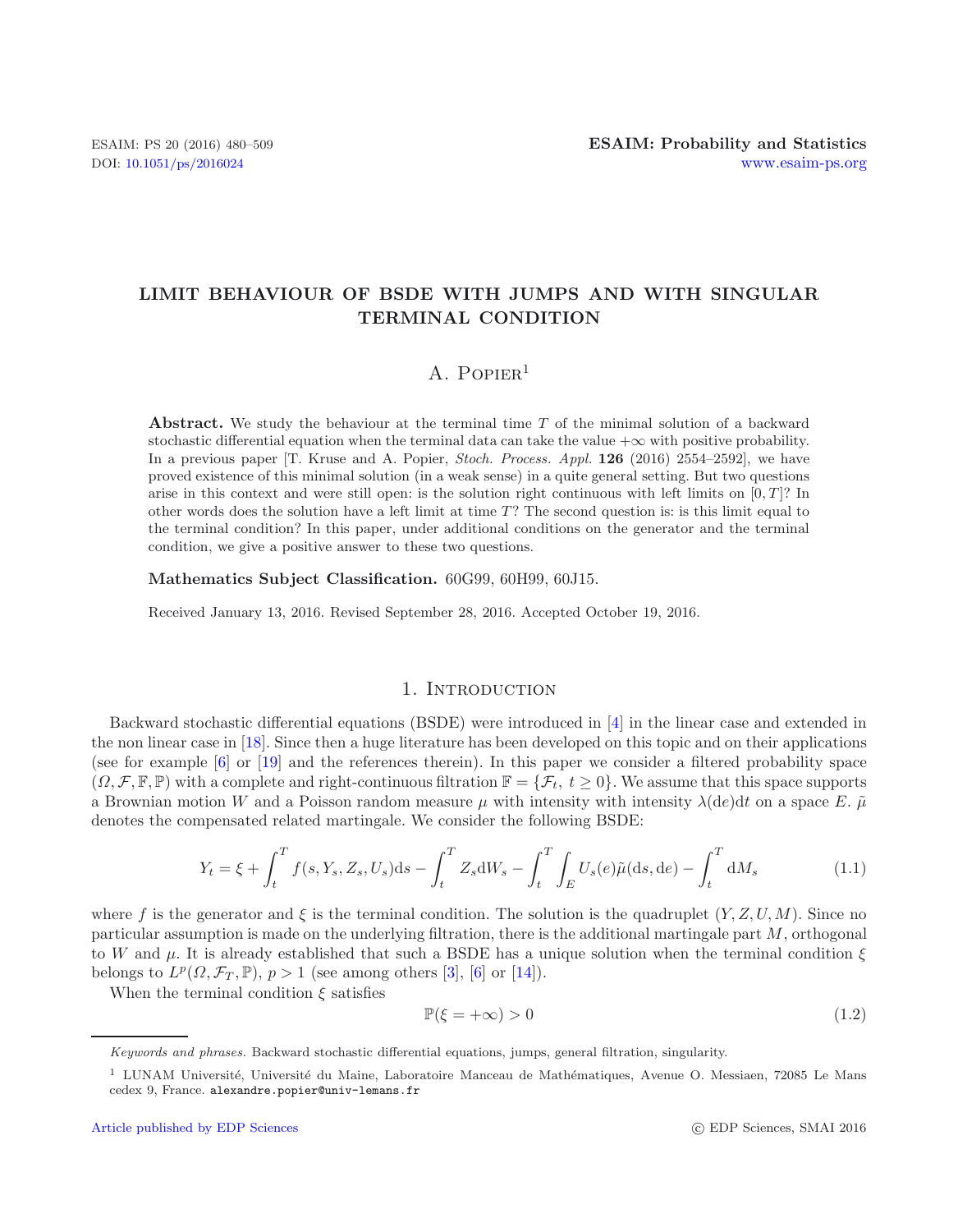# **LIMIT BEHAVIOUR OF BSDE WITH JUMPS AND WITH SINGULAR TERMINAL CONDITION**

# A.  $P$ OPIER<sup>1</sup>

**Abstract.** We study the behaviour at the terminal time *T* of the minimal solution of a backward stochastic differential equation when the terminal data can take the value  $+\infty$  with positive probability. In a previous paper [T. Kruse and A. Popier, *Stoch. Process. Appl.* **126** (2016) 2554–2592], we have proved existence of this minimal solution (in a weak sense) in a quite general setting. But two questions arise in this context and were still open: is the solution right continuous with left limits on  $[0, T]$ ? In other words does the solution have a left limit at time *T*? The second question is: is this limit equal to the terminal condition? In this paper, under additional conditions on the generator and the terminal condition, we give a positive answer to these two questions.

**Mathematics Subject Classification.** 60G99, 60H99, 60J15.

Received January 13, 2016. Revised September 28, 2016. Accepted October 19, 2016.

### <span id="page-0-0"></span>1. INTRODUCTION

Backward stochastic differential equations (BSDE) were introduced in [\[4](#page-29-0)] in the linear case and extended in the non linear case in [\[18\]](#page-29-1). Since then a huge literature has been developed on this topic and on their applications (see for example [\[6\]](#page-29-2) or [\[19\]](#page-29-3) and the references therein). In this paper we consider a filtered probability space  $(\Omega, \mathcal{F}, \mathbb{F}, \mathbb{P})$  with a complete and right-continuous filtration  $\mathbb{F} = {\mathcal{F}_t, t \geq 0}$ . We assume that this space supports a Brownian motion W and a Poisson random measure  $\mu$  with intensity with intensity  $\lambda$ (de)dt on a space E.  $\tilde{\mu}$ denotes the compensated related martingale. We consider the following BSDE:

<span id="page-0-1"></span>
$$
Y_t = \xi + \int_t^T f(s, Y_s, Z_s, U_s) ds - \int_t^T Z_s dW_s - \int_t^T \int_E U_s(e) \tilde{\mu}(ds, de) - \int_t^T dM_s \tag{1.1}
$$

where f is the generator and  $\xi$  is the terminal condition. The solution is the quadruplet  $(Y, Z, U, M)$ . Since no particular assumption is made on the underlying filtration, there is the additional martingale part M, orthogonal to W and  $\mu$ . It is already established that such a BSDE has a unique solution when the terminal condition  $\xi$ belongs to  $L^p(\Omega, \mathcal{F}_T, \mathbb{P}), p > 1$  (see among others [\[3\]](#page-29-4), [\[6\]](#page-29-2) or [\[14\]](#page-29-5)).

When the terminal condition  $\xi$  satisfies

$$
\mathbb{P}(\xi = +\infty) > 0\tag{1.2}
$$

*Keywords and phrases.* Backward stochastic differential equations, jumps, general filtration, singularity.

<sup>&</sup>lt;sup>1</sup> LUNAM Université, Université du Maine, Laboratoire Manceau de Mathématiques, Avenue O. Messiaen, 72085 Le Mans cedex 9, France. alexandre.popier@univ-lemans.fr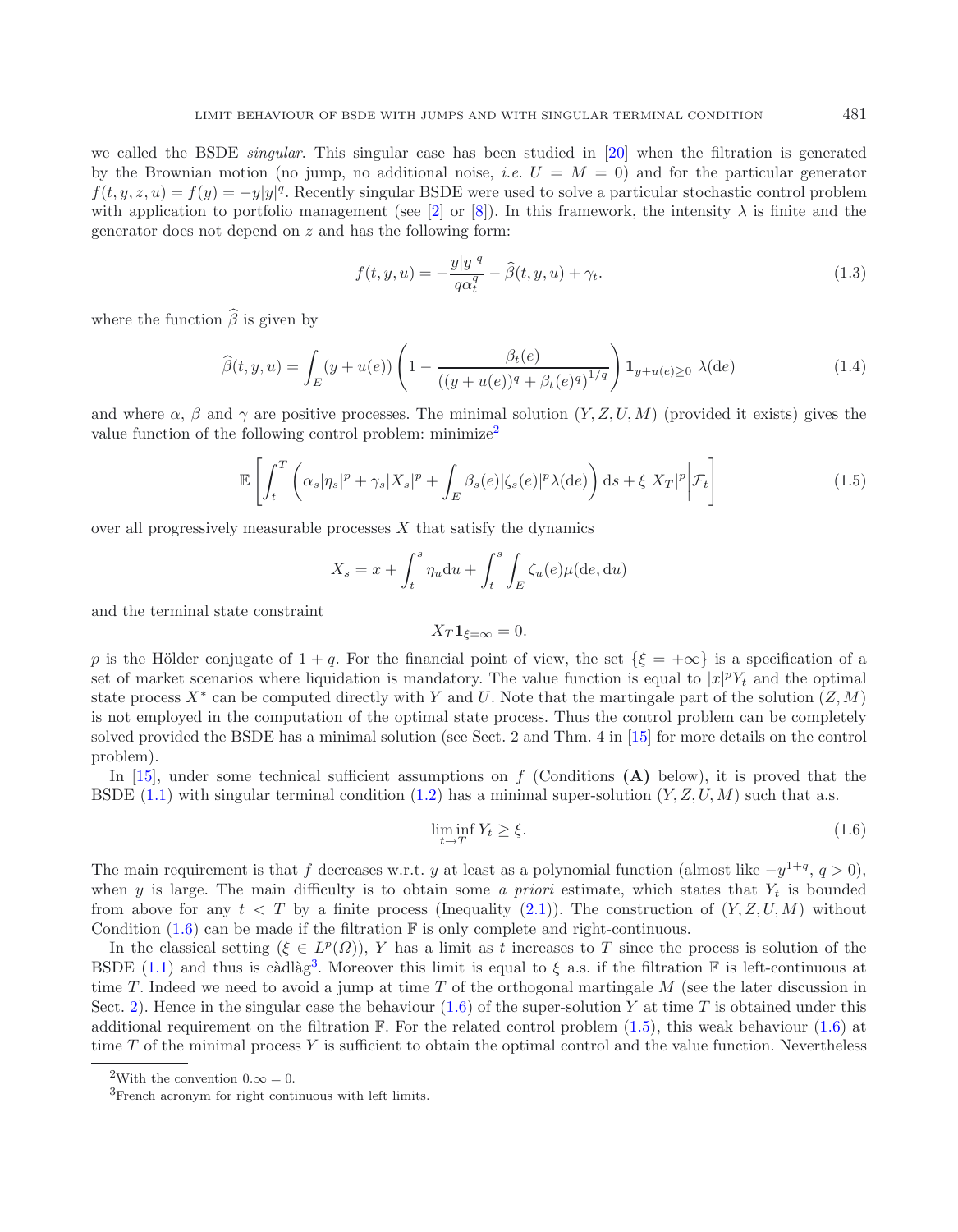<span id="page-1-5"></span>we called the BSDE *singular*. This singular case has been studied in [\[20](#page-29-6)] when the filtration is generated by the Brownian motion (no jump, no additional noise, *i.e.*  $U = M = 0$ ) and for the particular generator  $f(t, y, z, u) = f(y) = -y|y|^q$ . Recently singular BSDE were used to solve a particular stochastic control problem with application to portfolio management (see [\[2](#page-29-7)] or [\[8\]](#page-29-8)). In this framework, the intensity  $\lambda$  is finite and the generator does not depend on z and has the following form:

<span id="page-1-4"></span><span id="page-1-3"></span>
$$
f(t, y, u) = -\frac{y|y|^q}{q\alpha_t^q} - \widehat{\beta}(t, y, u) + \gamma_t.
$$
\n(1.3)

where the function  $\widehat{\beta}$  is given by

$$
\widehat{\beta}(t, y, u) = \int_{E} (y + u(e)) \left( 1 - \frac{\beta_t(e)}{((y + u(e))^q + \beta_t(e)^q)^{1/q}} \right) \mathbf{1}_{y + u(e) \ge 0} \lambda(de) \tag{1.4}
$$

and where  $\alpha$ ,  $\beta$  and  $\gamma$  are positive processes. The minimal solution  $(Y, Z, U, M)$  (provided it exists) gives the value function of the following control problem: minimize<sup>[2](#page-1-0)</sup>

$$
\mathbb{E}\left[\int_{t}^{T}\left(\alpha_{s}|\eta_{s}|^{p}+\gamma_{s}|X_{s}|^{p}+\int_{E}\beta_{s}(e)|\zeta_{s}(e)|^{p}\lambda(\mathrm{d}e)\right)\mathrm{d}s+\xi|X_{T}|^{p}\bigg|\mathcal{F}_{t}\right]
$$
(1.5)

over all progressively measurable processes  $X$  that satisfy the dynamics

$$
X_s = x + \int_t^s \eta_u \mathrm{d}u + \int_t^s \int_E \zeta_u(e) \mu(\mathrm{d}e, \mathrm{d}u)
$$

and the terminal state constraint

<span id="page-1-1"></span>
$$
X_T \mathbf{1}_{\xi=\infty} = 0.
$$

p is the Hölder conjugate of  $1 + q$ . For the financial point of view, the set  $\{\xi = +\infty\}$  is a specification of a set of market scenarios where liquidation is mandatory. The value function is equal to  $|x|^p Y_t$  and the optimal state process  $X^*$  can be computed directly with Y and U. Note that the martingale part of the solution  $(Z, M)$ is not employed in the computation of the optimal state process. Thus the control problem can be completely solved provided the BSDE has a minimal solution (see Sect. 2 and Thm. 4 in [\[15\]](#page-29-9) for more details on the control problem).

In [\[15\]](#page-29-9), under some technical sufficient assumptions on f (Conditions **(A)** below), it is proved that the BSDE  $(1.1)$  with singular terminal condition  $(1.2)$  has a minimal super-solution  $(Y, Z, U, M)$  such that a.s.

$$
\liminf_{t \to T} Y_t \ge \xi. \tag{1.6}
$$

<span id="page-1-2"></span><span id="page-1-0"></span>The main requirement is that f decreases w.r.t. y at least as a polynomial function (almost like  $-y^{1+q}$ ,  $q > 0$ ), when y is large. The main difficulty is to obtain some a priori estimate, which states that  $Y_t$  is bounded from above for any  $t < T$  by a finite process (Inequality [\(2.1\)](#page-5-0)). The construction of  $(Y, Z, U, M)$  without Condition  $(1.6)$  can be made if the filtration  $\mathbb F$  is only complete and right-continuous.

In the classical setting  $(\xi \in L^p(\Omega))$ , Y has a limit as t increases to T since the process is solution of the BSDE [\(1.1\)](#page-0-0) and thus is càdlàg<sup>[3](#page-1-2)</sup>. Moreover this limit is equal to  $\xi$  a.s. if the filtration F is left-continuous at time T. Indeed we need to avoid a jump at time T of the orthogonal martingale  $M$  (see the later discussion in Sect. [2\)](#page-3-0). Hence in the singular case the behaviour  $(1.6)$  of the super-solution Y at time T is obtained under this additional requirement on the filtration  $\mathbb F$ . For the related control problem [\(1.5\)](#page-1-3), this weak behaviour [\(1.6\)](#page-1-1) at time  $T$  of the minimal process  $Y$  is sufficient to obtain the optimal control and the value function. Nevertheless

<sup>&</sup>lt;sup>2</sup>With the convention  $0.\infty = 0$ .

<sup>&</sup>lt;sup>3</sup>French acronym for right continuous with left limits.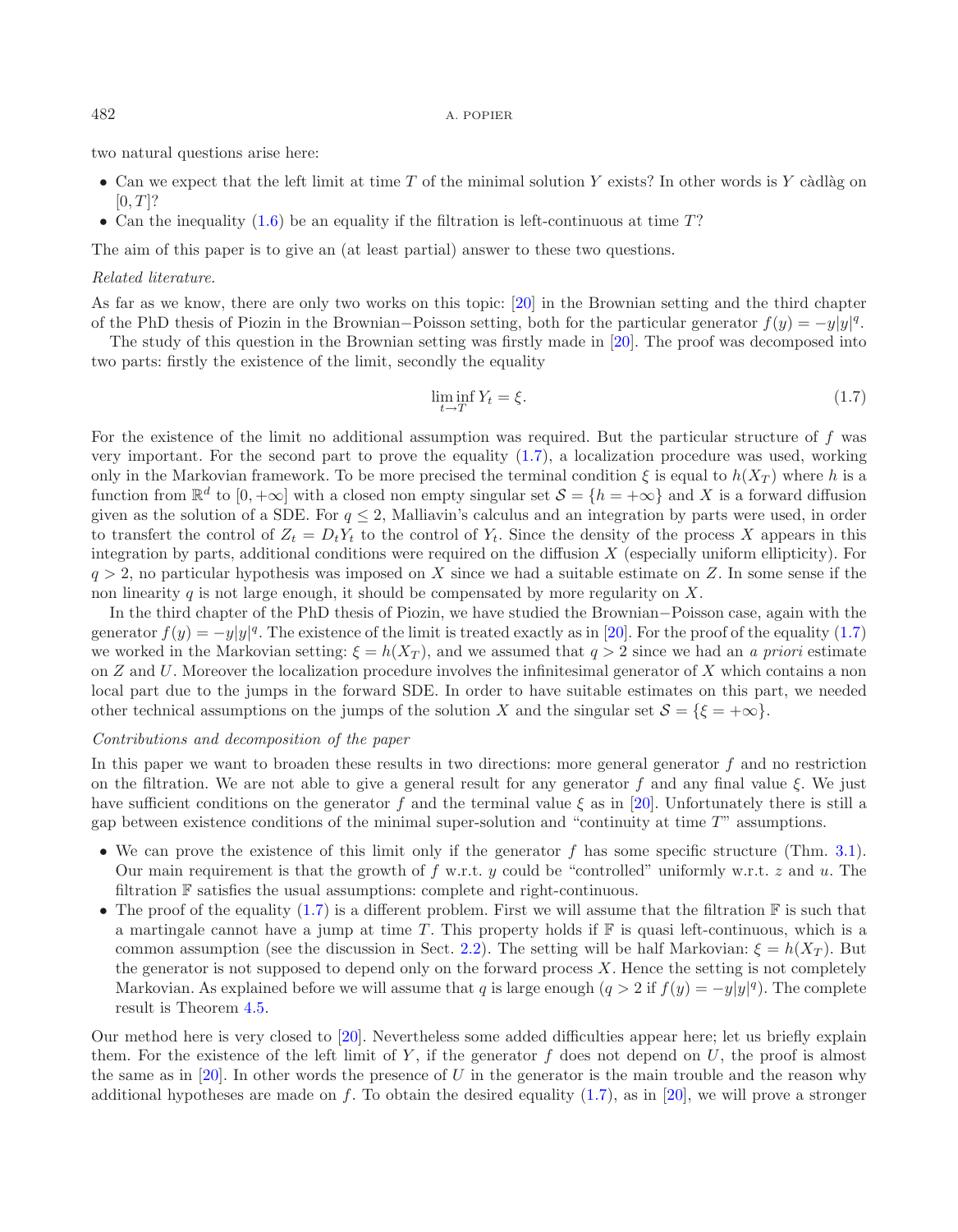two natural questions arise here:

- Can we expect that the left limit at time  $T$  of the minimal solution  $Y$  exists? In other words is  $Y$  càdlàg on  $[0, T]$ ?
- Can the inequality [\(1.6\)](#page-1-1) be an equality if the filtration is left-continuous at time  $T$ ?

The aim of this paper is to give an (at least partial) answer to these two questions.

#### *Related literature.*

As far as we know, there are only two works on this topic: [\[20](#page-29-6)] in the Brownian setting and the third chapter of the PhD thesis of Piozin in the Brownian–Poisson setting, both for the particular generator  $f(y) = -y|y|^q$ .

The study of this question in the Brownian setting was firstly made in [\[20\]](#page-29-6). The proof was decomposed into two parts: firstly the existence of the limit, secondly the equality

<span id="page-2-0"></span>
$$
\liminf_{t \to T} Y_t = \xi. \tag{1.7}
$$

For the existence of the limit no additional assumption was required. But the particular structure of f was very important. For the second part to prove the equality [\(1.7\)](#page-2-0), a localization procedure was used, working only in the Markovian framework. To be more precised the terminal condition  $\xi$  is equal to  $h(X_T)$  where h is a function from  $\mathbb{R}^d$  to  $[0, +\infty]$  with a closed non empty singular set  $\mathcal{S} = \{h = +\infty\}$  and X is a forward diffusion given as the solution of a SDE. For  $q \leq 2$ , Malliavin's calculus and an integration by parts were used, in order to transfert the control of  $Z_t = D_t Y_t$  to the control of  $Y_t$ . Since the density of the process X appears in this integration by parts, additional conditions were required on the diffusion  $X$  (especially uniform ellipticity). For  $q > 2$ , no particular hypothesis was imposed on X since we had a suitable estimate on Z. In some sense if the non linearity q is not large enough, it should be compensated by more regularity on  $X$ .

In the third chapter of the PhD thesis of Piozin, we have studied the Brownian−Poisson case, again with the generator  $f(y) = -y|y|^q$ . The existence of the limit is treated exactly as in [\[20\]](#page-29-6). For the proof of the equality [\(1.7\)](#page-2-0) we worked in the Markovian setting:  $\xi = h(X_T)$ , and we assumed that  $q > 2$  since we had an *a priori* estimate on Z and U. Moreover the localization procedure involves the infinitesimal generator of X which contains a non local part due to the jumps in the forward SDE. In order to have suitable estimates on this part, we needed other technical assumptions on the jumps of the solution X and the singular set  $S = \{ \xi = +\infty \}.$ 

## *Contributions and decomposition of the paper*

In this paper we want to broaden these results in two directions: more general generator  $f$  and no restriction on the filtration. We are not able to give a general result for any generator f and any final value  $\xi$ . We just have sufficient conditions on the generator f and the terminal value  $\xi$  as in [\[20](#page-29-6)]. Unfortunately there is still a gap between existence conditions of the minimal super-solution and "continuity at time  $T$ " assumptions.

- We can prove the existence of this limit only if the generator  $f$  has some specific structure (Thm. [3.1\)](#page-10-0). Our main requirement is that the growth of f w.r.t. y could be "controlled" uniformly w.r.t. z and u. The filtration F satisfies the usual assumptions: complete and right-continuous.
- The proof of the equality [\(1.7\)](#page-2-0) is a different problem. First we will assume that the filtration  $\mathbb F$  is such that a martingale cannot have a jump at time T. This property holds if  $\mathbb F$  is quasi left-continuous, which is a common assumption (see the discussion in Sect. [2.2\)](#page-9-0). The setting will be half Markovian:  $\xi = h(X_T)$ . But the generator is not supposed to depend only on the forward process  $X$ . Hence the setting is not completely Markovian. As explained before we will assume that q is large enough  $(q > 2$  if  $f(y) = -y|y|^q$ ). The complete result is Theorem [4.5.](#page-18-0)

Our method here is very closed to [\[20\]](#page-29-6). Nevertheless some added difficulties appear here; let us briefly explain them. For the existence of the left limit of Y, if the generator  $f$  does not depend on  $U$ , the proof is almost the same as in [\[20\]](#page-29-6). In other words the presence of U in the generator is the main trouble and the reason why additional hypotheses are made on f. To obtain the desired equality  $(1.7)$ , as in [\[20\]](#page-29-6), we will prove a stronger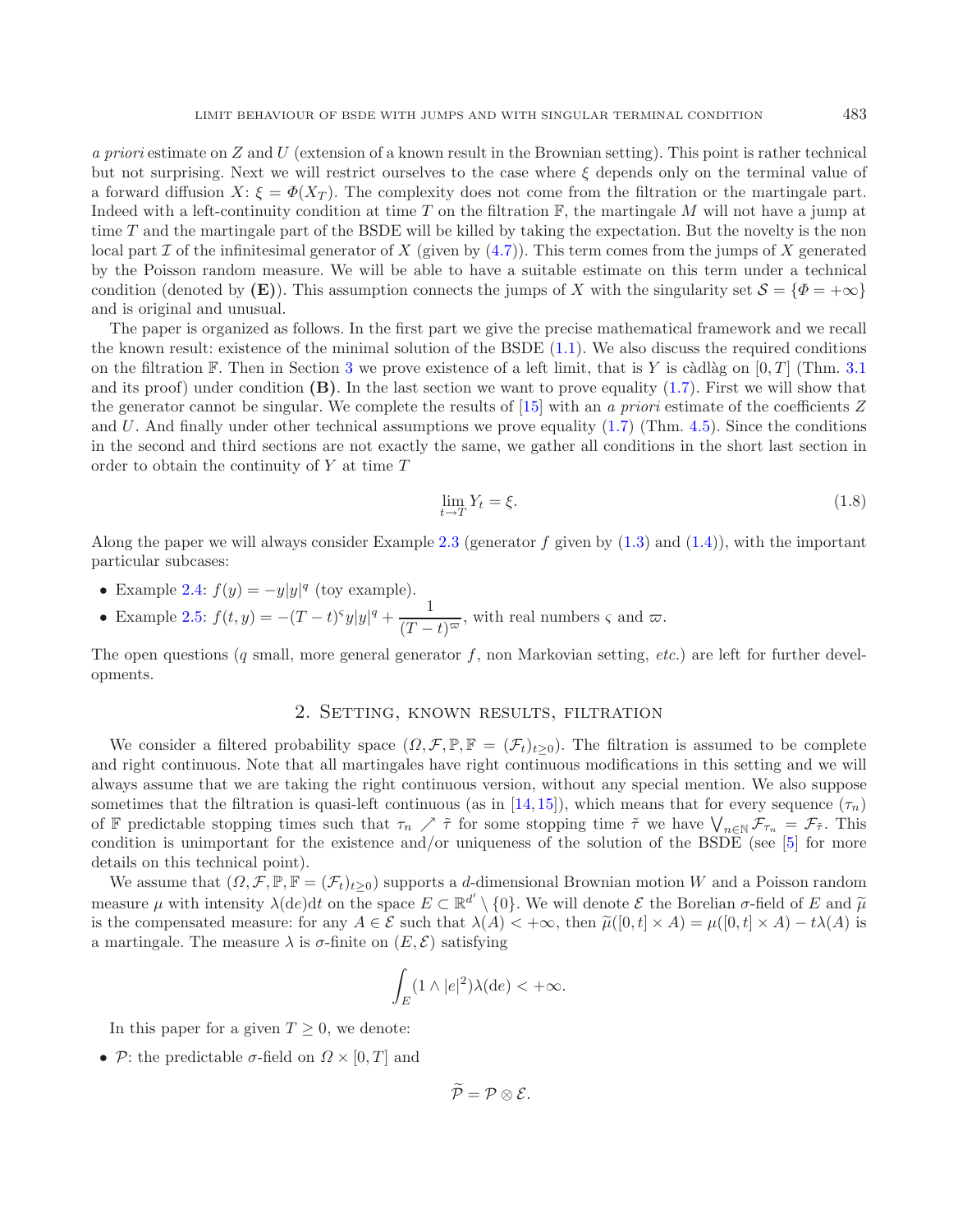*a priori* estimate on Z and U (extension of a known result in the Brownian setting). This point is rather technical but not surprising. Next we will restrict ourselves to the case where  $\xi$  depends only on the terminal value of a forward diffusion  $X: \xi = \Phi(X_T)$ . The complexity does not come from the filtration or the martingale part. Indeed with a left-continuity condition at time T on the filtration  $\mathbb{F}$ , the martingale M will not have a jump at time T and the martingale part of the BSDE will be killed by taking the expectation. But the novelty is the non local part I of the infinitesimal generator of X (given by  $(4.7)$ ). This term comes from the jumps of X generated by the Poisson random measure. We will be able to have a suitable estimate on this term under a technical condition (denoted by **(E)**). This assumption connects the jumps of X with the singularity set  $S = {\Phi = +\infty}$ and is original and unusual.

The paper is organized as follows. In the first part we give the precise mathematical framework and we recall the known result: existence of the minimal solution of the BSDE [\(1.1\)](#page-0-0). We also discuss the required conditions on the filtration F. Then in Section [3](#page-9-1) we prove existence of a left limit, that is Y is càdlàg on  $[0, T]$  (Thm. [3.1](#page-10-0)) and its proof) under condition  $(B)$ . In the last section we want to prove equality  $(1.7)$ . First we will show that the generator cannot be singular. We complete the results of [\[15\]](#page-29-9) with an *a priori* estimate of the coefficients Z and U. And finally under other technical assumptions we prove equality  $(1.7)$  (Thm. [4.5\)](#page-18-0). Since the conditions in the second and third sections are not exactly the same, we gather all conditions in the short last section in order to obtain the continuity of  $Y$  at time  $T$ 

$$
\lim_{t \to T} Y_t = \xi. \tag{1.8}
$$

Along the paper we will always consider Example [2.3](#page-6-0) (generator f given by  $(1.3)$  and  $(1.4)$ ), with the important particular subcases:

- Example [2.4:](#page-6-1)  $f(y) = -y|y|^q$  (toy example).
- Example [2.5:](#page-7-0)  $f(t, y) = -(T-t)^{\varsigma}y|y|^q + \frac{1}{(T-t)^{\varpi}}$ , with real numbers  $\varsigma$  and  $\varpi$ .

<span id="page-3-0"></span>The open questions (q small, more general generator f, non Markovian setting, *etc.*) are left for further developments.

# 2. Setting, known results, filtration

We consider a filtered probability space  $(\Omega, \mathcal{F}, \mathbb{P}, \mathbb{F} = (\mathcal{F}_t)_{t\geq 0})$ . The filtration is assumed to be complete and right continuous. Note that all martingales have right continuous modifications in this setting and we will always assume that we are taking the right continuous version, without any special mention. We also suppose sometimes that the filtration is quasi-left continuous (as in [\[14,](#page-29-5) [15](#page-29-9)]), which means that for every sequence  $(\tau_n)$ of F predictable stopping times such that  $\tau_n \nearrow \tilde{\tau}$  for some stopping time  $\tilde{\tau}$  we have  $\bigvee_{n\in\mathbb{N}}\mathcal{F}_{\tau_n} = \mathcal{F}_{\tilde{\tau}}$ . This condition is unimportant for the existence and/or uniqueness of the solution of the BSDE (see  $[5]$  for more details on this technical point).

We assume that  $(\Omega, \mathcal{F}, \mathbb{P}, \mathbb{F} = (\mathcal{F}_t)_{t>0})$  supports a d-dimensional Brownian motion W and a Poisson random measure  $\mu$  with intensity  $\lambda(de)dt$  on the space  $E \subset \mathbb{R}^{d'} \setminus \{0\}$ . We will denote  $\mathcal{E}$  the Borelian  $\sigma$ -field of E and  $\tilde{\mu}$ <br>is the compensated measure; for any  $A \in \mathcal{E}$  such that  $\lambda(A) \leq +\infty$ , then  $\tilde$ is the compensated measure: for any  $A \in \mathcal{E}$  such that  $\lambda(A) < +\infty$ , then  $\tilde{\mu}([0,t] \times A) = \mu([0,t] \times A) - t\lambda(A)$  is a martingale. The measure  $\lambda$  is  $\sigma$ -finite on  $(E, \mathcal{E})$  satisfying

$$
\int_E (1 \wedge |e|^2) \lambda(\mathrm{d}e) < +\infty.
$$

In this paper for a given  $T \geq 0$ , we denote:

• P: the predictable  $\sigma$ -field on  $\Omega \times [0, T]$  and

 $\widetilde{\mathcal{P}} = \mathcal{P} \otimes \mathcal{E}$ .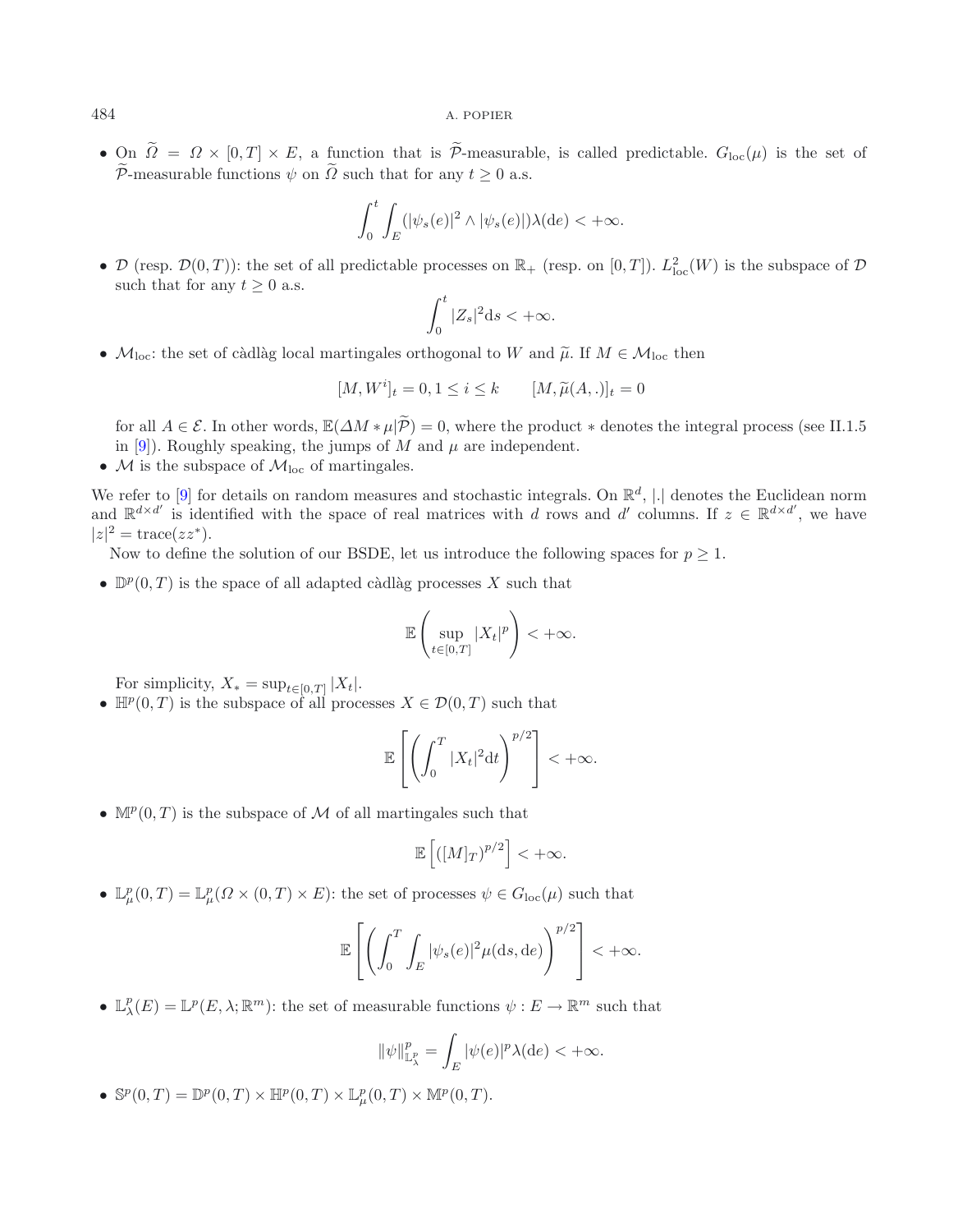• On  $\tilde{\Omega} = \Omega \times [0,T] \times E$ , a function that is  $\tilde{\mathcal{P}}$ -measurable, is called predictable.  $G_{\text{loc}}(\mu)$  is the set of  $\widetilde{\mathcal{P}}$ -measurable functions  $\psi$  on  $\widetilde{\Omega}$  such that for any  $t \geq 0$  a.s.

$$
\int_0^t \int_E (|\psi_s(e)|^2 \wedge |\psi_s(e)|) \lambda(de) < +\infty.
$$

• D (resp.  $\mathcal{D}(0,T)$ ): the set of all predictable processes on  $\mathbb{R}_+$  (resp. on  $[0,T]$ ).  $L^2_{loc}(W)$  is the subspace of D such that for any  $t \geq 0$  a.s.

$$
\int_0^t |Z_s|^2 \mathrm{d} s < +\infty.
$$

•  $M_{loc}$ : the set of càdlàg local martingales orthogonal to W and  $\tilde{\mu}$ . If  $M \in \mathcal{M}_{loc}$  then

$$
[M, W^{i}]_{t} = 0, 1 \le i \le k \qquad [M, \tilde{\mu}(A, .)]_{t} = 0
$$

for all  $A \in \mathcal{E}$ . In other words,  $\mathbb{E}(\Delta M * \mu | \widetilde{\mathcal{P}}) = 0$ , where the product  $*$  denotes the integral process (see II.1.5 in [\[9](#page-29-11)]). Roughly speaking, the jumps of M and  $\mu$  are independent.

•  $M$  is the subspace of  $M_{loc}$  of martingales.

We refer to [\[9\]](#page-29-11) for details on random measures and stochastic integrals. On  $\mathbb{R}^d$ , |.| denotes the Euclidean norm and  $\mathbb{R}^{d \times d'}$  is identified with the space of real matrices with d rows and d' columns. If  $z \in \mathbb{R}^{d \times d'}$ , we have  $|z|^2 = \text{trace}(zz^*).$ 

Now to define the solution of our BSDE, let us introduce the following spaces for  $p \geq 1$ .

•  $\mathbb{D}^p(0,T)$  is the space of all adapted càdlàg processes X such that

$$
\mathbb{E}\left(\sup_{t\in[0,T]}|X_t|^p\right)<+\infty.
$$

For simplicity,  $X_* = \sup_{t \in [0,T]} |X_t|$ .

•  $\mathbb{H}^p(0,T)$  is the subspace of all processes  $X \in \mathcal{D}(0,T)$  such that

$$
\mathbb{E}\left[\left(\int_0^T |X_t|^2 dt\right)^{p/2}\right] < +\infty.
$$

•  $\mathbb{M}^p(0,T)$  is the subspace of M of all martingales such that

$$
\mathbb{E}\left[ ( [M]_T)^{p/2} \right] < +\infty.
$$

•  $\mathbb{L}_{\mu}^p(0,T) = \mathbb{L}_{\mu}^p(\Omega \times (0,T) \times E)$ : the set of processes  $\psi \in G_{loc}(\mu)$  such that

$$
\mathbb{E}\left[\left(\int_0^T \int_E |\psi_s(e)|^2 \mu(ds, de)\right)^{p/2}\right] < +\infty.
$$

•  $\mathbb{L}^p_\lambda(E) = \mathbb{L}^p(E, \lambda; \mathbb{R}^m)$ : the set of measurable functions  $\psi : E \to \mathbb{R}^m$  such that

$$
\|\psi\|_{\mathbb{L}^p_\lambda}^p = \int_E |\psi(e)|^p \lambda(\mathrm{d}e) < +\infty.
$$

•  $\mathbb{S}^p(0,T) = \mathbb{D}^p(0,T) \times \mathbb{H}^p(0,T) \times \mathbb{L}^p_\mu(0,T) \times \mathbb{M}^p(0,T).$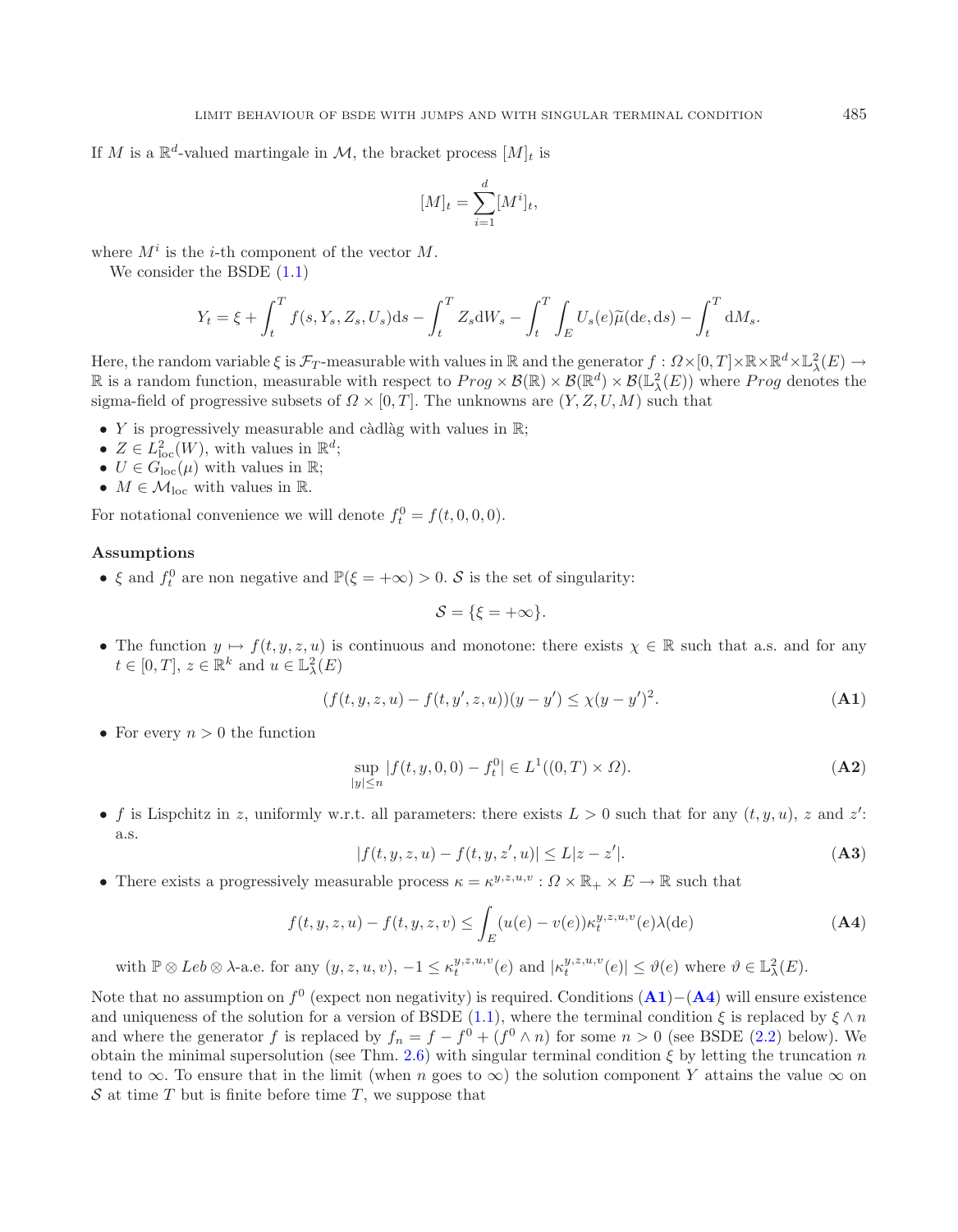If M is a  $\mathbb{R}^d$ -valued martingale in M, the bracket process  $[M]_t$  is

$$
[M]_t = \sum_{i=1}^d [M^i]_t,
$$

where  $M^i$  is the *i*-th component of the vector  $M$ .

We consider the BSDE  $(1.1)$ 

<span id="page-5-0"></span>
$$
Y_t = \xi + \int_t^T f(s, Y_s, Z_s, U_s) \mathrm{d}s - \int_t^T Z_s \mathrm{d}W_s - \int_t^T \int_E U_s(e) \widetilde{\mu}(\mathrm{d}e, \mathrm{d}s) - \int_t^T \mathrm{d}M_s.
$$

Here, the random variable  $\xi$  is  $\mathcal{F}_T$ -measurable with values in  $\mathbb R$  and the generator  $f: \Omega \times [0,T] \times \mathbb R \times \mathbb R^d \times \mathbb L^2_\lambda(E) \to$ **R** is a random function, measurable with respect to  $Prog \times \mathcal{B}(\mathbb{R}) \times \mathcal{B}(\mathbb{R}^d) \times \mathcal{B}(\mathbb{L}^2_\lambda(E))$  where  $Prog$  denotes the sigma-field of progressive subsets of  $\Omega \times [0, T]$ . The unknowns are  $(Y, Z, U, M)$  such that

- Y is progressively measurable and càdlàg with values in  $\mathbb{R}$ ;
- $Z \in L^2_{loc}(W)$ , with values in  $\mathbb{R}^d$ ;
- $U \in G_{\text{loc}}(\mu)$  with values in  $\mathbb{R}$ ;
- $M \in \mathcal{M}_{loc}$  with values in R.

For notational convenience we will denote  $f_t^0 = f(t, 0, 0, 0)$ .

## **Assumptions**

• ξ and  $f_t^0$  are non negative and  $\mathbb{P}(\xi = +\infty) > 0$ . S is the set of singularity:

$$
\mathcal{S} = \{\xi = +\infty\}.
$$

• The function  $y \mapsto f(t, y, z, u)$  is continuous and monotone: there exists  $\chi \in \mathbb{R}$  such that a.s. and for any  $t \in [0, T], z \in \mathbb{R}^k$  and  $u \in \mathbb{L}^2_{\lambda}(E)$ 

$$
(f(t, y, z, u) - f(t, y', z, u))(y - y') \le \chi(y - y')^{2}.
$$
 (A1)

• For every  $n > 0$  the function

$$
\sup_{|y| \le n} |f(t, y, 0, 0) - f_t^0| \in L^1((0, T) \times \Omega). \tag{A2}
$$

• f is Lispchitz in z, uniformly w.r.t. all parameters: there exists  $L > 0$  such that for any  $(t, y, u)$ , z and z': a.s.

$$
|f(t, y, z, u) - f(t, y, z', u)| \le L|z - z'|.
$$
 (A3)

• There exists a progressively measurable process  $\kappa = \kappa^{y,z,u,v} : \Omega \times \mathbb{R}_+ \times E \to \mathbb{R}$  such that

$$
f(t, y, z, u) - f(t, y, z, v) \le \int_{E} (u(e) - v(e)) \kappa_t^{y, z, u, v}(e) \lambda(de)
$$
\n(A4)

with  $\mathbb{P}\otimes \text{Leb}\otimes \lambda$ -a.e. for any  $(y, z, u, v), -1 \leq \kappa_t^{y, z, u, v}(e)$  and  $|\kappa_t^{y, z, u, v}(e)| \leq \vartheta(e)$  where  $\vartheta \in \mathbb{L}^2_{\lambda}(E)$ .

Note that no assumption on  $f^0$  (expect non negativity) is required. Conditions  $(A1)-(A4)$  $(A1)-(A4)$  $(A1)-(A4)$  $(A1)-(A4)$  $(A1)-(A4)$  will ensure existence and uniqueness of the solution for a version of BSDE [\(1.1\)](#page-0-0), where the terminal condition  $\xi$  is replaced by  $\xi \wedge n$ and where the generator f is replaced by  $f_n = f - f^0 + (f^0 \wedge n)$  for some  $n > 0$  (see BSDE [\(2.2\)](#page-8-0) below). We obtain the minimal supersolution (see Thm. [2.6\)](#page-7-1) with singular terminal condition  $\xi$  by letting the truncation n tend to  $\infty$ . To ensure that in the limit (when n goes to  $\infty$ ) the solution component Y attains the value  $\infty$  on  $S$  at time T but is finite before time T, we suppose that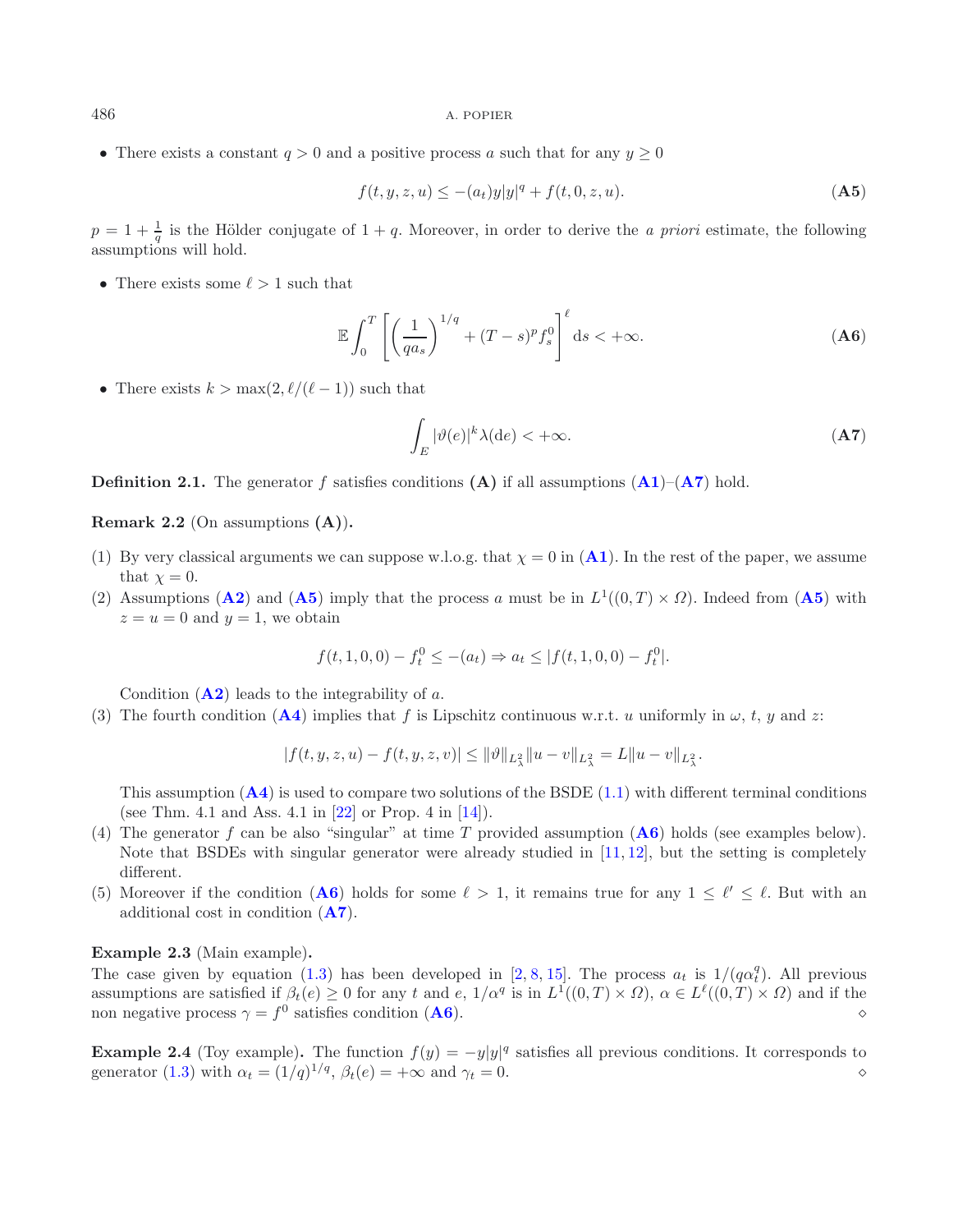• There exists a constant  $q > 0$  and a positive process a such that for any  $y \ge 0$ 

$$
f(t, y, z, u) \le - (a_t)y|y|^q + f(t, 0, z, u).
$$
 (A5)

 $p = 1 + \frac{1}{q}$  is the Hölder conjugate of  $1 + q$ . Moreover, in order to derive the *a priori* estimate, the following assumptions will hold.

• There exists some  $\ell > 1$  such that

$$
\mathbb{E}\int_0^T \left[ \left( \frac{1}{qa_s} \right)^{1/q} + (T-s)^p f_s^0 \right]^{\ell} ds < +\infty.
$$
 (A6)

• There exists  $k > \max(2, \ell/(\ell-1))$  such that

$$
\int_{E} |\vartheta(e)|^{k} \lambda(\mathrm{d}e) < +\infty. \tag{A7}
$$

**Definition 2.1.** The generator f satisfies conditions  $(A)$  if all assumptions  $(A1)$  $(A1)$  $(A1)$ – $(A7)$  $(A7)$  $(A7)$  hold.

**Remark 2.2** (On assumptions **(A)**)**.**

- (1) By very classical arguments we can suppose w.l.o.g. that  $\chi = 0$  in  $(A1)$  $(A1)$  $(A1)$ . In the rest of the paper, we assume that  $\chi = 0$ .
- (2) Assumptions (**[A2](#page-5-0)**) and (**[A5](#page-5-0)**) imply that the process a must be in  $L^1((0,T) \times \Omega)$ . Indeed from (**A5**) with  $z = u = 0$  and  $y = 1$ , we obtain

$$
f(t, 1, 0, 0) - f_t^0 \leq -(a_t) \Rightarrow a_t \leq |f(t, 1, 0, 0) - f_t^0|.
$$

Condition  $(**A2**)$  $(**A2**)$  $(**A2**)$  leads to the integrability of a.

(3) The fourth condition  $(A4)$  $(A4)$  $(A4)$  implies that f is Lipschitz continuous w.r.t. u uniformly in  $\omega$ , t, y and z:

$$
|f(t, y, z, u) - f(t, y, z, v)| \le ||\vartheta||_{L^2_{\lambda}} ||u - v||_{L^2_{\lambda}} = L ||u - v||_{L^2_{\lambda}}.
$$

This assumption  $(A4)$  $(A4)$  $(A4)$  is used to compare two solutions of the BSDE  $(1.1)$  with different terminal conditions (see Thm. 4.1 and Ass. 4.1 in [\[22\]](#page-29-12) or Prop. 4 in [\[14](#page-29-5)]).

- (4) The generator f can be also "singular" at time T provided assumption (**[A6](#page-5-0)**) holds (see examples below). Note that BSDEs with singular generator were already studied in [\[11,](#page-29-13) [12](#page-29-14)], but the setting is completely different.
- (5) Moreover if the condition (**[A6](#page-5-0)**) holds for some  $\ell > 1$ , it remains true for any  $1 \leq \ell' \leq \ell$ . But with an additional cost in condition (**[A7](#page-5-0)**).

<span id="page-6-0"></span>**Example 2.3** (Main example)**.**

The case given by equation [\(1.3\)](#page-1-4) has been developed in [\[2,](#page-29-7) [8,](#page-29-8) [15\]](#page-29-9). The process  $a_t$  is  $1/(q\alpha_t^q)$ . All previous assumptions are satisfied if  $\beta_t(e) \geq 0$  for any t and e,  $1/\alpha^q$  is in  $L^1((0,T) \times \Omega)$ ,  $\alpha \in L^{\ell}((0,T) \times \Omega)$  and if the non negative process  $\gamma = f^0$  satisfies condition (**[A6](#page-5-0)**).

<span id="page-6-1"></span>**Example 2.4** (Toy example). The function  $f(y) = -y|y|^q$  satisfies all previous conditions. It corresponds to generator [\(1.3\)](#page-1-4) with  $\alpha_t = (1/q)^{1/q}, \beta_t(e) = +\infty$  and  $\gamma_t = 0$ .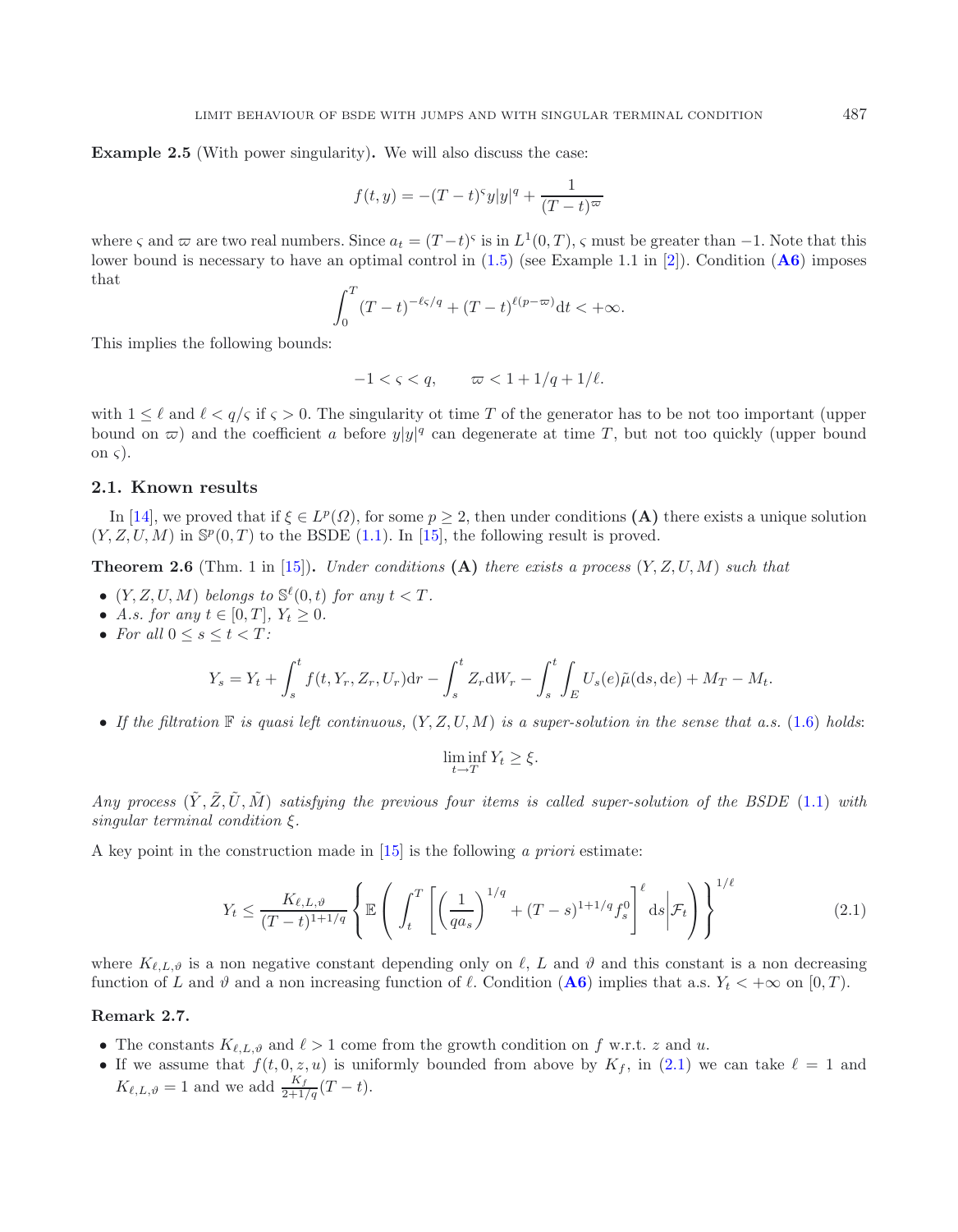<span id="page-7-0"></span>**Example 2.5** (With power singularity)**.** We will also discuss the case:

$$
f(t,y) = -(T-t)^{s}y|y|^{q} + \frac{1}{(T-t)^{\varpi}}
$$

where  $\varsigma$  and  $\varpi$  are two real numbers. Since  $a_t = (T-t)^{\varsigma}$  is in  $L^1(0,T)$ ,  $\varsigma$  must be greater than  $-1$ . Note that this lower bound is necessary to have an optimal control in [\(1.5\)](#page-1-3) (see Example 1.1 in [\[2\]](#page-29-7)). Condition (**[A6](#page-5-0)**) imposes that

$$
\int_0^T (T-t)^{-\ell s/q} + (T-t)^{\ell(p-\varpi)} dt < +\infty.
$$

This implies the following bounds:

<span id="page-7-1"></span>
$$
-1 < \varsigma < q, \qquad \varpi < 1 + 1/q + 1/\ell.
$$

with  $1 \leq \ell$  and  $\ell \leq q/\varsigma$  if  $\varsigma > 0$ . The singularity ot time T of the generator has to be not too important (upper bound on  $\varpi$ ) and the coefficient a before  $y|y|^q$  can degenerate at time T, but not too quickly (upper bound on  $\varsigma$ ).

### **2.1. Known results**

In [\[14\]](#page-29-5), we proved that if  $\xi \in L^p(\Omega)$ , for some  $p \geq 2$ , then under conditions **(A)** there exists a unique solution  $(Y, Z, U, M)$  in  $\mathbb{S}^p(0,T)$  to the BSDE [\(1.1\)](#page-0-0). In [\[15\]](#page-29-9), the following result is proved.

**Theorem 2.6** (Thm. 1 in [\[15](#page-29-9)])**.** *Under conditions* **(A)** *there exists a process* (Y, Z, U, M) *such that*

- $(Y, Z, U, M)$  *belongs to*  $\mathbb{S}^{\ell}(0, t)$  *for any*  $t < T$ *.*
- *A.s. for any*  $t \in [0, T]$ *,*  $Y_t \ge 0$ *.*
- For all  $0 \leq s \leq t < T$ :

$$
Y_s = Y_t + \int_s^t f(t, Y_r, Z_r, U_r) dr - \int_s^t Z_r dW_r - \int_s^t \int_E U_s(e) \tilde{\mu}(ds, de) + M_T - M_t.
$$

• If the filtration  $\mathbb F$  is quasi left continuous,  $(Y, Z, U, M)$  is a super-solution in the sense that a.s. [\(1.6\)](#page-1-1) holds:

$$
\liminf_{t \to T} Y_t \ge \xi.
$$

*Any process*  $(\tilde{Y}, \tilde{Z}, \tilde{U}, \tilde{M})$  satisfying the previous four items is called super-solution of the BSDE [\(1.1\)](#page-0-0) with *singular terminal condition* ξ*.*

A key point in the construction made in [\[15](#page-29-9)] is the following *a priori* estimate:

$$
Y_t \le \frac{K_{\ell,L,\vartheta}}{(T-t)^{1+1/q}} \left\{ \mathbb{E}\left(\int_t^T \left[\left(\frac{1}{qa_s}\right)^{1/q} + (T-s)^{1+1/q} f_s^0\right]^\ell ds \middle| \mathcal{F}_t\right) \right\}^{1/\ell} \tag{2.1}
$$

where  $K_{\ell,L,\vartheta}$  is a non negative constant depending only on  $\ell, L$  and  $\vartheta$  and this constant is a non decreasing function of L and  $\vartheta$  and a non increasing function of  $\ell$ . Condition ([A6](#page-5-0)) implies that a.s.  $Y_t < +\infty$  on  $[0, T)$ .

#### **Remark 2.7.**

- The constants  $K_{\ell,L,\vartheta}$  and  $\ell > 1$  come from the growth condition on f w.r.t. z and u.
- If we assume that  $f(t, 0, z, u)$  is uniformly bounded from above by  $K_f$ , in  $(2.1)$  we can take  $\ell = 1$  and  $K_{\ell,L,\vartheta} = 1$  and we add  $\frac{K_f}{2+1/q}(T-t)$ .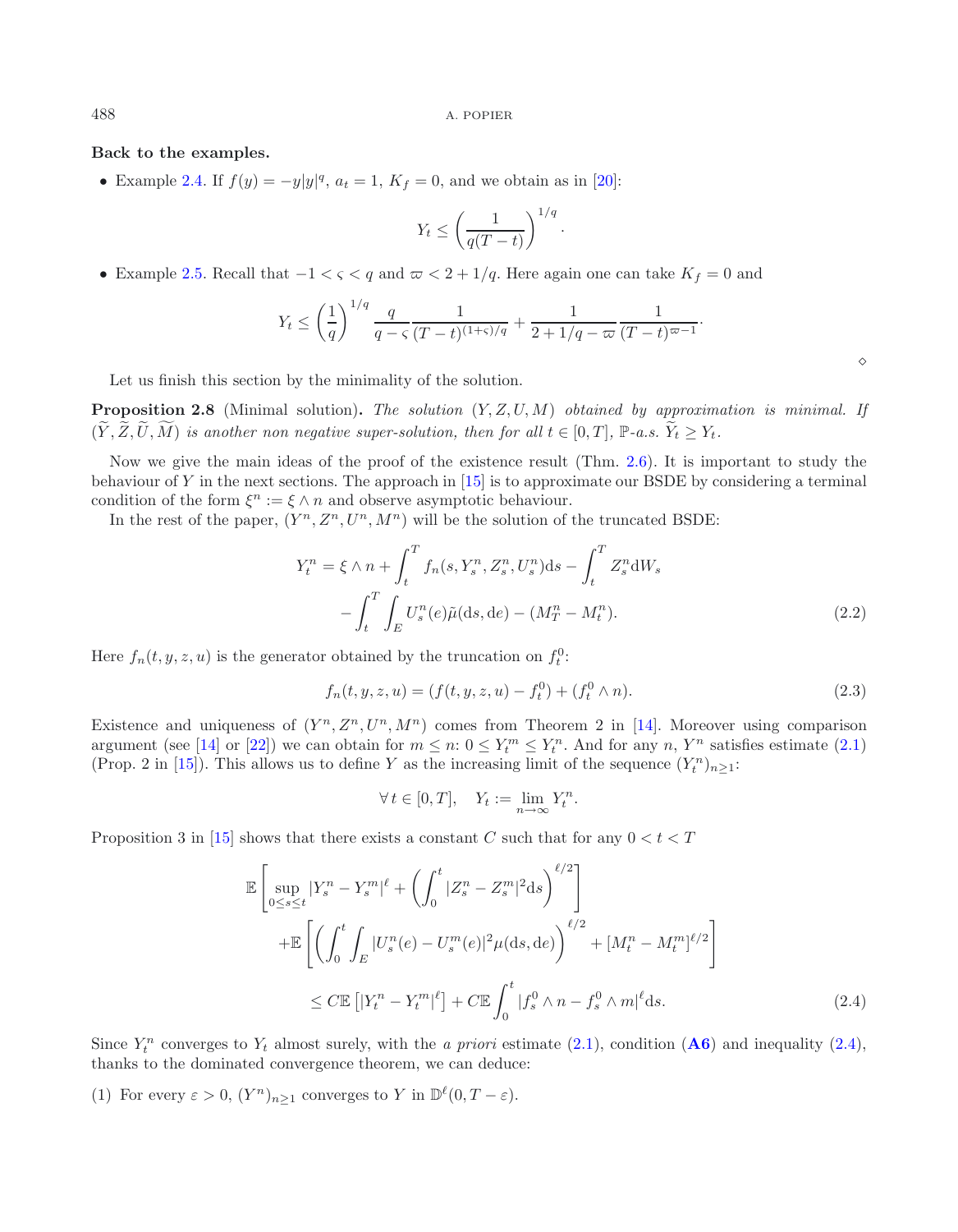**Back to the examples.**

• Example [2.4.](#page-6-1) If  $f(y) = -y|y|^q$ ,  $a_t = 1$ ,  $K_f = 0$ , and we obtain as in [\[20](#page-29-6)]:

$$
Y_t \le \left(\frac{1}{q(T-t)}\right)^{1/q}.
$$

• Example [2.5.](#page-7-0) Recall that  $-1 < \varsigma < q$  and  $\varpi < 2 + 1/q$ . Here again one can take  $K_f = 0$  and

$$
Y_t \le \left(\frac{1}{q}\right)^{1/q} \frac{q}{q-\varsigma} \frac{1}{(T-t)^{(1+\varsigma)/q}} + \frac{1}{2+1/q-\varpi} \frac{1}{(T-t)^{\varpi-1}}.
$$

Let us finish this section by the minimality of the solution.

**Proposition 2.8** (Minimal solution)**.** *The solution* (Y, Z, U, M) *obtained by approximation is minimal. If*  $(\widetilde{Y}, \widetilde{Z}, \widetilde{U}, \widetilde{M})$  is another non negative super-solution, then for all  $t \in [0, T]$ ,  $\mathbb{P}\text{-}a.s.$   $\widetilde{Y}_t \geq Y_t$ .

Now we give the main ideas of the proof of the existence result (Thm. [2.6\)](#page-7-1). It is important to study the behaviour of Y in the next sections. The approach in [\[15\]](#page-29-9) is to approximate our BSDE by considering a terminal condition of the form  $\xi^n := \xi \wedge n$  and observe asymptotic behaviour.

<span id="page-8-0"></span>In the rest of the paper,  $(Y^n, Z^n, U^n, M^n)$  will be the solution of the truncated BSDE:

$$
Y_t^n = \xi \wedge n + \int_t^T f_n(s, Y_s^n, Z_s^n, U_s^n) ds - \int_t^T Z_s^n dW_s
$$

$$
- \int_t^T \int_E U_s^n(e) \tilde{\mu}(ds, de) - (M_T^n - M_t^n). \tag{2.2}
$$

Here  $f_n(t, y, z, u)$  is the generator obtained by the truncation on  $f_t^0$ :

$$
f_n(t, y, z, u) = (f(t, y, z, u) - f_t^0) + (f_t^0 \wedge n). \tag{2.3}
$$

Existence and uniqueness of  $(Y^n, Z^n, U^n, M^n)$  comes from Theorem 2 in [\[14\]](#page-29-5). Moreover using comparison argument (see [\[14](#page-29-5)] or [\[22](#page-29-12)]) we can obtain for  $m \leq n: 0 \leq Y_t^m \leq Y_t^n$ . And for any  $n, Y^n$  satisfies estimate [\(2.1\)](#page-5-0) (Prop. 2 in [\[15\]](#page-29-9)). This allows us to define Y as the increasing limit of the sequence  $(Y_t^n)_{n\geq 1}$ :

$$
\forall t \in [0, T], \quad Y_t := \lim_{n \to \infty} Y_t^n.
$$

<span id="page-8-1"></span>Proposition 3 in [\[15](#page-29-9)] shows that there exists a constant C such that for any  $0 < t < T$ 

$$
\mathbb{E}\left[\sup_{0\leq s\leq t}|Y_{s}^{n}-Y_{s}^{m}|^{\ell}+\left(\int_{0}^{t}|Z_{s}^{n}-Z_{s}^{m}|^{2}\mathrm{d}s\right)^{\ell/2}\right] + \mathbb{E}\left[\left(\int_{0}^{t}\int_{E}|U_{s}^{n}(e)-U_{s}^{m}(e)|^{2}\mu(\mathrm{d}s,\mathrm{d}e)\right)^{\ell/2}+ [M_{t}^{n}-M_{t}^{m}]^{\ell/2}\right] \leq C\mathbb{E}\left[|Y_{t}^{n}-Y_{t}^{m}|^{\ell}\right] + C\mathbb{E}\int_{0}^{t}|f_{s}^{0}\wedge n-f_{s}^{0}\wedge m|^{\ell}\mathrm{d}s. \tag{2.4}
$$

Since  $Y_t^n$  converges to  $Y_t$  almost surely, with the *a priori* estimate [\(2.1\)](#page-5-0), condition (**[A6](#page-5-0)**) and inequality [\(2.4\)](#page-8-1), thanks to the dominated convergence theorem, we can deduce:

(1) For every  $\varepsilon > 0$ ,  $(Y^n)_{n \geq 1}$  converges to Y in  $\mathbb{D}^{\ell}(0, T - \varepsilon)$ .

 $\Diamond$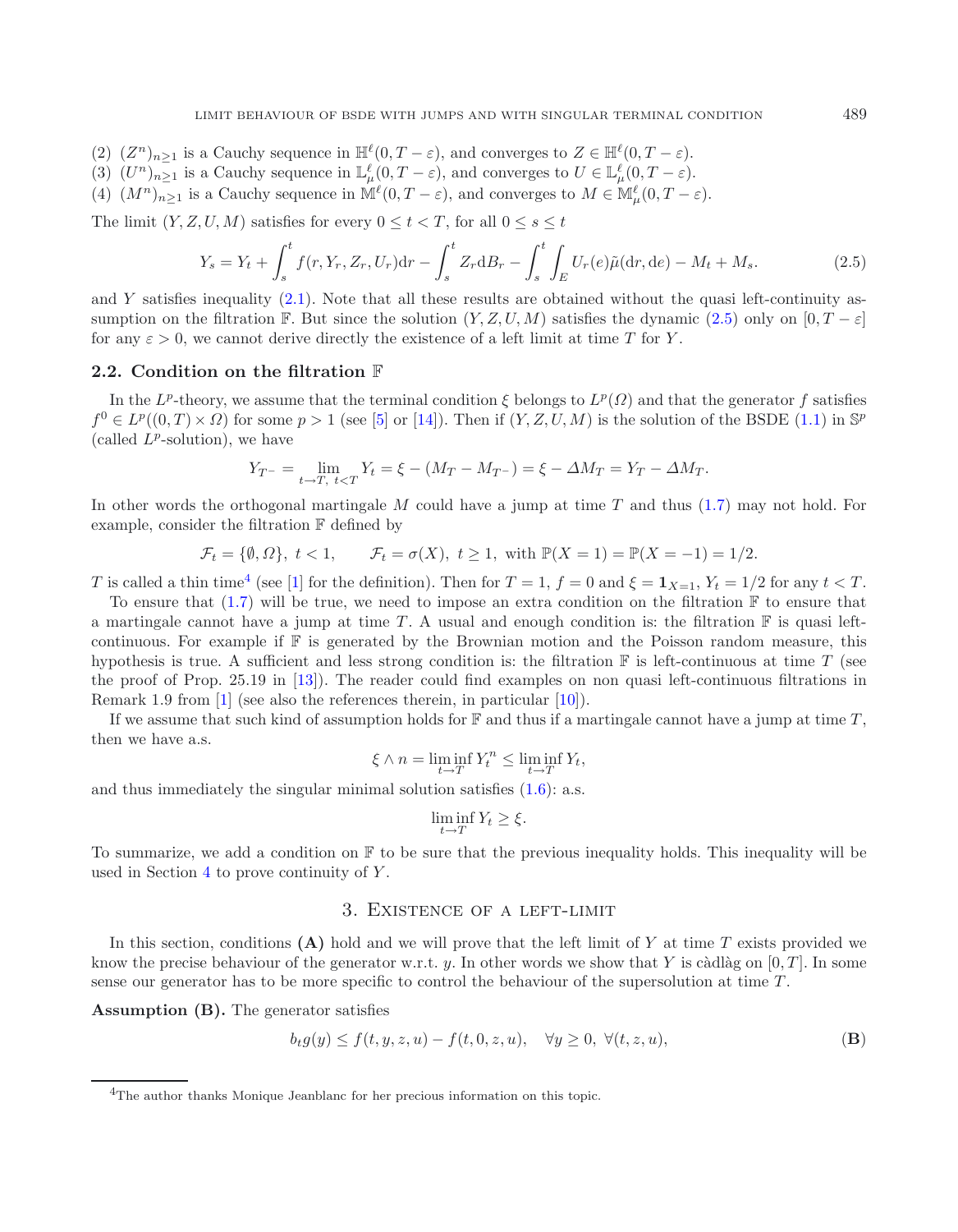- (2)  $(Z^n)_{n>1}$  is a Cauchy sequence in  $\mathbb{H}^{\ell}(0,T-\varepsilon)$ , and converges to  $Z \in \mathbb{H}^{\ell}(0,T-\varepsilon)$ .
- (3)  $(U^n)_{n\geq 1}$  is a Cauchy sequence in  $\mathbb{L}^{\ell}_{\mu}(0,T-\varepsilon)$ , and converges to  $U \in \mathbb{L}^{\ell}_{\mu}(0,T-\varepsilon)$ .
- (4)  $(M^n)_{n\geq 1}$  is a Cauchy sequence in  $\mathbb{M}^{\ell}(0,T-\varepsilon)$ , and converges to  $M \in \mathbb{M}_{\mu}^{\ell}(0,T-\varepsilon)$ .

The limit  $(Y, Z, U, M)$  satisfies for every  $0 \le t \le T$ , for all  $0 \le s \le t$ 

<span id="page-9-2"></span>
$$
Y_s = Y_t + \int_s^t f(r, Y_r, Z_r, U_r) dr - \int_s^t Z_r dB_r - \int_s^t \int_E U_r(e) \tilde{\mu}(dr, de) - M_t + M_s.
$$
 (2.5)

and Y satisfies inequality  $(2.1)$ . Note that all these results are obtained without the quasi left-continuity assumption on the filtration F. But since the solution  $(Y, Z, U, M)$  satisfies the dynamic [\(2.5\)](#page-9-2) only on  $[0, T - \varepsilon]$ for any  $\varepsilon > 0$ , we cannot derive directly the existence of a left limit at time T for Y.

#### <span id="page-9-0"></span>**2.2. Condition on the filtration** F

In the L<sup>p</sup>-theory, we assume that the terminal condition  $\xi$  belongs to  $L^p(\Omega)$  and that the generator f satisfies  $f^0 \in L^p((0,T) \times \Omega)$  for some  $p > 1$  (see [\[5\]](#page-29-10) or [\[14](#page-29-5)]). Then if  $(Y, Z, U, M)$  is the solution of the BSDE [\(1.1\)](#page-0-0) in  $\mathbb{S}^p$ (called  $L^p$ -solution), we have

$$
Y_{T^{-}} = \lim_{t \to T, t < T} Y_t = \xi - (M_T - M_{T^{-}}) = \xi - \Delta M_T = Y_T - \Delta M_T.
$$

In other words the orthogonal martingale M could have a jump at time T and thus [\(1.7\)](#page-2-0) may not hold. For example, consider the filtration F defined by

$$
\mathcal{F}_t = \{ \emptyset, \Omega \}, \ t < 1, \qquad \mathcal{F}_t = \sigma(X), \ t \ge 1, \text{ with } \mathbb{P}(X = 1) = \mathbb{P}(X = -1) = 1/2.
$$

T is called a thin time<sup>[4](#page-9-3)</sup> (see [\[1](#page-29-15)] for the definition). Then for  $T = 1$ ,  $f = 0$  and  $\xi = 1_{X=1}$ ,  $Y_t = 1/2$  for any  $t < T$ .

To ensure that  $(1.7)$  will be true, we need to impose an extra condition on the filtration  $\mathbb F$  to ensure that a martingale cannot have a jump at time T. A usual and enough condition is: the filtration  $\mathbb F$  is quasi leftcontinuous. For example if  $\mathbb F$  is generated by the Brownian motion and the Poisson random measure, this hypothesis is true. A sufficient and less strong condition is: the filtration  $\mathbb F$  is left-continuous at time T (see the proof of Prop. 25.19 in [\[13\]](#page-29-16)). The reader could find examples on non quasi left-continuous filtrations in Remark 1.9 from [\[1\]](#page-29-15) (see also the references therein, in particular [\[10\]](#page-29-17)).

If we assume that such kind of assumption holds for  $\mathbb F$  and thus if a martingale cannot have a jump at time  $T$ , then we have a.s.

$$
\xi \wedge n = \liminf_{t \to T} Y_t^n \le \liminf_{t \to T} Y_t,
$$

and thus immediately the singular minimal solution satisfies  $(1.6)$ : a.s.

$$
\liminf_{t \to T} Y_t \ge \xi.
$$

<span id="page-9-3"></span><span id="page-9-1"></span>To summarize, we add a condition on  $\mathbb F$  to be sure that the previous inequality holds. This inequality will be used in Section [4](#page-15-0) to prove continuity of Y .

# 3. Existence of a left-limit

In this section, conditions  $(A)$  hold and we will prove that the left limit of Y at time T exists provided we know the precise behaviour of the generator w.r.t. y. In other words we show that Y is càdlàg on  $[0, T]$ . In some sense our generator has to be more specific to control the behaviour of the supersolution at time T .

**Assumption (B).** The generator satisfies

$$
b_t g(y) \le f(t, y, z, u) - f(t, 0, z, u), \quad \forall y \ge 0, \ \forall (t, z, u),
$$
 (B)

<sup>4</sup>The author thanks Monique Jeanblanc for her precious information on this topic.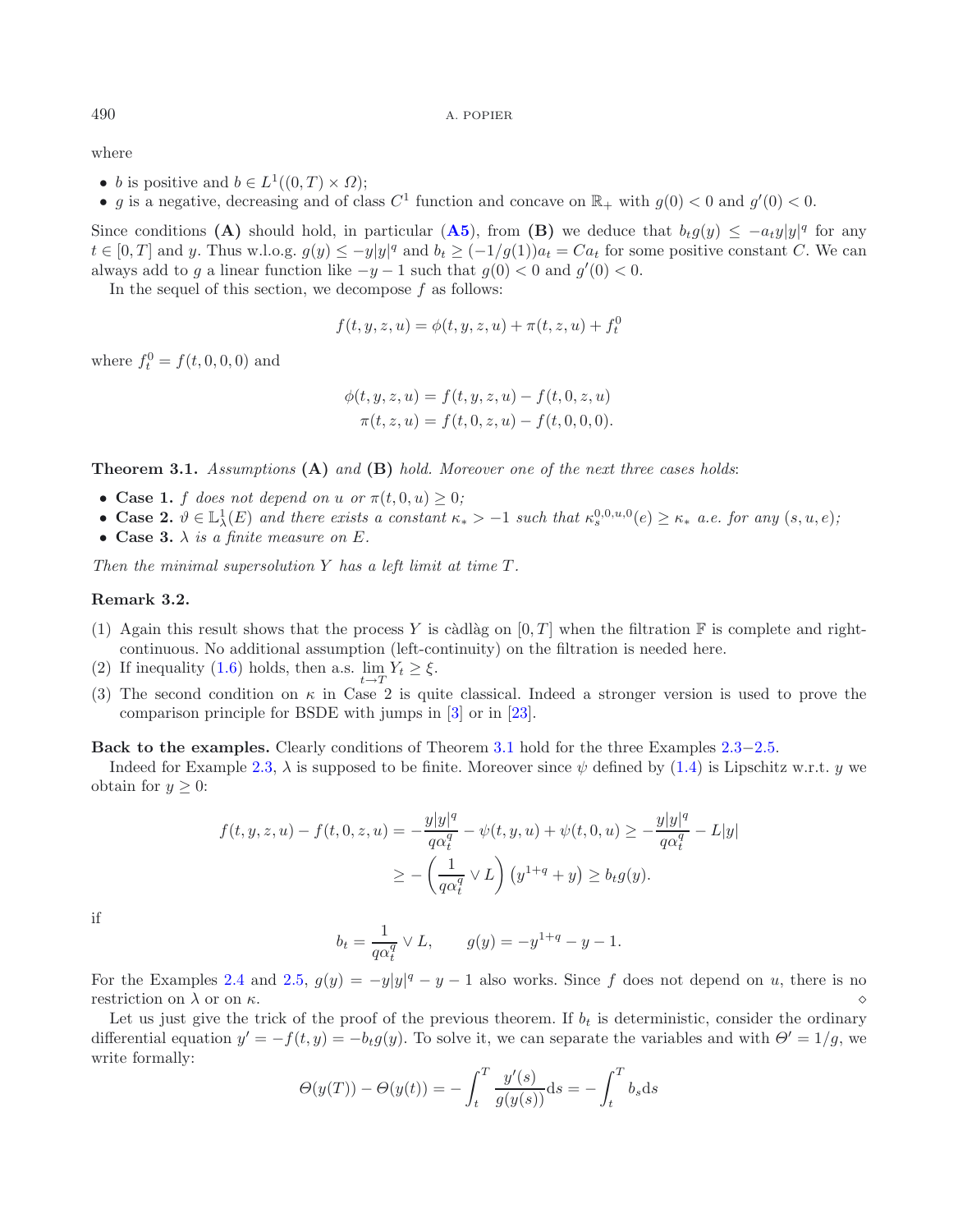where

- b is positive and  $b \in L^1((0,T) \times \Omega)$ ;
- g is a negative, decreasing and of class  $C^1$  function and concave on  $\mathbb{R}_+$  with  $g(0) < 0$  and  $g'(0) < 0$ .

<span id="page-10-0"></span>Since conditions **(A)** should hold, in particular **([A5](#page-5-0))**, from **(B)** we deduce that  $b_t g(y) \leq -a_t y |y|^q$  for any  $t \in [0,T]$  and y. Thus w.l.o.g.  $g(y) \le -y|y|^q$  and  $b_t \ge (-1/g(1))a_t = Ca_t$  for some positive constant C. We can always add to g a linear function like  $-y-1$  such that  $g(0) < 0$  and  $g'(0) < 0$ .

In the sequel of this section, we decompose  $f$  as follows:

$$
f(t, y, z, u) = \phi(t, y, z, u) + \pi(t, z, u) + f_t^0
$$

where  $f_t^0 = f(t, 0, 0, 0)$  and

$$
\phi(t, y, z, u) = f(t, y, z, u) - f(t, 0, z, u)
$$

$$
\pi(t, z, u) = f(t, 0, z, u) - f(t, 0, 0, 0).
$$

**Theorem 3.1.** *Assumptions* **(A)** *and* **(B)** *hold. Moreover one of the next three cases holds*:

- **Case 1.** f does not depend on u or  $\pi(t, 0, u) \geq 0$ ;
- **Case 2.**  $\vartheta \in \mathbb{L}^1_\lambda(E)$  and there exists a constant  $\kappa_* > -1$  such that  $\kappa_s^{0,0,u,0}(e) \geq \kappa_*$  *a.e.* for any  $(s, u, e)$ ;
- **Case 3.**  $\lambda$  *is a finite measure on*  $E$ *.*

*Then the minimal supersolution* Y *has a left limit at time* T *.*

## **Remark 3.2.**

- (1) Again this result shows that the process Y is càdlàg on  $[0, T]$  when the filtration F is complete and rightcontinuous. No additional assumption (left-continuity) on the filtration is needed here.
- (2) If inequality [\(1.6\)](#page-1-1) holds, then a.s.  $\lim_{t \to T} Y_t \ge \xi$ .
- (3) The second condition on  $\kappa$  in Case 2 is quite classical. Indeed a stronger version is used to prove the comparison principle for BSDE with jumps in [\[3](#page-29-4)] or in [\[23](#page-29-18)].

**Back to the examples.** Clearly conditions of Theorem [3.1](#page-10-0) hold for the three Examples [2.3](#page-6-0)−[2.5.](#page-7-0)

Indeed for Example [2.3,](#page-6-0)  $\lambda$  is supposed to be finite. Moreover since  $\psi$  defined by [\(1.4\)](#page-1-5) is Lipschitz w.r.t. y we obtain for  $y \geq 0$ :

$$
f(t, y, z, u) - f(t, 0, z, u) = -\frac{y|y|^q}{q\alpha_t^q} - \psi(t, y, u) + \psi(t, 0, u) \ge -\frac{y|y|^q}{q\alpha_t^q} - L|y|
$$
  

$$
\ge -\left(\frac{1}{q\alpha_t^q} \vee L\right) \left(y^{1+q} + y\right) \ge b_t g(y).
$$

if

$$
b_t = \frac{1}{q\alpha_t^q} \vee L
$$
,  $g(y) = -y^{1+q} - y - 1$ .

For the Examples [2.4](#page-6-1) and [2.5,](#page-7-0)  $g(y) = -y|y|^q - y - 1$  also works. Since f does not depend on u, there is no restriction on  $\lambda$  or on  $\kappa$ .

Let us just give the trick of the proof of the previous theorem. If  $b_t$  is deterministic, consider the ordinary differential equation  $y' = -f(t, y) = -b_t g(y)$ . To solve it, we can separate the variables and with  $\Theta' = 1/g$ , we write formally:

$$
\Theta(y(T)) - \Theta(y(t)) = -\int_t^T \frac{y'(s)}{g(y(s))} ds = -\int_t^T b_s ds
$$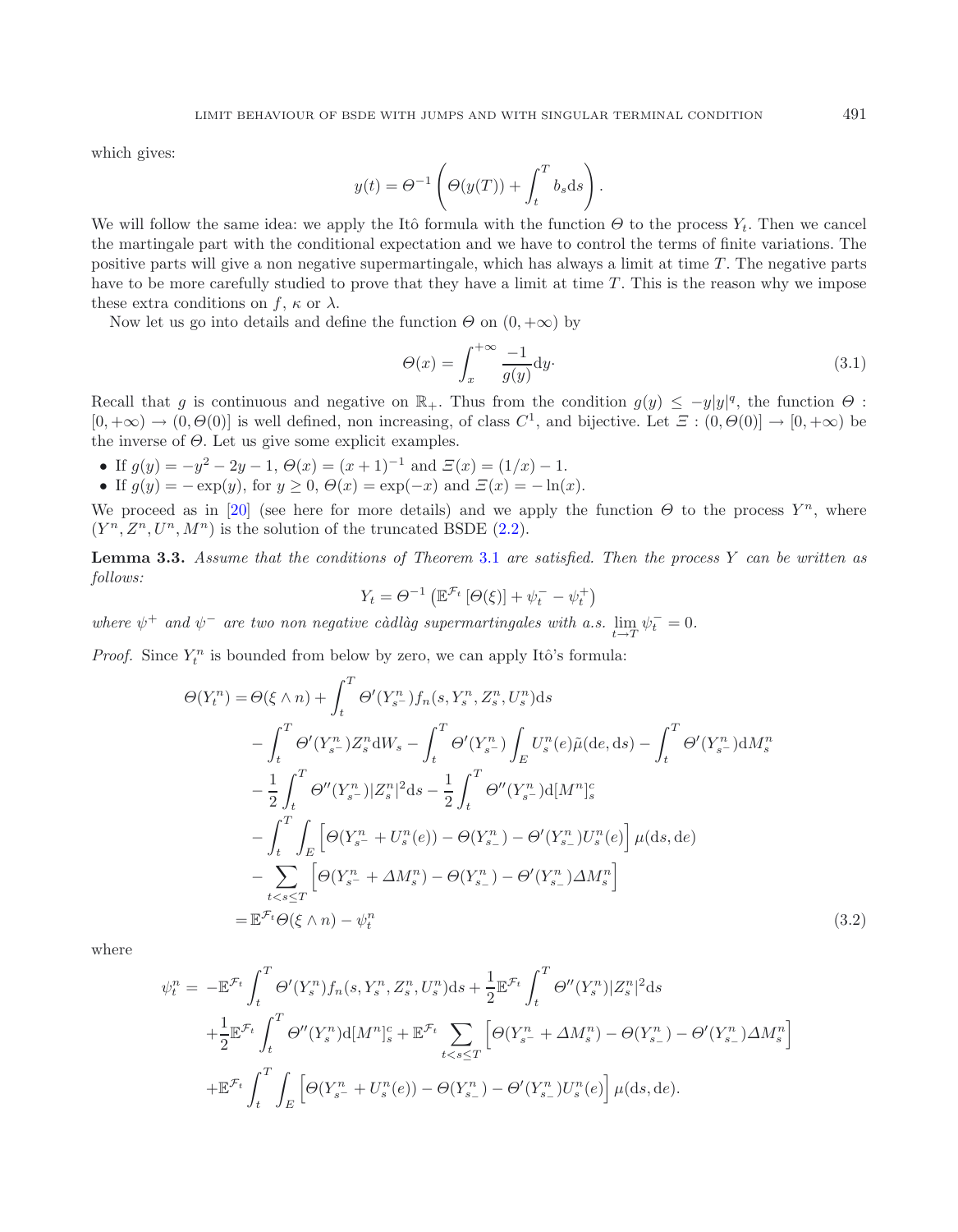which gives:

$$
y(t) = \Theta^{-1}\left(\Theta(y(T)) + \int_t^T b_s \, \mathrm{d}s\right).
$$

We will follow the same idea: we apply the Itô formula with the function  $\Theta$  to the process  $Y_t$ . Then we cancel the martingale part with the conditional expectation and we have to control the terms of finite variations. The positive parts will give a non negative supermartingale, which has always a limit at time  $T$ . The negative parts have to be more carefully studied to prove that they have a limit at time  $T$ . This is the reason why we impose these extra conditions on f,  $\kappa$  or  $\lambda$ .

Now let us go into details and define the function  $\Theta$  on  $(0, +\infty)$  by

$$
\Theta(x) = \int_{x}^{+\infty} \frac{-1}{g(y)} dy.
$$
\n(3.1)

Recall that g is continuous and negative on  $\mathbb{R}_+$ . Thus from the condition  $g(y) \le -y|y|^q$ , the function  $\Theta$ :  $[0, +\infty) \to (0, \Theta(0)]$  is well defined, non increasing, of class  $C^1$ , and bijective. Let  $\Xi : (0, \Theta(0)] \to [0, +\infty)$  be the inverse of  $\Theta$ . Let us give some explicit examples.

- If  $g(y) = -y^2 2y 1$ ,  $\Theta(x) = (x + 1)^{-1}$  and  $\Xi(x) = (1/x) 1$ .
- If  $g(y) = -\exp(y)$ , for  $y \ge 0$ ,  $\Theta(x) = \exp(-x)$  and  $\Xi(x) = -\ln(x)$ .

We proceed as in [\[20](#page-29-6)] (see here for more details) and we apply the function  $\Theta$  to the process  $Y^n$ , where  $(Y^n, Z^n, U^n, M^n)$  is the solution of the truncated BSDE [\(2.2\)](#page-8-0).

**Lemma 3.3.** *Assume that the conditions of Theorem* [3.1](#page-10-0) *are satisfied. Then the process* Y *can be written as follows:*

$$
Y_t = \Theta^{-1} \left( \mathbb{E}^{\mathcal{F}_t} \left[ \Theta(\xi) \right] + \psi_t^- - \psi_t^+ \right)
$$

*where*  $\psi^+$  *and*  $\psi^-$  *are two non negative càdlàg supermartingales with a.s.*  $\lim_{t \to T} \psi_t^- = 0$ .

*Proof.* Since  $Y_t^n$  is bounded from below by zero, we can apply Itô's formula:

$$
\Theta(Y_t^n) = \Theta(\xi \wedge n) + \int_t^T \Theta'(Y_{s-}^n) f_n(s, Y_s^n, Z_s^n, U_s^n) ds \n- \int_t^T \Theta'(Y_{s-}^n) Z_s^n dW_s - \int_t^T \Theta'(Y_{s-}^n) \int_E U_s^n(e) \tilde{\mu}(de, ds) - \int_t^T \Theta'(Y_{s-}^n) dM_s^n \n- \frac{1}{2} \int_t^T \Theta''(Y_{s-}^n) |Z_s^n|^2 ds - \frac{1}{2} \int_t^T \Theta''(Y_{s-}^n) d[M^n]_s^c \n- \int_t^T \int_E \left[ \Theta(Y_{s-}^n + U_s^n(e)) - \Theta(Y_{s-}^n) - \Theta'(Y_{s-}^n) U_s^n(e) \right] \mu(ds, de) \n- \sum_{t < s \le T} \left[ \Theta(Y_{s-}^n + \Delta M_s^n) - \Theta(Y_{s-}^n) - \Theta'(Y_{s-}^n) \Delta M_s^n \right] \n= \mathbb{E}^{\mathcal{F}_t} \Theta(\xi \wedge n) - \psi_t^n
$$
\n(3.2)

where

$$
\psi_t^n = -\mathbb{E}^{\mathcal{F}_t} \int_t^T \Theta'(Y_s^n) f_n(s, Y_s^n, Z_s^n, U_s^n) ds + \frac{1}{2} \mathbb{E}^{\mathcal{F}_t} \int_t^T \Theta''(Y_s^n) |Z_s^n|^2 ds + \frac{1}{2} \mathbb{E}^{\mathcal{F}_t} \int_t^T \Theta''(Y_s^n) d[M^n]_s^c + \mathbb{E}^{\mathcal{F}_t} \sum_{t < s \le T} \left[ \Theta(Y_{s-}^n + \Delta M_s^n) - \Theta(Y_{s-}^n) - \Theta'(Y_{s-}^n) \Delta M_s^n \right] + \mathbb{E}^{\mathcal{F}_t} \int_t^T \int_E \left[ \Theta(Y_{s-}^n + U_s^n(e)) - \Theta(Y_{s-}^n) - \Theta'(Y_{s-}^n) U_s^n(e) \right] \mu(ds, de).
$$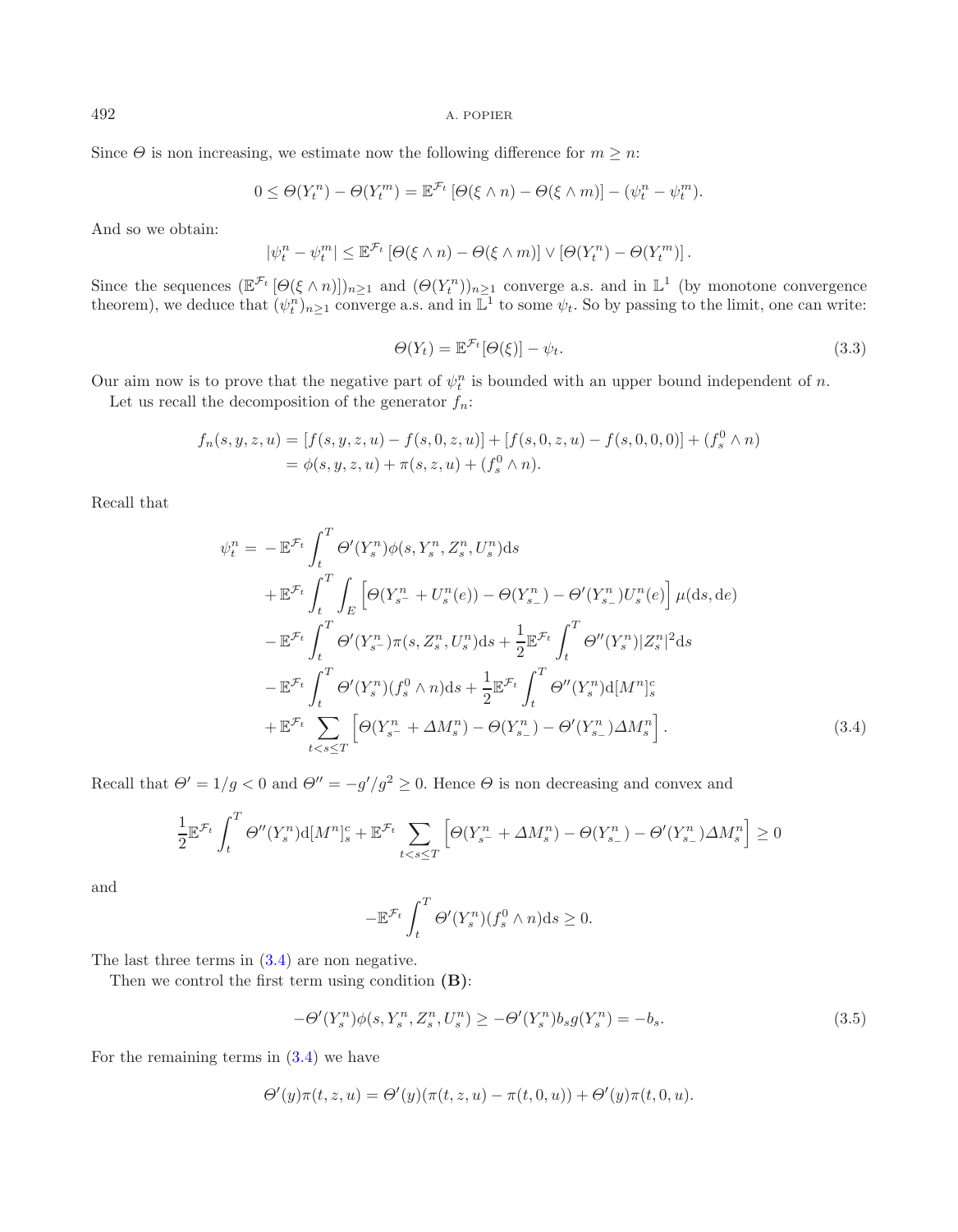Since  $\Theta$  is non increasing, we estimate now the following difference for  $m \geq n$ :

$$
0 \leq \Theta(Y_t^n) - \Theta(Y_t^m) = \mathbb{E}^{\mathcal{F}_t} \left[ \Theta(\xi \wedge n) - \Theta(\xi \wedge m) \right] - (\psi_t^n - \psi_t^m).
$$

And so we obtain:

$$
|\psi_t^n - \psi_t^m| \leq \mathbb{E}^{\mathcal{F}_t} \left[ \Theta(\xi \wedge n) - \Theta(\xi \wedge m) \right] \vee \left[ \Theta(Y_t^n) - \Theta(Y_t^m) \right].
$$

Since the sequences  $(\mathbb{E}^{\mathcal{F}_t}[\Theta(\xi \wedge n)])_{n\geq 1}$  and  $(\Theta(Y_t^n))_{n\geq 1}$  converge a.s. and in  $\mathbb{L}^1$  (by monotone convergence theorem), we deduce that  $(\psi_t^n)_{n\geq 1}$  converge a.s. and in  $\mathbb{L}^1$  to some  $\psi_t$ . So by passing to the limit, one can write:

$$
\Theta(Y_t) = \mathbb{E}^{\mathcal{F}_t}[\Theta(\xi)] - \psi_t.
$$
\n(3.3)

Our aim now is to prove that the negative part of  $\psi_t^n$  is bounded with an upper bound independent of n.

Let us recall the decomposition of the generator  $f_n$ :

$$
f_n(s, y, z, u) = [f(s, y, z, u) - f(s, 0, z, u)] + [f(s, 0, z, u) - f(s, 0, 0, 0)] + (f_s^0 \wedge n)
$$
  
=  $\phi(s, y, z, u) + \pi(s, z, u) + (f_s^0 \wedge n).$ 

<span id="page-12-0"></span>Recall that

$$
\psi_t^n = -\mathbb{E}^{\mathcal{F}_t} \int_t^T \Theta'(Y_s^n) \phi(s, Y_s^n, Z_s^n, U_s^n) ds \n+ \mathbb{E}^{\mathcal{F}_t} \int_t^T \int_E \left[ \Theta(Y_{s^-}^n + U_s^n(e)) - \Theta(Y_{s^-}^n) - \Theta'(Y_{s^-}^n) U_s^n(e) \right] \mu(ds, de) \n- \mathbb{E}^{\mathcal{F}_t} \int_t^T \Theta'(Y_{s^-}^n) \pi(s, Z_s^n, U_s^n) ds + \frac{1}{2} \mathbb{E}^{\mathcal{F}_t} \int_t^T \Theta''(Y_s^n) |Z_s^n|^2 ds \n- \mathbb{E}^{\mathcal{F}_t} \int_t^T \Theta'(Y_s^n) (f_s^0 \wedge n) ds + \frac{1}{2} \mathbb{E}^{\mathcal{F}_t} \int_t^T \Theta''(Y_s^n) d[M^n]_s^c \n+ \mathbb{E}^{\mathcal{F}_t} \sum_{t < s \le T} \left[ \Theta(Y_{s^-}^n + \Delta M_s^n) - \Theta(Y_{s^-}^n) - \Theta'(Y_{s^-}^n) \Delta M_s^n \right].
$$
\n(3.4)

Recall that  $\Theta' = 1/g < 0$  and  $\Theta'' = -g'/g^2 \ge 0$ . Hence  $\Theta$  is non decreasing and convex and

$$
\frac{1}{2} \mathbb{E}^{\mathcal{F}_t} \int_t^T \Theta''(Y_s^n) d[M^n]_s^c + \mathbb{E}^{\mathcal{F}_t} \sum_{t < s \le T} \left[ \Theta(Y_{s^-}^n + \Delta M_s^n) - \Theta(Y_{s^-}^n) - \Theta'(Y_{s^-}^n) \Delta M_s^n \right] \ge 0
$$

and

<span id="page-12-1"></span>
$$
-\mathbb{E}^{\mathcal{F}_t} \int_t^T \Theta'(Y_s^n)(f_s^0 \wedge n) \mathrm{d} s \ge 0.
$$

The last three terms in [\(3.4\)](#page-12-0) are non negative.

Then we control the first term using condition **(B)**:

$$
-\Theta'(Y_s^n)\phi(s,Y_s^n,Z_s^n,U_s^n) \ge -\Theta'(Y_s^n)b_sg(Y_s^n) = -b_s. \tag{3.5}
$$

For the remaining terms in  $(3.4)$  we have

$$
\Theta'(y)\pi(t, z, u) = \Theta'(y)(\pi(t, z, u) - \pi(t, 0, u)) + \Theta'(y)\pi(t, 0, u).
$$

<span id="page-12-2"></span>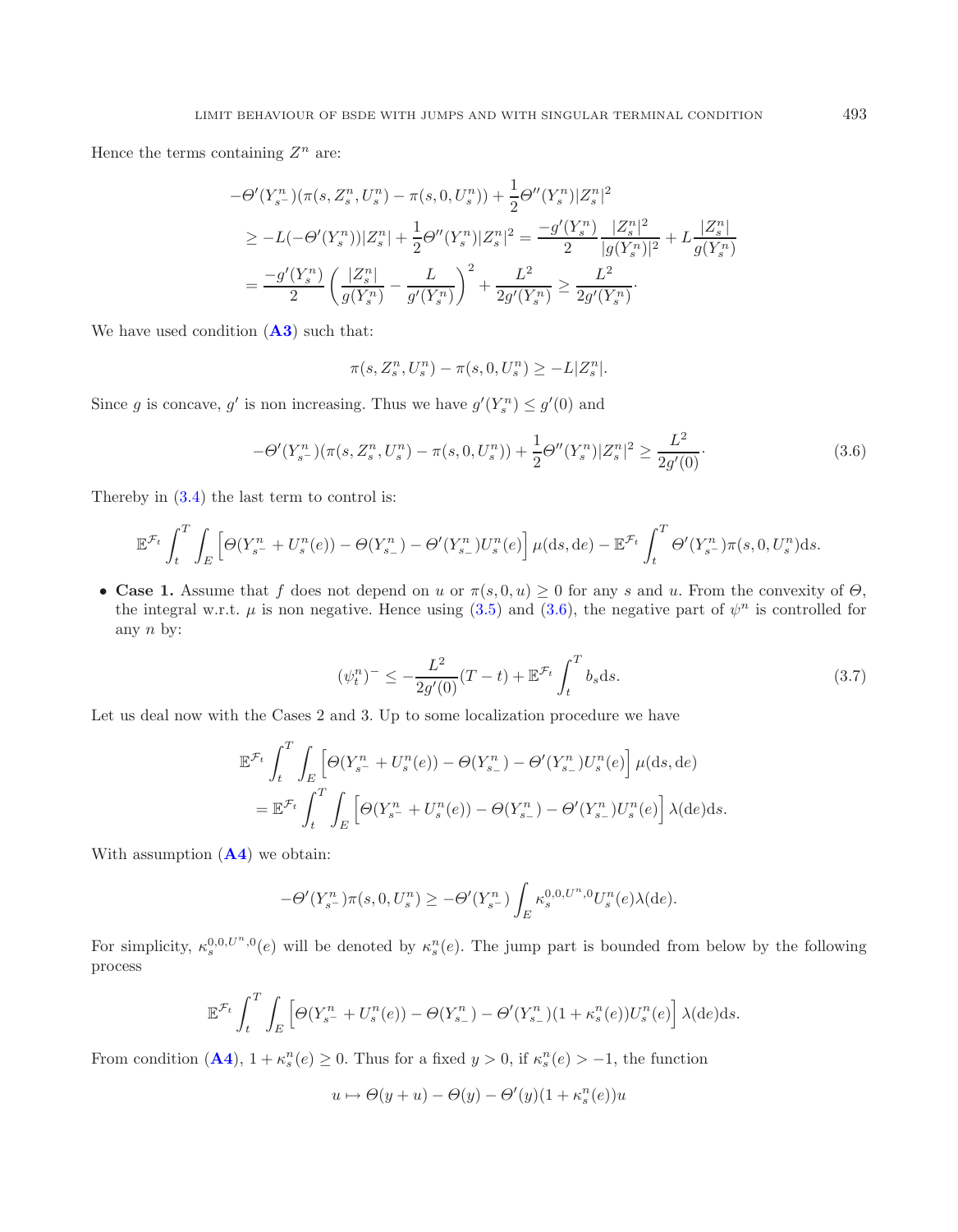Hence the terms containing  $Z^n$  are:

$$
-\Theta'(Y_{s}^{n})(\pi(s, Z_{s}^{n}, U_{s}^{n}) - \pi(s, 0, U_{s}^{n})) + \frac{1}{2}\Theta''(Y_{s}^{n})|Z_{s}^{n}|^{2}
$$
  
\n
$$
\geq -L(-\Theta'(Y_{s}^{n}))|Z_{s}^{n}| + \frac{1}{2}\Theta''(Y_{s}^{n})|Z_{s}^{n}|^{2} = \frac{-g'(Y_{s}^{n})}{2}\frac{|Z_{s}^{n}|^{2}}{|g(Y_{s}^{n})|^{2}} + L\frac{|Z_{s}^{n}|}{g(Y_{s}^{n})}
$$
  
\n
$$
= \frac{-g'(Y_{s}^{n})}{2}\left(\frac{|Z_{s}^{n}|}{g(Y_{s}^{n})} - \frac{L}{g'(Y_{s}^{n})}\right)^{2} + \frac{L^{2}}{2g'(Y_{s}^{n})} \geq \frac{L^{2}}{2g'(Y_{s}^{n})}.
$$

We have used condition (**[A3](#page-5-0)**) such that:

<span id="page-13-0"></span>
$$
\pi(s, Z_s^n, U_s^n) - \pi(s, 0, U_s^n) \ge -L|Z_s^n|.
$$

Since g is concave, g' is non increasing. Thus we have  $g'(Y_s^n) \le g'(0)$  and

$$
-\Theta'(Y_{s}^{n})(\pi(s, Z_{s}^{n}, U_{s}^{n}) - \pi(s, 0, U_{s}^{n})) + \frac{1}{2}\Theta''(Y_{s}^{n})|Z_{s}^{n}|^{2} \ge \frac{L^{2}}{2g'(0)}.
$$
\n(3.6)

Thereby in [\(3.4\)](#page-12-0) the last term to control is:

$$
\mathbb{E}^{\mathcal{F}_t} \int_t^T \int_E \left[ \Theta(Y_{s^-}^n + U_s^n(e)) - \Theta(Y_{s_-}^n) - \Theta'(Y_{s_-}^n) U_s^n(e) \right] \mu(\mathrm{d}s, \mathrm{d}e) - \mathbb{E}^{\mathcal{F}_t} \int_t^T \Theta'(Y_{s^-}^n) \pi(s, 0, U_s^n) \mathrm{d}s.
$$

<span id="page-13-1"></span>• **Case 1.** Assume that f does not depend on u or  $\pi(s, 0, u) \geq 0$  for any s and u. From the convexity of  $\Theta$ , the integral w.r.t.  $\mu$  is non negative. Hence using [\(3.5\)](#page-12-1) and [\(3.6\)](#page-13-0), the negative part of  $\psi^n$  is controlled for any  $n$  by:

$$
(\psi_t^n)^{-} \le -\frac{L^2}{2g'(0)}(T-t) + \mathbb{E}^{\mathcal{F}_t} \int_t^T b_s \, \mathrm{d}s. \tag{3.7}
$$

Let us deal now with the Cases 2 and 3. Up to some localization procedure we have

$$
\mathbb{E}^{\mathcal{F}_t} \int_t^T \int_E \left[ \Theta(Y_{s^-}^n + U_s^n(e)) - \Theta(Y_{s_-}^n) - \Theta'(Y_{s_-}^n) U_s^n(e) \right] \mu(\mathrm{d}s, \mathrm{d}e)
$$
  
= 
$$
\mathbb{E}^{\mathcal{F}_t} \int_t^T \int_E \left[ \Theta(Y_{s^-}^n + U_s^n(e)) - \Theta(Y_{s_-}^n) - \Theta'(Y_{s_-}^n) U_s^n(e) \right] \lambda(\mathrm{d}e) \mathrm{d}s.
$$

With assumption (**[A4](#page-5-0)**) we obtain:

$$
-\Theta'(Y_{s^-}^n)\pi(s,0,U_s^n) \ge -\Theta'(Y_{s^-}^n)\int_E \kappa_s^{0,0,U^n,0}U_s^n(e)\lambda(de).
$$

For simplicity,  $\kappa_s^{0,0,U^n,0}(e)$  will be denoted by  $\kappa_s^n(e)$ . The jump part is bounded from below by the following process

$$
\mathbb{E}^{\mathcal{F}_t} \int_t^T \int_E \left[ \Theta(Y_{s^-}^n + U_s^n(e)) - \Theta(Y_{s_-}^n) - \Theta'(Y_{s_-}^n)(1 + \kappa_s^n(e)) U_s^n(e) \right] \lambda(de)ds.
$$

From condition  $(A4)$  $(A4)$  $(A4)$ ,  $1 + \kappa_s^n(e) \ge 0$ . Thus for a fixed  $y > 0$ , if  $\kappa_s^n(e) > -1$ , the function

$$
u \mapsto \Theta(y+u) - \Theta(y) - \Theta'(y)(1 + \kappa_s^n(e))u
$$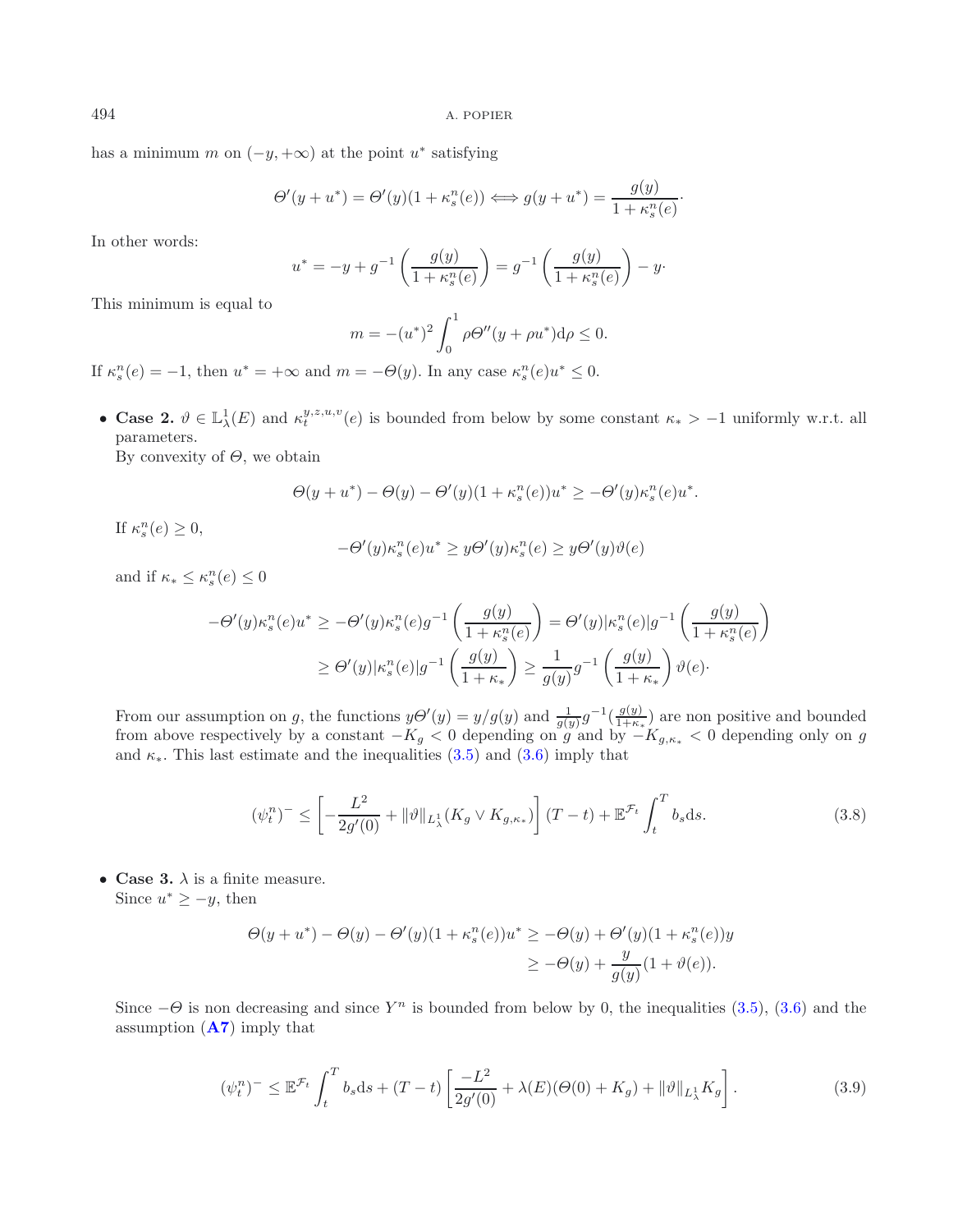has a minimum m on  $(-y, +\infty)$  at the point u<sup>\*</sup> satisfying

$$
\Theta'(y+u^*) = \Theta'(y)(1+\kappa_s^n(e)) \Longleftrightarrow g(y+u^*) = \frac{g(y)}{1+\kappa_s^n(e)}.
$$

In other words:

$$
u^* = -y + g^{-1}\left(\frac{g(y)}{1 + \kappa_s^n(e)}\right) = g^{-1}\left(\frac{g(y)}{1 + \kappa_s^n(e)}\right) - y.
$$

This minimum is equal to

$$
m = -(u^*)^2 \int_0^1 \rho \Theta''(y + \rho u^*) d\rho \le 0.
$$

If  $\kappa_s^n(e) = -1$ , then  $u^* = +\infty$  and  $m = -\Theta(y)$ . In any case  $\kappa_s^n(e)u^* \leq 0$ .

• **Case 2.**  $\vartheta \in \mathbb{L}^1_\lambda(E)$  and  $\kappa_t^{y,z,u,v}(e)$  is bounded from below by some constant  $\kappa_* > -1$  uniformly w.r.t. all parameters.

By convexity of  $\Theta$ , we obtain

$$
\Theta(y+u^*) - \Theta(y) - \Theta'(y)(1+\kappa_s^n(e))u^* \geq -\Theta'(y)\kappa_s^n(e)u^*.
$$

If  $\kappa_s^n(e) \geq 0$ ,

$$
-\Theta'(y)\kappa_s^n(e)u^* \ge y\Theta'(y)\kappa_s^n(e) \ge y\Theta'(y)\vartheta(e)
$$

and if  $\kappa_* \leq \kappa_s^n(e) \leq 0$ 

$$
-\Theta'(y)\kappa_s^n(e)u^* \ge -\Theta'(y)\kappa_s^n(e)g^{-1}\left(\frac{g(y)}{1+\kappa_s^n(e)}\right) = \Theta'(y)|\kappa_s^n(e)|g^{-1}\left(\frac{g(y)}{1+\kappa_s^n(e)}\right)
$$

$$
\ge \Theta'(y)|\kappa_s^n(e)|g^{-1}\left(\frac{g(y)}{1+\kappa_*}\right) \ge \frac{1}{g(y)}g^{-1}\left(\frac{g(y)}{1+\kappa_*}\right)\vartheta(e).
$$

<span id="page-14-0"></span>From our assumption on g, the functions  $y\Theta'(y) = y/g(y)$  and  $\frac{1}{g(y)}g^{-1}(\frac{g(y)}{1+\kappa_*})$  are non positive and bounded from above respectively by a constant  $-K_g < 0$  depending on g and by  $-K_{g,\kappa_*} < 0$  depending only on g and  $\kappa_*$ . This last estimate and the inequalities  $(3.5)$  and  $(3.6)$  imply that

$$
(\psi_t^n)^{-} \le \left[ -\frac{L^2}{2g'(0)} + \|\vartheta\|_{L^1_\lambda}(K_g \vee K_{g,\kappa_*}) \right] (T-t) + \mathbb{E}^{\mathcal{F}_t} \int_t^T b_s ds. \tag{3.8}
$$

• **Case 3.**  $\lambda$  is a finite measure. Since  $u^* \geq -y$ , then

$$
\Theta(y+u^*) - \Theta(y) - \Theta'(y)(1+\kappa_s^n(e))u^* \ge -\Theta(y) + \Theta'(y)(1+\kappa_s^n(e))y
$$
  

$$
\ge -\Theta(y) + \frac{y}{g(y)}(1+\vartheta(e)).
$$

<span id="page-14-1"></span>Since  $-\Theta$  is non decreasing and since Y<sup>n</sup> is bounded from below by 0, the inequalities [\(3.5\)](#page-12-1), [\(3.6\)](#page-13-0) and the assumption (**[A7](#page-5-0)**) imply that

$$
(\psi_t^n)^{-} \leq \mathbb{E}^{\mathcal{F}_t} \int_t^T b_s \, ds + (T - t) \left[ \frac{-L^2}{2g'(0)} + \lambda(E)(\Theta(0) + K_g) + \|\vartheta\|_{L^1_\lambda} K_g \right]. \tag{3.9}
$$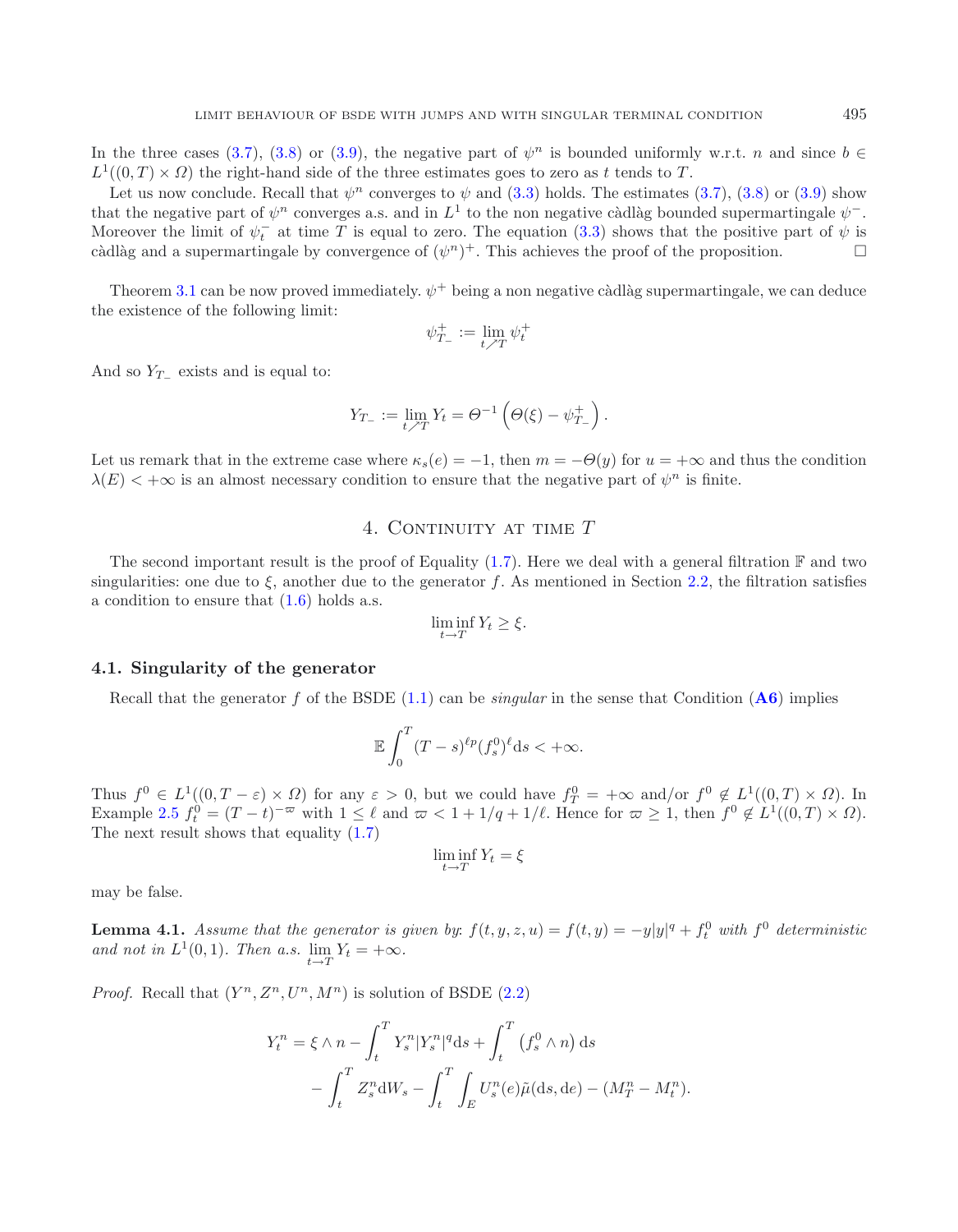In the three cases [\(3.7\)](#page-13-1), [\(3.8\)](#page-14-0) or [\(3.9\)](#page-14-1), the negative part of  $\psi^n$  is bounded uniformly w.r.t. *n* and since  $b \in$  $L^1((0,T) \times \Omega)$  the right-hand side of the three estimates goes to zero as t tends to T.

Let us now conclude. Recall that  $\psi^n$  converges to  $\psi$  and [\(3.3\)](#page-12-2) holds. The estimates [\(3.7\)](#page-13-1), [\(3.8\)](#page-14-0) or [\(3.9\)](#page-14-1) show that the negative part of  $\psi^n$  converges a.s. and in L<sup>1</sup> to the non negative càdlàg bounded supermartingale  $\psi^-$ . Moreover the limit of  $\psi_t^-$  at time T is equal to zero. The equation [\(3.3\)](#page-12-2) shows that the positive part of  $\psi$  is càdlàg and a supermartingale by convergence of  $(\psi^n)^+$ . This achieves the proof of the proposition.  $\Box$ 

Theorem [3.1](#page-10-0) can be now proved immediately.  $\psi^+$  being a non negative càdlàg supermartingale, we can deduce the existence of the following limit:

$$
\psi_{T_-}^+ := \lim_{t \nearrow T} \psi_t^+
$$

And so  $Y_T$  exists and is equal to:

$$
Y_{T_-} := \lim_{t \nearrow T} Y_t = \Theta^{-1} \left( \Theta(\xi) - \psi_{T_-}^+ \right).
$$

<span id="page-15-0"></span>Let us remark that in the extreme case where  $\kappa_s(e) = -1$ , then  $m = -\Theta(y)$  for  $u = +\infty$  and thus the condition  $\lambda(E) < +\infty$  is an almost necessary condition to ensure that the negative part of  $\psi^n$  is finite.

# 4. CONTINUITY AT TIME T

The second important result is the proof of Equality [\(1.7\)](#page-2-0). Here we deal with a general filtration  $\mathbb F$  and two singularities: one due to  $\xi$ , another due to the generator f. As mentioned in Section [2.2,](#page-9-0) the filtration satisfies a condition to ensure that [\(1.6\)](#page-1-1) holds a.s.

$$
\liminf_{t \to T} Y_t \ge \xi.
$$

#### **4.1. Singularity of the generator**

Recall that the generator f of the BSDE  $(1.1)$  can be *singular* in the sense that Condition  $(\mathbf{A6})$  $(\mathbf{A6})$  $(\mathbf{A6})$  implies

$$
\mathbb{E}\int_0^T (T-s)^{\ell p} (f_s^0)^{\ell} \mathrm{d} s < +\infty.
$$

Thus  $f^0 \in L^1((0,T-\varepsilon) \times \Omega)$  for any  $\varepsilon > 0$ , but we could have  $f_T^0 = +\infty$  and/or  $f^0 \notin L^1((0,T) \times \Omega)$ . In Example [2.5](#page-7-0)  $f_t^0 = (T - t)^{-\varpi}$  with  $1 \leq \ell$  and  $\varpi < 1 + 1/q + 1/\ell$ . Hence for  $\varpi \geq 1$ , then  $f^0 \notin L^1((0, T) \times \Omega)$ . The next result shows that equality [\(1.7\)](#page-2-0)

$$
\liminf_{t \to T} Y_t = \xi
$$

may be false.

**Lemma 4.1.** *Assume that the generator is given by:*  $f(t, y, z, u) = f(t, y) = -y|y|^q + f_t^0$  with  $f^0$  deterministic and not in  $L^1(0,1)$ *. Then a.s.* lim  $\lim_{t \to T} Y_t = +\infty.$ 

*Proof.* Recall that  $(Y^n, Z^n, U^n, M^n)$  is solution of BSDE [\(2.2\)](#page-8-0)

$$
Y_t^n = \xi \wedge n - \int_t^T Y_s^n |Y_s^n|^q \, \mathrm{d} s + \int_t^T \left( f_s^0 \wedge n \right) \, \mathrm{d} s
$$

$$
- \int_t^T Z_s^n \, \mathrm{d} W_s - \int_t^T \int_E U_s^n(e) \tilde{\mu}(\mathrm{d} s, \mathrm{d} e) - (M_T^n - M_t^n).
$$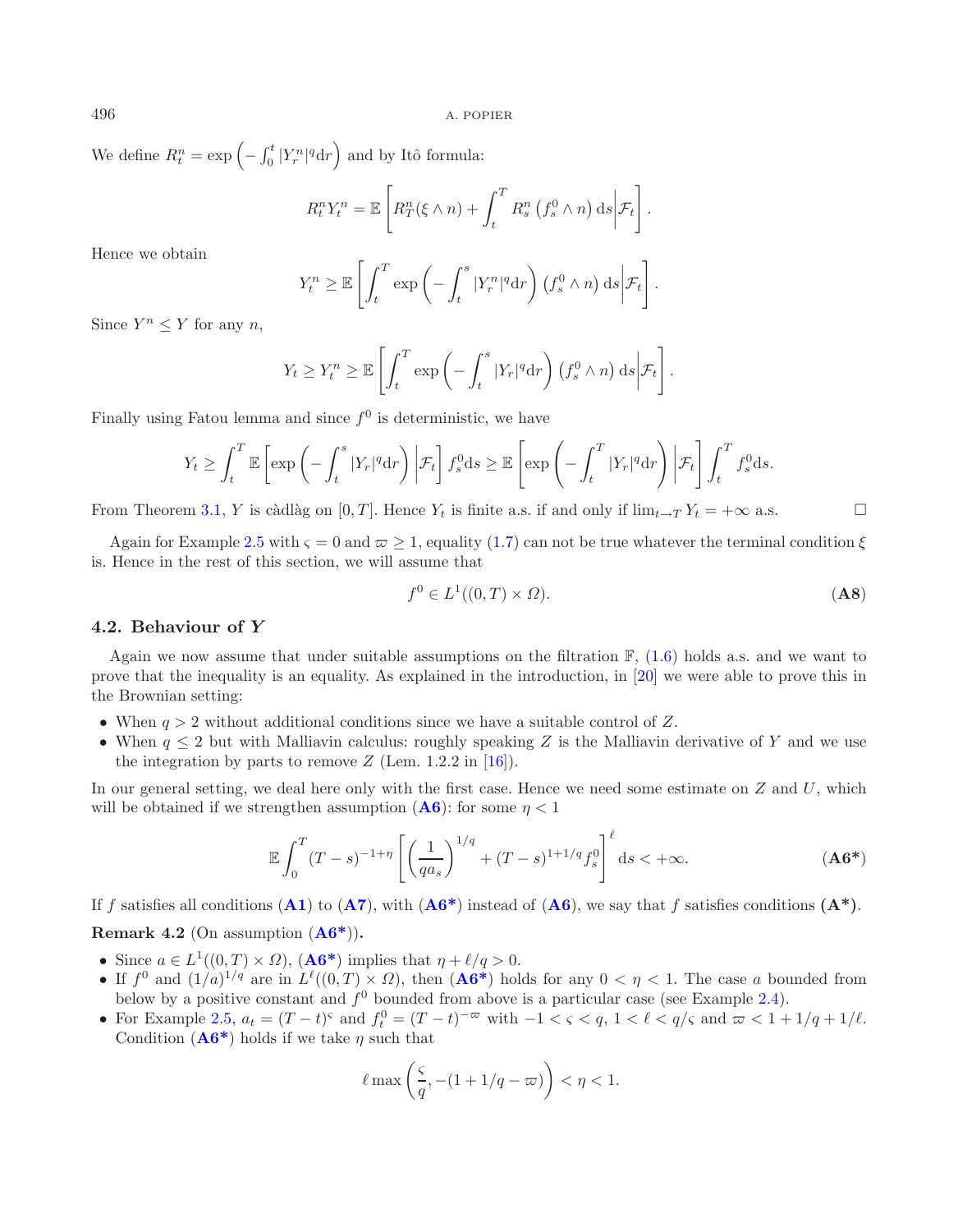We define  $R_t^n = \exp\left(-\int_0^t |Y_r^n|^q dr\right)$  and by Itô formula:

$$
R_t^n Y_t^n = \mathbb{E}\left[ R_T^n(\xi \wedge n) + \int_t^T R_s^n \left( f_s^0 \wedge n \right) \mathrm{d}s \bigg| \mathcal{F}_t \right].
$$

Hence we obtain

<span id="page-16-0"></span>
$$
Y_t^n \ge \mathbb{E}\left[\int_t^T \exp\left(-\int_t^s |Y_r^n|^q \mathrm{d}r\right) \left(f_s^0 \wedge n\right) \mathrm{d}s \bigg|\mathcal{F}_t\right].
$$

Since  $Y^n \leq Y$  for any n,

$$
Y_t \geq Y_t^n \geq \mathbb{E}\left[\int_t^T \exp\left(-\int_t^s |Y_r|^q \mathrm{d}r\right) \left(f_s^0 \wedge n\right) \mathrm{d}s \bigg|\mathcal{F}_t\right].
$$

Finally using Fatou lemma and since  $f^0$  is deterministic, we have

$$
Y_t \ge \int_t^T \mathbb{E}\left[\exp\left(-\int_t^s |Y_r|^q \mathrm{d}r\right) \bigg|\mathcal{F}_t\right] f_s^0 \mathrm{d}s \ge \mathbb{E}\left[\exp\left(-\int_t^T |Y_r|^q \mathrm{d}r\right) \bigg|\mathcal{F}_t\right] \int_t^T f_s^0 \mathrm{d}s.
$$

From Theorem [3.1,](#page-10-0) Y is càdlàg on [0, T]. Hence  $Y_t$  is finite a.s. if and only if  $\lim_{t\to T} Y_t = +\infty$  a.s.  $\Box$ 

Again for Example [2.5](#page-7-0) with  $\varsigma = 0$  and  $\varpi \ge 1$ , equality [\(1.7\)](#page-2-0) can not be true whatever the terminal condition  $\xi$ is. Hence in the rest of this section, we will assume that

$$
f^0 \in L^1((0,T) \times \Omega). \tag{A8}
$$

### **4.2. Behaviour of** *Y*

Again we now assume that under suitable assumptions on the filtration  $\mathbb{F}$ , [\(1.6\)](#page-1-1) holds a.s. and we want to prove that the inequality is an equality. As explained in the introduction, in [\[20](#page-29-6)] we were able to prove this in the Brownian setting:

- When  $q > 2$  without additional conditions since we have a suitable control of Z.
- When  $q \leq 2$  but with Malliavin calculus: roughly speaking Z is the Malliavin derivative of Y and we use the integration by parts to remove  $Z$  (Lem. 1.2.2 in [\[16](#page-29-19)]).

In our general setting, we deal here only with the first case. Hence we need some estimate on  $Z$  and  $U$ , which will be obtained if we strengthen assumption  $(A6)$  $(A6)$  $(A6)$ : for some  $\eta < 1$ 

$$
\mathbb{E}\int_0^T (T-s)^{-1+\eta} \left[ \left(\frac{1}{qa_s}\right)^{1/q} + (T-s)^{1+1/q} f_s^0 \right]^{\ell} ds < +\infty.
$$
 (A6\*)

If f satisfies all conditions  $(A1)$  $(A1)$  $(A1)$  to  $(A7)$  $(A7)$  $(A7)$ , with  $(A6^*)$  $(A6^*)$  $(A6^*)$  instead of  $(A6)$ , we say that f satisfies conditions  $(A^*)$ .

# **Remark 4.2** (On assumption (**[A6\\*](#page-16-0)**))**.**

- Since  $a \in L^1((0,T) \times \Omega)$ ,  $( \mathbf{A6^*})$  implies that  $\eta + \ell/q > 0$ .
- If  $f^0$  and  $(1/a)^{1/q}$  are in  $L^{\ell}((0,T) \times \Omega)$ , then  $( \mathbf{A6}^*)$  holds for any  $0 < \eta < 1$ . The case a bounded from below by a positive constant and  $f^0$  bounded from above is a particular case (see Example [2.4\)](#page-6-1).
- For Example [2.5,](#page-7-0)  $a_t = (T t)^s$  and  $f_t^0 = (T t)^{-\varpi}$  with  $-1 < \varsigma < q$ ,  $1 < \ell < q/\varsigma$  and  $\varpi < 1 + 1/q + 1/\ell$ . Condition  $(A6^*)$  holds if we take  $\eta$  such that

$$
\ell \max\left(\frac{\varsigma}{q},-(1+1/q-\varpi)\right)<\eta<1.
$$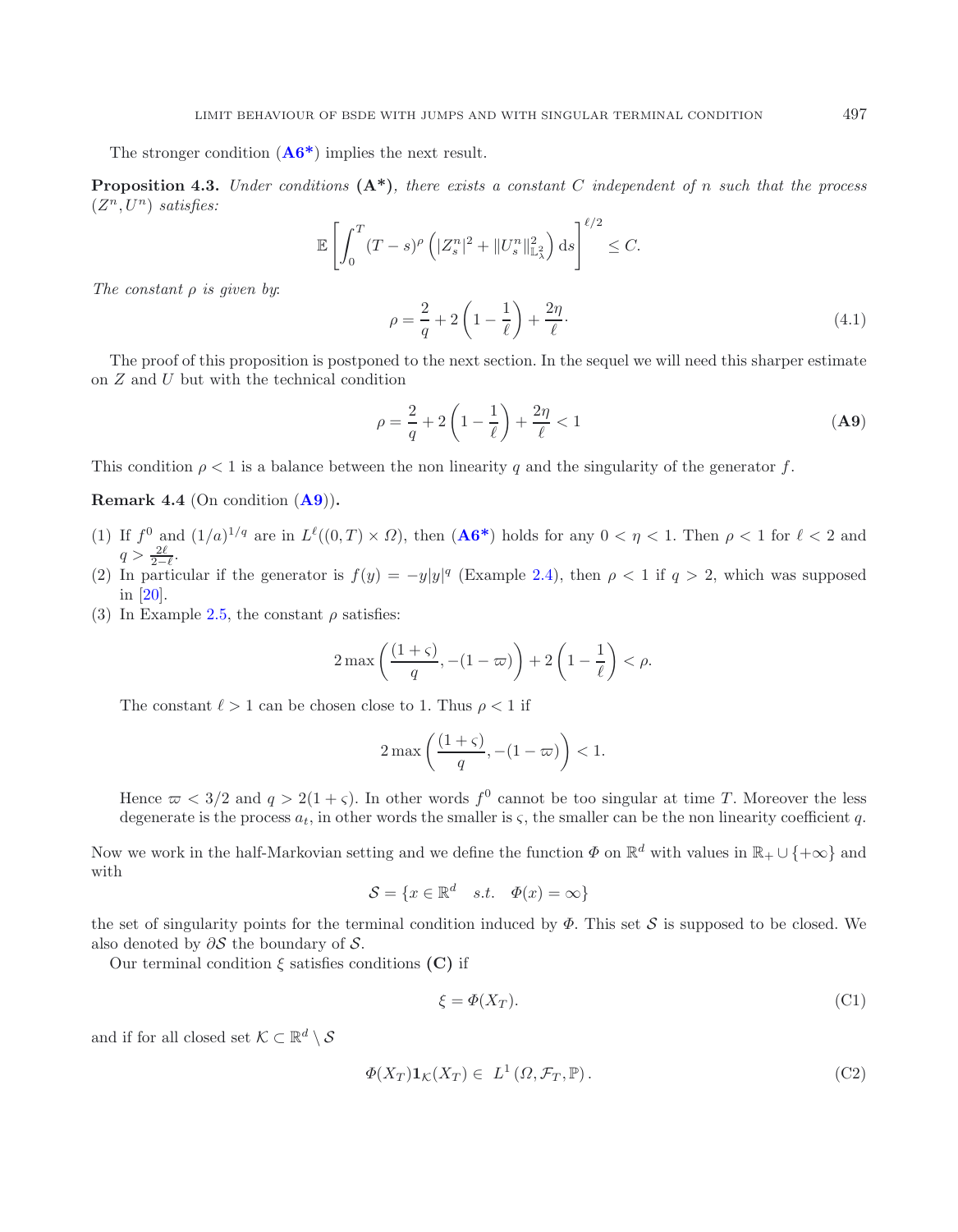The stronger condition (**[A6\\*](#page-16-0)**) implies the next result.

**Proposition 4.3.** *Under conditions* **(A\*)***, there exists a constant* C *independent of* n *such that the process*  $(Z^n, U^n)$  *satisfies:* 

<span id="page-17-1"></span><span id="page-17-0"></span>
$$
\mathbb{E}\left[\int_0^T (T-s)^\rho \left(|Z_s^n|^2 + \|U_s^n\|_{\mathbb{L}^2_\lambda}^2\right) \mathrm{d}s\right]^{\ell/2} \leq C.
$$

*The constant* ρ *is given by*:

$$
\rho = \frac{2}{q} + 2\left(1 - \frac{1}{\ell}\right) + \frac{2\eta}{\ell}.\tag{4.1}
$$

The proof of this proposition is postponed to the next section. In the sequel we will need this sharper estimate on Z and U but with the technical condition

$$
\rho = \frac{2}{q} + 2\left(1 - \frac{1}{\ell}\right) + \frac{2\eta}{\ell} < 1\tag{A9}
$$

This condition  $\rho < 1$  is a balance between the non linearity q and the singularity of the generator f.

**Remark 4.4** (On condition (**[A9](#page-17-0)**))**.**

- (1) If  $f^0$  and  $(1/a)^{1/q}$  are in  $L^{\ell}((0,T) \times \Omega)$ , then  $(A6^*)$  holds for any  $0 < \eta < 1$ . Then  $\rho < 1$  for  $\ell < 2$  and  $q > \frac{2\ell}{2-\ell}.$
- (2) In particular if the generator is  $f(y) = -y|y|^q$  (Example [2.4\)](#page-6-1), then  $\rho < 1$  if  $q > 2$ , which was supposed in [\[20\]](#page-29-6).
- (3) In Example [2.5,](#page-7-0) the constant  $\rho$  satisfies:

$$
2\max\left(\frac{(1+\varsigma)}{q}, -(1-\varpi)\right) + 2\left(1-\frac{1}{\ell}\right) < \rho.
$$

The constant  $\ell > 1$  can be chosen close to 1. Thus  $\rho < 1$  if

$$
2\max\left(\frac{(1+\varsigma)}{q}, -(1-\varpi)\right) < 1.
$$

Hence  $\omega < 3/2$  and  $q > 2(1+\varsigma)$ . In other words  $f^0$  cannot be too singular at time T. Moreover the less degenerate is the process  $a_t$ , in other words the smaller is  $\varsigma$ , the smaller can be the non linearity coefficient q.

Now we work in the half-Markovian setting and we define the function  $\Phi$  on  $\mathbb{R}^d$  with values in  $\mathbb{R}_+ \cup \{+\infty\}$  and with

$$
\mathcal{S} = \{ x \in \mathbb{R}^d \mid s.t. \quad \Phi(x) = \infty \}
$$

the set of singularity points for the terminal condition induced by  $\Phi$ . This set S is supposed to be closed. We also denoted by  $\partial S$  the boundary of S.

Our terminal condition  $\xi$  satisfies conditions **(C)** if

$$
\xi = \Phi(X_T). \tag{C1}
$$

and if for all closed set  $\mathcal{K} \subset \mathbb{R}^d \setminus \mathcal{S}$ 

$$
\Phi(X_T)\mathbf{1}_{\mathcal{K}}(X_T) \in L^1(\Omega, \mathcal{F}_T, \mathbb{P}).
$$
\n(C2)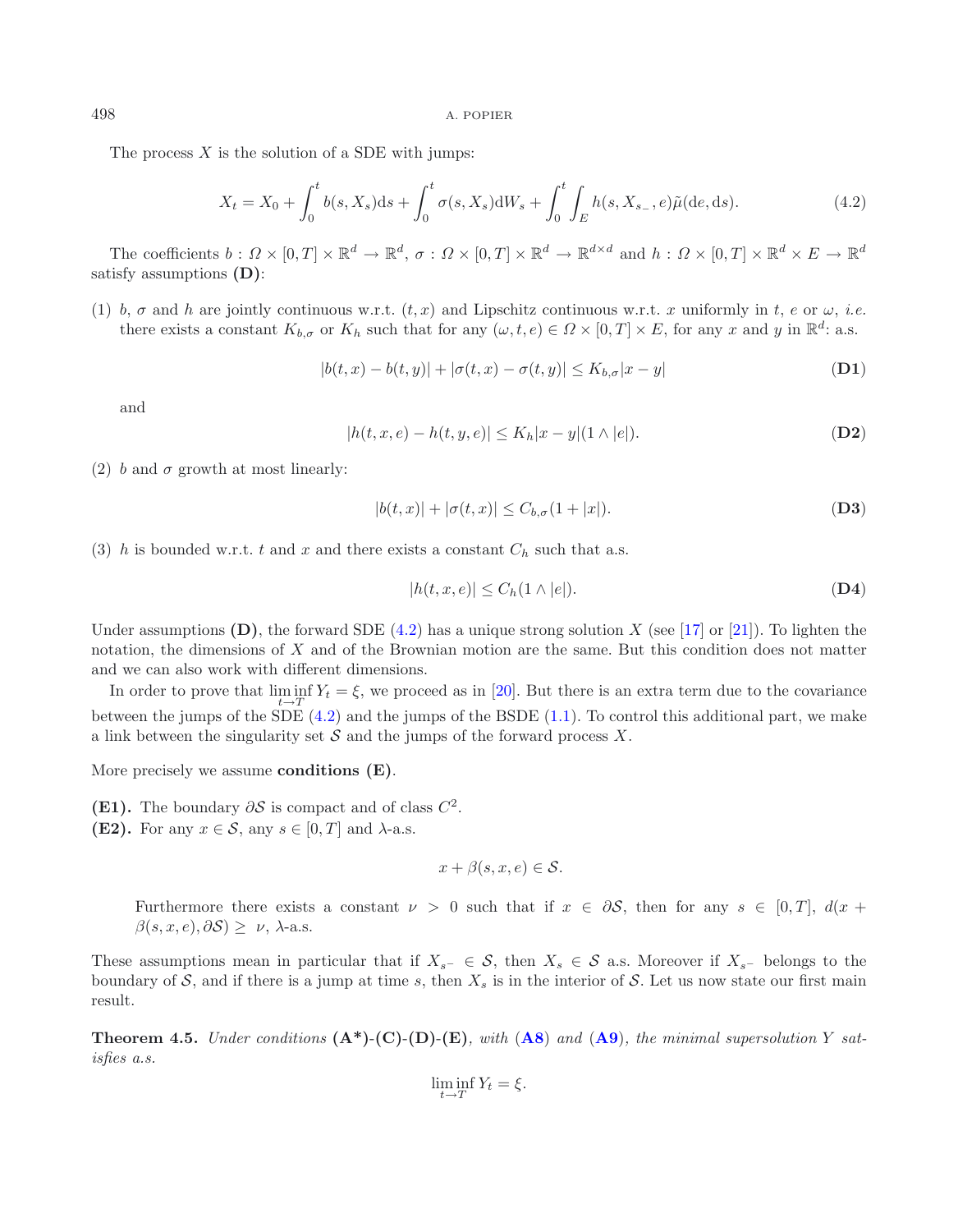The process  $X$  is the solution of a SDE with jumps:

$$
X_t = X_0 + \int_0^t b(s, X_s)ds + \int_0^t \sigma(s, X_s)dW_s + \int_0^t \int_E h(s, X_{s-}, e)\tilde{\mu}(de, ds). \tag{4.2}
$$

The coefficients  $b: \Omega \times [0,T] \times \mathbb{R}^d \to \mathbb{R}^d$ ,  $\sigma: \Omega \times [0,T] \times \mathbb{R}^d \to \mathbb{R}^{d \times d}$  and  $h: \Omega \times [0,T] \times \mathbb{R}^d \times E \to \mathbb{R}^d$ satisfy assumptions **(D)**:

(1) b,  $\sigma$  and h are jointly continuous w.r.t.  $(t, x)$  and Lipschitz continuous w.r.t. x uniformly in t, e or  $\omega$ , *i.e.* there exists a constant  $K_{b,\sigma}$  or  $K_h$  such that for any  $(\omega, t, e) \in \Omega \times [0,T] \times E$ , for any x and y in  $\mathbb{R}^d$ : a.s.

<span id="page-18-1"></span>
$$
|b(t, x) - b(t, y)| + |\sigma(t, x) - \sigma(t, y)| \le K_{b, \sigma} |x - y|
$$
 (D1)

and

$$
|h(t, x, e) - h(t, y, e)| \le K_h |x - y| (1 \wedge |e|). \tag{D2}
$$

(2) b and  $\sigma$  growth at most linearly:

$$
|b(t,x)| + |\sigma(t,x)| \le C_{b,\sigma}(1+|x|). \tag{D3}
$$

(3) h is bounded w.r.t. t and x and there exists a constant  $C_h$  such that a.s.

$$
|h(t, x, e)| \le C_h(1 \wedge |e|). \tag{D4}
$$

Under assumptions  $(D)$ , the forward SDE  $(4.2)$  has a unique strong solution X (see [\[17](#page-29-20)] or [\[21\]](#page-29-21)). To lighten the notation, the dimensions of X and of the Brownian motion are the same. But this condition does not matter and we can also work with different dimensions.

In order to prove that  $\liminf_{t\to T} Y_t = \xi$ , we proceed as in [\[20](#page-29-6)]. But there is an extra term due to the covariance between the jumps of the SDE [\(4.2\)](#page-17-0) and the jumps of the BSDE [\(1.1\)](#page-0-0). To control this additional part, we make a link between the singularity set  $S$  and the jumps of the forward process  $X$ .

<span id="page-18-0"></span>More precisely we assume **conditions (E)**.

- **(E1).** The boundary  $\partial S$  is compact and of class  $C^2$ .
- **(E2).** For any  $x \in \mathcal{S}$ , any  $s \in [0, T]$  and  $\lambda$ -a.s.

$$
x + \beta(s, x, e) \in \mathcal{S}.
$$

Furthermore there exists a constant  $\nu > 0$  such that if  $x \in \partial S$ , then for any  $s \in [0, T]$ ,  $d(x +$  $\beta(s, x, e), \partial S \geq \nu$ ,  $\lambda$ -a.s.

These assumptions mean in particular that if  $X_{s^-} \in \mathcal{S}$ , then  $X_s \in \mathcal{S}$  a.s. Moreover if  $X_{s^-}$  belongs to the boundary of S, and if there is a jump at time s, then  $X_s$  is in the interior of S. Let us now state our first main result.

**Theorem 4.5.** *Under conditions*  $(A^*)$ - $(C)$ - $(D)$ - $(E)$ *, with*  $(A8)$  $(A8)$  $(A8)$  *and*  $(A9)$  $(A9)$  $(A9)$ *, the minimal supersolution* Y *satisfies a.s.*

$$
\liminf_{t \to T} Y_t = \xi.
$$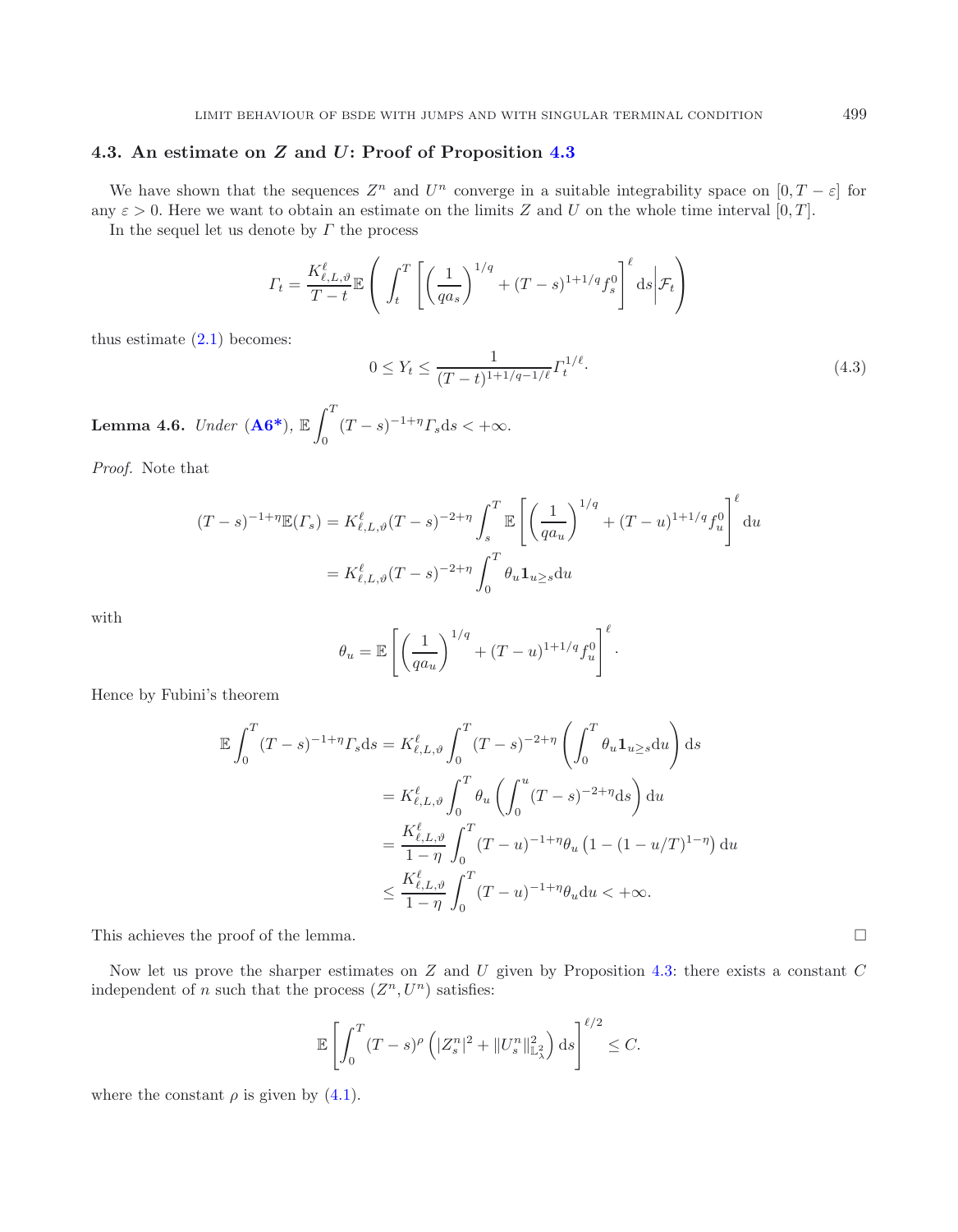# **4.3. An estimate on** *Z* **and** *U***: Proof of Proposition [4.3](#page-17-1)**

We have shown that the sequences  $Z^n$  and  $U^n$  converge in a suitable integrability space on  $[0, T - \varepsilon]$  for any  $\varepsilon > 0$ . Here we want to obtain an estimate on the limits Z and U on the whole time interval [0, T].

In the sequel let us denote by  $\Gamma$  the process

$$
\varGamma_t = \frac{K_{\ell,L,\vartheta}^{\ell}}{T-t} \mathbb{E}\left(\left.\int_t^T \left[\left(\frac{1}{qa_s}\right)^{1/q} + (T-s)^{1+1/q} f_s^0\right]^{\ell} \mathrm{d}s\right| \mathcal{F}_t\right)
$$

thus estimate  $(2.1)$  becomes:

$$
0 \le Y_t \le \frac{1}{(T-t)^{1+1/q-1/\ell}} \Gamma_t^{1/\ell}.
$$
\n(4.3)

Lemma 4.6. *Under*  $($ **A6**<sup>\*</sup> $)$ ,  $\mathbb{E}$   $\int$ <sup>*T*</sup>  $\theta$  $(T - s)^{-1 + \eta} \Gamma_s ds < +\infty.$ 

*Proof.* Note that

$$
(T - s)^{-1 + \eta} \mathbb{E}(T_s) = K_{\ell, L, \vartheta}^{\ell} (T - s)^{-2 + \eta} \int_s^T \mathbb{E}\left[\left(\frac{1}{q a_u}\right)^{1/q} + (T - u)^{1 + 1/q} f_u^0\right]^{\ell} du
$$
  
=  $K_{\ell, L, \vartheta}^{\ell} (T - s)^{-2 + \eta} \int_0^T \theta_u \mathbf{1}_{u \ge s} du$ 

with

$$
\theta_u = \mathbb{E}\left[\left(\frac{1}{qa_u}\right)^{1/q} + (T-u)^{1+1/q} f_u^0\right]^{\ell}.
$$

Hence by Fubini's theorem

$$
\mathbb{E} \int_0^T (T-s)^{-1+\eta} \Gamma_s \mathrm{d}s = K_{\ell,L,\vartheta}^{\ell} \int_0^T (T-s)^{-2+\eta} \left( \int_0^T \theta_u \mathbf{1}_{u \ge s} \mathrm{d}u \right) \mathrm{d}s
$$
  

$$
= K_{\ell,L,\vartheta}^{\ell} \int_0^T \theta_u \left( \int_0^u (T-s)^{-2+\eta} \mathrm{d}s \right) \mathrm{d}u
$$
  

$$
= \frac{K_{\ell,L,\vartheta}^{\ell}}{1-\eta} \int_0^T (T-u)^{-1+\eta} \theta_u \left( 1 - (1-u/T)^{1-\eta} \right) \mathrm{d}u
$$
  

$$
\le \frac{K_{\ell,L,\vartheta}^{\ell}}{1-\eta} \int_0^T (T-u)^{-1+\eta} \theta_u \mathrm{d}u < +\infty.
$$

This achieves the proof of the lemma.

Now let us prove the sharper estimates on  $Z$  and  $U$  given by Proposition [4.3:](#page-17-1) there exists a constant  $C$ independent of n such that the process  $(Z^n, U^n)$  satisfies:

$$
\mathbb{E}\left[\int_0^T (T-s)^{\rho}\left(|Z_s^n|^2 + \|U_s^n\|_{\mathbb{L}^2_\lambda}^2\right) \mathrm{d}s\right]^{\ell/2} \leq C.
$$

where the constant  $\rho$  is given by [\(4.1\)](#page-16-0).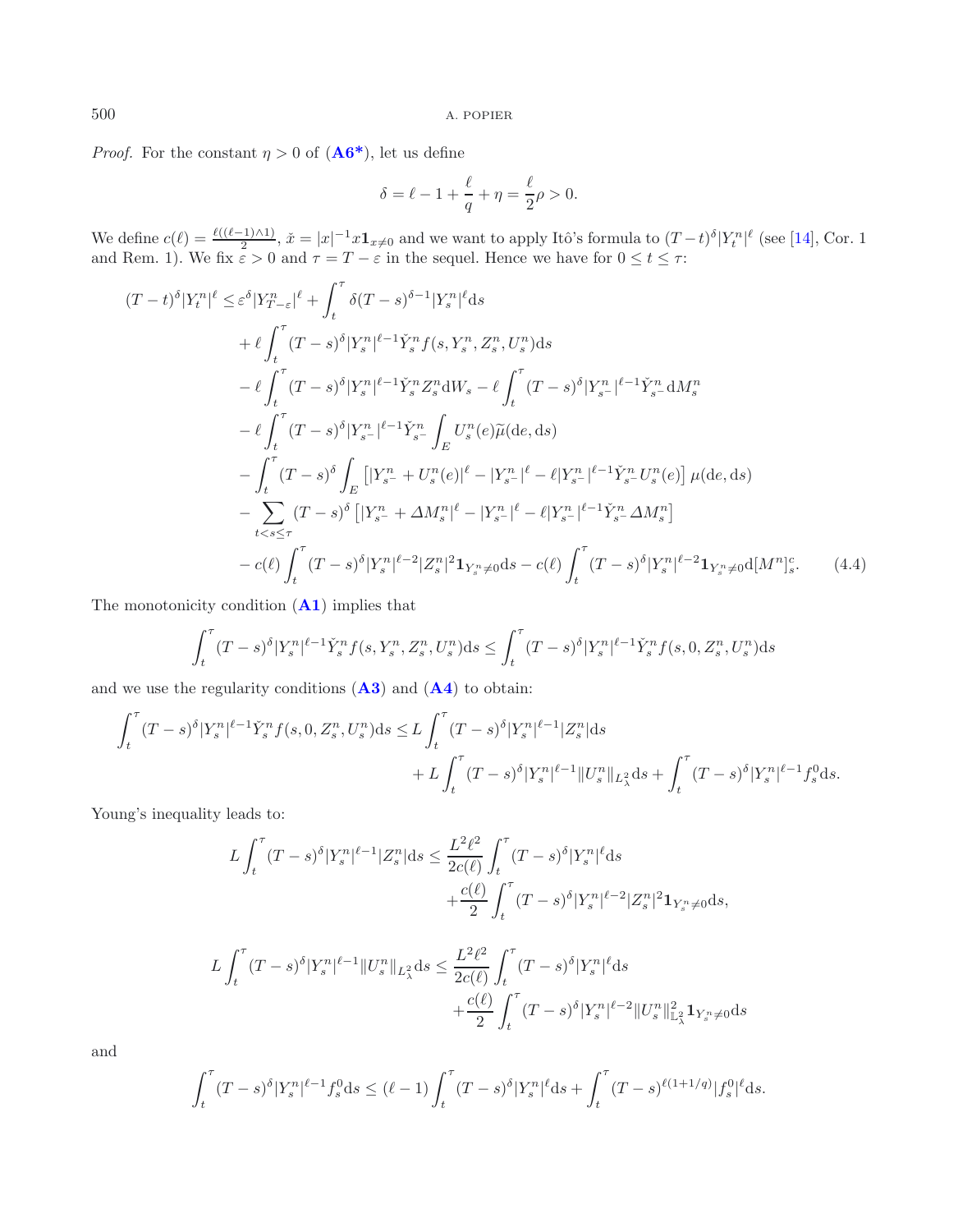*Proof.* For the constant  $\eta > 0$  of  $( \mathbf{A6}^* )$ , let us define

<span id="page-20-0"></span>
$$
\delta = \ell - 1 + \frac{\ell}{q} + \eta = \frac{\ell}{2}\rho > 0.
$$

We define  $c(\ell) = \frac{\ell((\ell-1)\wedge 1)}{2}$ ,  $\check{x} = |x|^{-1}x \mathbf{1}_{x\neq 0}$  and we want to apply Itô's formula to  $(T-t)^{\delta} |Y_t^n|^{\ell}$  (see [\[14\]](#page-29-5), Cor. 1 and Rem. 1). We fix  $\varepsilon > 0$  and  $\tau = T - \varepsilon$  in the sequel. Hence we have for  $0 \le t \le \tau$ :

$$
(T-t)^{\delta}|Y_{t}^{n}|^{\ell} \leq \varepsilon^{\delta}|Y_{T-\varepsilon}^{n}|^{\ell} + \int_{t}^{\tau} \delta(T-s)^{\delta-1}|Y_{s}^{n}|^{\ell}ds
$$
  
+  $\ell \int_{t}^{\tau} (T-s)^{\delta}|Y_{s}^{n}|^{\ell-1}\tilde{Y}_{s}^{n}f(s,Y_{s}^{n},Z_{s}^{n},U_{s}^{n})ds$   
-  $\ell \int_{t}^{\tau} (T-s)^{\delta}|Y_{s}^{n}|^{\ell-1}\tilde{Y}_{s}^{n}Z_{s}^{n}dW_{s} - \ell \int_{t}^{\tau} (T-s)^{\delta}|Y_{s}^{n}|^{\ell-1}\tilde{Y}_{s}^{n}dM_{s}^{n}$   
-  $\ell \int_{t}^{\tau} (T-s)^{\delta}|Y_{s}^{n}|^{\ell-1}\tilde{Y}_{s}^{n} \int_{E} U_{s}^{n}(e)\tilde{\mu}(de,ds)$   
-  $\int_{t}^{\tau} (T-s)^{\delta} \int_{E} [|Y_{s}^{n} + U_{s}^{n}(e)|^{\ell} - |Y_{s}^{n}|^{\ell} - \ell|Y_{s}^{n}|^{\ell-1}\tilde{Y}_{s}^{n}U_{s}^{n}(e)] \mu(de,ds)$   
-  $\sum_{t < s \leq \tau} (T-s)^{\delta} [|Y_{s}^{n} + \Delta M_{s}^{n}|^{\ell} - |Y_{s}^{n}|^{\ell} - \ell|Y_{s}^{n}|^{\ell-1}\tilde{Y}_{s}^{n} \Delta M_{s}^{n}]$   
-  $c(\ell) \int_{t}^{\tau} (T-s)^{\delta}|Y_{s}^{n}|^{\ell-2}|Z_{s}^{n}|^{2}Y_{s}^{n} \neq 0 ds - c(\ell) \int_{t}^{\tau} (T-s)^{\delta}|Y_{s}^{n}|^{\ell-2}Y_{s}^{n} \neq 0$ [M<sup>n</sup>]<sub>s</sub>. (4.4)

The monotonicity condition (**[A1](#page-5-0)**) implies that

$$
\int_{t}^{\tau} (T-s)^{\delta} |Y_{s}^{n}|^{\ell-1} \check{Y}_{s}^{n} f(s, Y_{s}^{n}, Z_{s}^{n}, U_{s}^{n}) ds \leq \int_{t}^{\tau} (T-s)^{\delta} |Y_{s}^{n}|^{\ell-1} \check{Y}_{s}^{n} f(s, 0, Z_{s}^{n}, U_{s}^{n}) ds
$$

and we use the regularity conditions (**[A3](#page-5-0)**) and (**[A4](#page-5-0)**) to obtain:

$$
\int_{t}^{\tau} (T-s)^{\delta} |Y_{s}^{n}|^{\ell-1} \check{Y}_{s}^{n} f(s, 0, Z_{s}^{n}, U_{s}^{n}) ds \leq L \int_{t}^{\tau} (T-s)^{\delta} |Y_{s}^{n}|^{\ell-1} |Z_{s}^{n}| ds \n+ L \int_{t}^{\tau} (T-s)^{\delta} |Y_{s}^{n}|^{\ell-1} ||U_{s}^{n}||_{L_{\lambda}^{2}} ds + \int_{t}^{\tau} (T-s)^{\delta} |Y_{s}^{n}|^{\ell-1} f_{s}^{0} ds.
$$

Young's inequality leads to:

$$
L \int_{t}^{\tau} (T - s)^{\delta} |Y_{s}^{n}|^{\ell - 1} |Z_{s}^{n}| ds \leq \frac{L^{2} \ell^{2}}{2c(\ell)} \int_{t}^{\tau} (T - s)^{\delta} |Y_{s}^{n}|^{\ell} ds + \frac{c(\ell)}{2} \int_{t}^{\tau} (T - s)^{\delta} |Y_{s}^{n}|^{\ell - 2} |Z_{s}^{n}|^{2} \mathbf{1}_{Y_{s}^{n} \neq 0} ds,
$$

$$
L \int_{t}^{\tau} (T-s)^{\delta} |Y_{s}^{n}|^{\ell-1} ||U_{s}^{n}||_{L_{\lambda}^{2}} ds \leq \frac{L^{2} \ell^{2}}{2c(\ell)} \int_{t}^{\tau} (T-s)^{\delta} |Y_{s}^{n}|^{\ell} ds +\frac{c(\ell)}{2} \int_{t}^{\tau} (T-s)^{\delta} |Y_{s}^{n}|^{\ell-2} ||U_{s}^{n}||_{L_{\lambda}^{2}}^{2} \mathbf{1}_{Y_{s}^{n} \neq 0} ds
$$

and

$$
\int_t^{\tau} (T-s)^{\delta} |Y_s^n|^{\ell-1} f_s^0 ds \le (\ell-1) \int_t^{\tau} (T-s)^{\delta} |Y_s^n|^{\ell} ds + \int_t^{\tau} (T-s)^{\ell(1+1/q)} |f_s^0|^{\ell} ds.
$$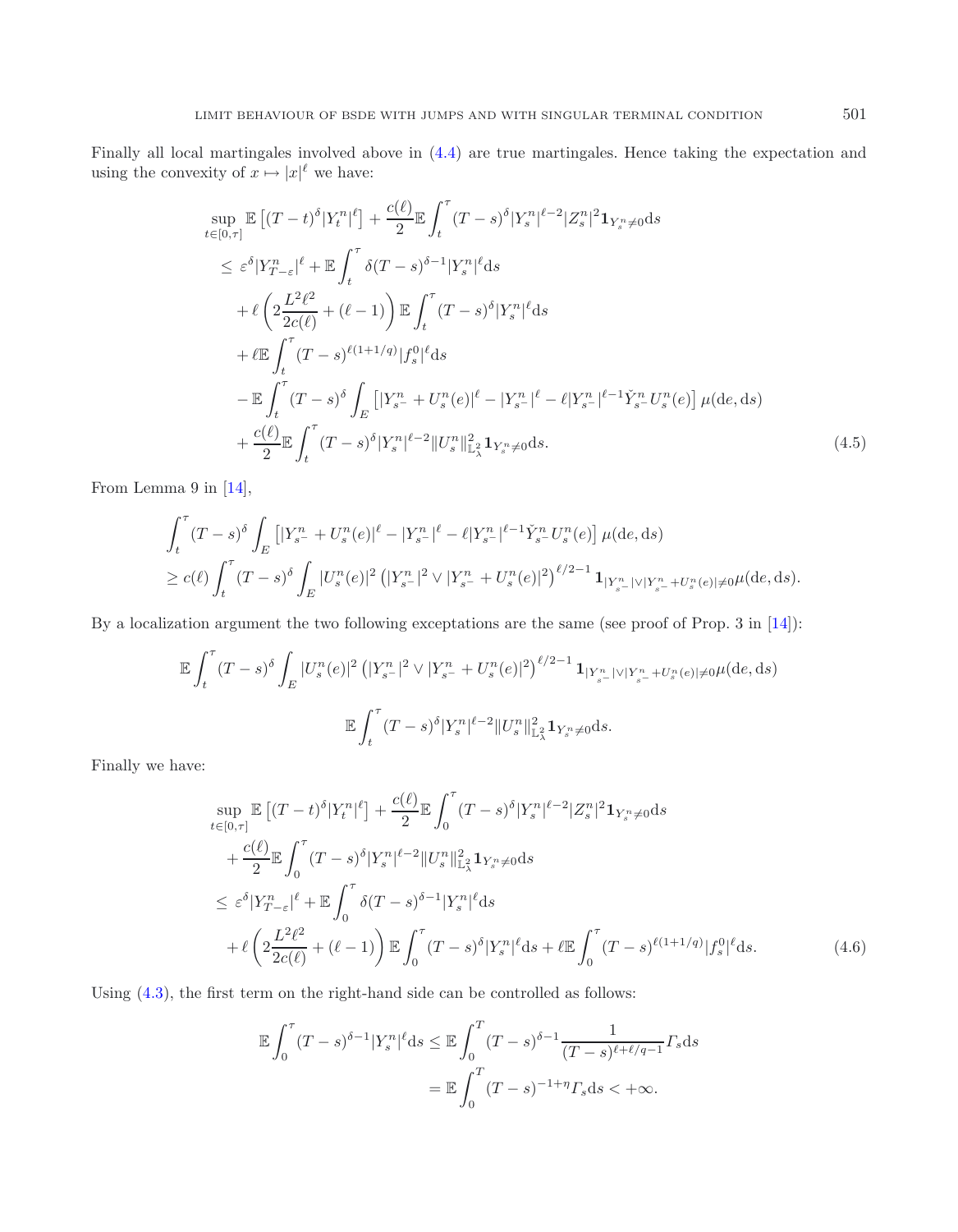Finally all local martingales involved above in [\(4.4\)](#page-20-0) are true martingales. Hence taking the expectation and using the convexity of  $x \mapsto |x|^\ell$  we have:

$$
\sup_{t\in[0,\tau]} \mathbb{E}\left[ (T-t)^{\delta} |Y_{t}^{n}|^{\ell} \right] + \frac{c(\ell)}{2} \mathbb{E} \int_{t}^{\tau} (T-s)^{\delta} |Y_{s}^{n}|^{\ell-2} |Z_{s}^{n}|^{2} \mathbf{1}_{Y_{s}^{n}\neq0} ds
$$
\n
$$
\leq \varepsilon^{\delta} |Y_{T-\varepsilon}^{n}|^{\ell} + \mathbb{E} \int_{t}^{\tau} \delta(T-s)^{\delta-1} |Y_{s}^{n}|^{\ell} ds
$$
\n
$$
+ \ell \left( 2 \frac{L^{2}\ell^{2}}{2c(\ell)} + (\ell-1) \right) \mathbb{E} \int_{t}^{\tau} (T-s)^{\delta} |Y_{s}^{n}|^{\ell} ds
$$
\n
$$
+ \ell \mathbb{E} \int_{t}^{\tau} (T-s)^{\ell(1+1/q)} |f_{s}^{0}|^{\ell} ds
$$
\n
$$
- \mathbb{E} \int_{t}^{\tau} (T-s)^{\delta} \int_{E} \left[ |Y_{s}^{n} + U_{s}^{n}(e)|^{\ell} - |Y_{s}^{n}|^{\ell} - \ell |Y_{s}^{n}|^{\ell-1} \check{Y}_{s}^{n} U_{s}^{n}(e) \right] \mu(de, ds)
$$
\n
$$
+ \frac{c(\ell)}{2} \mathbb{E} \int_{t}^{\tau} (T-s)^{\delta} |Y_{s}^{n}|^{\ell-2} ||U_{s}^{n}||_{L_{\lambda}^{2}}^{2} \mathbf{1}_{Y_{s}^{n}\neq0} ds.
$$
\n(4.5)

From Lemma 9 in [\[14](#page-29-5)],

$$
\int_{t}^{\tau} (T-s)^{\delta} \int_{E} \left[ |Y_{s^{-}}^{n} + U_{s}^{n}(e)|^{\ell} - |Y_{s^{-}}^n|^{\ell} - \ell |Y_{s^{-}}^n|^{\ell-1} \check{Y}_{s^{-}}^{n} U_{s}^{n}(e) \right] \mu(\mathrm{d}e, \mathrm{d}s)
$$
\n
$$
\geq c(\ell) \int_{t}^{\tau} (T-s)^{\delta} \int_{E} |U_{s}^{n}(e)|^2 \left( |Y_{s^{-}}^{n}|^{2} \vee |Y_{s^{-}}^{n} + U_{s}^{n}(e)|^{2} \right)^{\ell/2-1} \mathbf{1}_{|Y_{s^{-}}^{n}| \vee |Y_{s^{-}}^{n} + U_{s}^{n}(e)| \neq 0} \mu(\mathrm{d}e, \mathrm{d}s).
$$

By a localization argument the two following exceptations are the same (see proof of Prop. 3 in [\[14\]](#page-29-5)):

$$
\mathbb{E} \int_{t}^{\tau} (T-s)^{\delta} \int_{E} |U_{s}^{n}(e)|^{2} \left( |Y_{s}^{n}|^{2} \vee |Y_{s}^{n} + U_{s}^{n}(e)|^{2} \right)^{\ell/2 - 1} \mathbf{1}_{|Y_{s}^{n}| \vee |Y_{s}^{n} + U_{s}^{n}(e)| \neq 0} \mu(\text{d}e, \text{d}s)
$$
  

$$
\mathbb{E} \int_{t}^{\tau} (T-s)^{\delta} |Y_{s}^{n}|^{2 - 2} ||U_{s}^{n}||_{\mathbb{L}^{2}_{\lambda}}^{2} \mathbf{1}_{Y_{s}^{n} \neq 0} \text{d}s.
$$

<span id="page-21-0"></span>Finally we have:

$$
\sup_{t\in[0,\tau]} \mathbb{E}\left[ (T-t)^{\delta} |Y_t^n|^{\ell} \right] + \frac{c(\ell)}{2} \mathbb{E} \int_0^{\tau} (T-s)^{\delta} |Y_s^n|^{\ell-2} |Z_s^n|^2 \mathbf{1}_{Y_s^n \neq 0} ds \n+ \frac{c(\ell)}{2} \mathbb{E} \int_0^{\tau} (T-s)^{\delta} |Y_s^n|^{\ell-2} ||U_s^n||_{\mathbb{L}_\lambda^2}^2 \mathbf{1}_{Y_s^n \neq 0} ds \n\leq \varepsilon^{\delta} |Y_{T-\varepsilon}^n|^{\ell} + \mathbb{E} \int_0^{\tau} \delta(T-s)^{\delta-1} |Y_s^n|^{\ell} ds \n+ \ell \left( 2\frac{L^2 \ell^2}{2c(\ell)} + (\ell-1) \right) \mathbb{E} \int_0^{\tau} (T-s)^{\delta} |Y_s^n|^{\ell} ds + \ell \mathbb{E} \int_0^{\tau} (T-s)^{\ell(1+1/q)} |f_s^0|^{\ell} ds.
$$
\n(4.6)

Using [\(4.3\)](#page-18-1), the first term on the right-hand side can be controlled as follows:

$$
\mathbb{E} \int_0^{\tau} (T-s)^{\delta-1} |Y_s^n|^{\ell} ds \leq \mathbb{E} \int_0^T (T-s)^{\delta-1} \frac{1}{(T-s)^{\ell+\ell/q-1}} \Gamma_s ds
$$

$$
= \mathbb{E} \int_0^T (T-s)^{-1+\eta} \Gamma_s ds < +\infty.
$$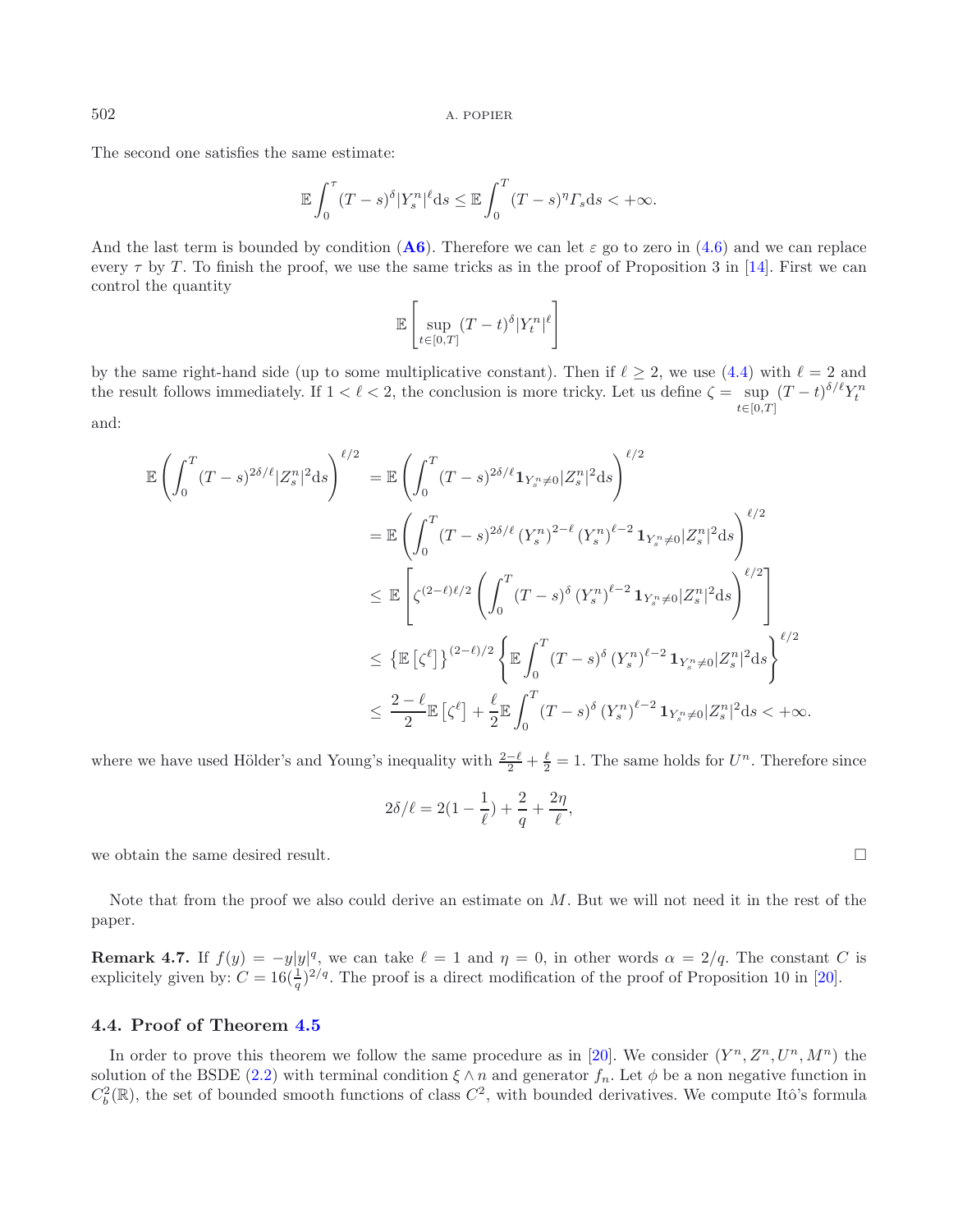The second one satisfies the same estimate:

$$
\mathbb{E}\int_0^{\tau} (T-s)^{\delta} |Y_s^n|^{\ell} \mathrm{d} s \leq \mathbb{E}\int_0^T (T-s)^{\eta} \Gamma_s \mathrm{d} s < +\infty.
$$

And the last term is bounded by condition  $(A6)$  $(A6)$  $(A6)$ . Therefore we can let  $\varepsilon$  go to zero in  $(4.6)$  and we can replace every  $\tau$  by T. To finish the proof, we use the same tricks as in the proof of Proposition 3 in [\[14\]](#page-29-5). First we can control the quantity

$$
\mathbb{E}\left[\sup_{t\in[0,T]}(T-t)^{\delta}|Y_{t}^{n}|\ell\right]
$$

by the same right-hand side (up to some multiplicative constant). Then if  $\ell \geq 2$ , we use [\(4.4\)](#page-20-0) with  $\ell = 2$  and the result follows immediately. If  $1 < \ell < 2$ , the conclusion is more tricky. Let us define  $\zeta = \sup_{n \to \infty} (T - t)^{\delta/\ell} Y_t^n$  $t\in$ [0,T] and:

<span id="page-22-0"></span>
$$
\mathbb{E}\left(\int_{0}^{T} (T-s)^{2\delta/\ell} |Z_{s}^{n}|^{2} ds\right)^{\ell/2} = \mathbb{E}\left(\int_{0}^{T} (T-s)^{2\delta/\ell} \mathbf{1}_{Y_{s}^{n}\neq0} |Z_{s}^{n}|^{2} ds\right)^{\ell/2} \n= \mathbb{E}\left(\int_{0}^{T} (T-s)^{2\delta/\ell} (Y_{s}^{n})^{2-\ell} (Y_{s}^{n})^{\ell-2} \mathbf{1}_{Y_{s}^{n}\neq0} |Z_{s}^{n}|^{2} ds\right)^{\ell/2} \n\leq \mathbb{E}\left[\zeta^{(2-\ell)\ell/2} \left(\int_{0}^{T} (T-s)^{\delta} (Y_{s}^{n})^{\ell-2} \mathbf{1}_{Y_{s}^{n}\neq0} |Z_{s}^{n}|^{2} ds\right)^{\ell/2}\right] \n\leq \left\{\mathbb{E}\left[\zeta^{\ell}\right]\right\}^{(2-\ell)/2} \left\{\mathbb{E}\int_{0}^{T} (T-s)^{\delta} (Y_{s}^{n})^{\ell-2} \mathbf{1}_{Y_{s}^{n}\neq0} |Z_{s}^{n}|^{2} ds\right\}^{\ell/2} \n\leq \frac{2-\ell}{2} \mathbb{E}\left[\zeta^{\ell}\right] + \frac{\ell}{2} \mathbb{E}\int_{0}^{T} (T-s)^{\delta} (Y_{s}^{n})^{\ell-2} \mathbf{1}_{Y_{s}^{n}\neq0} |Z_{s}^{n}|^{2} ds < +\infty.
$$

where we have used Hölder's and Young's inequality with  $\frac{2-\ell}{2} + \frac{\ell}{2} = 1$ . The same holds for  $U^n$ . Therefore since

$$
2\delta/\ell=2(1-\frac{1}{\ell})+\frac{2}{q}+\frac{2\eta}{\ell},
$$

we obtain the same desired result.  $\Box$ 

Note that from the proof we also could derive an estimate on M. But we will not need it in the rest of the paper.

**Remark 4.7.** If  $f(y) = -y|y|^q$ , we can take  $\ell = 1$  and  $\eta = 0$ , in other words  $\alpha = 2/q$ . The constant C is explicitely given by:  $C = 16(\frac{1}{q})^{2/q}$ . The proof is a direct modification of the proof of Proposition 10 in [\[20](#page-29-6)].

# **4.4. Proof of Theorem [4.5](#page-18-0)**

In order to prove this theorem we follow the same procedure as in [\[20](#page-29-6)]. We consider  $(Y^n, Z^n, U^n, M^n)$  the solution of the BSDE [\(2.2\)](#page-8-0) with terminal condition  $\xi \wedge n$  and generator  $f_n$ . Let  $\phi$  be a non negative function in  $C_b^2(\mathbb{R})$ , the set of bounded smooth functions of class  $C^2$ , with bounded derivatives. We compute Itô's formula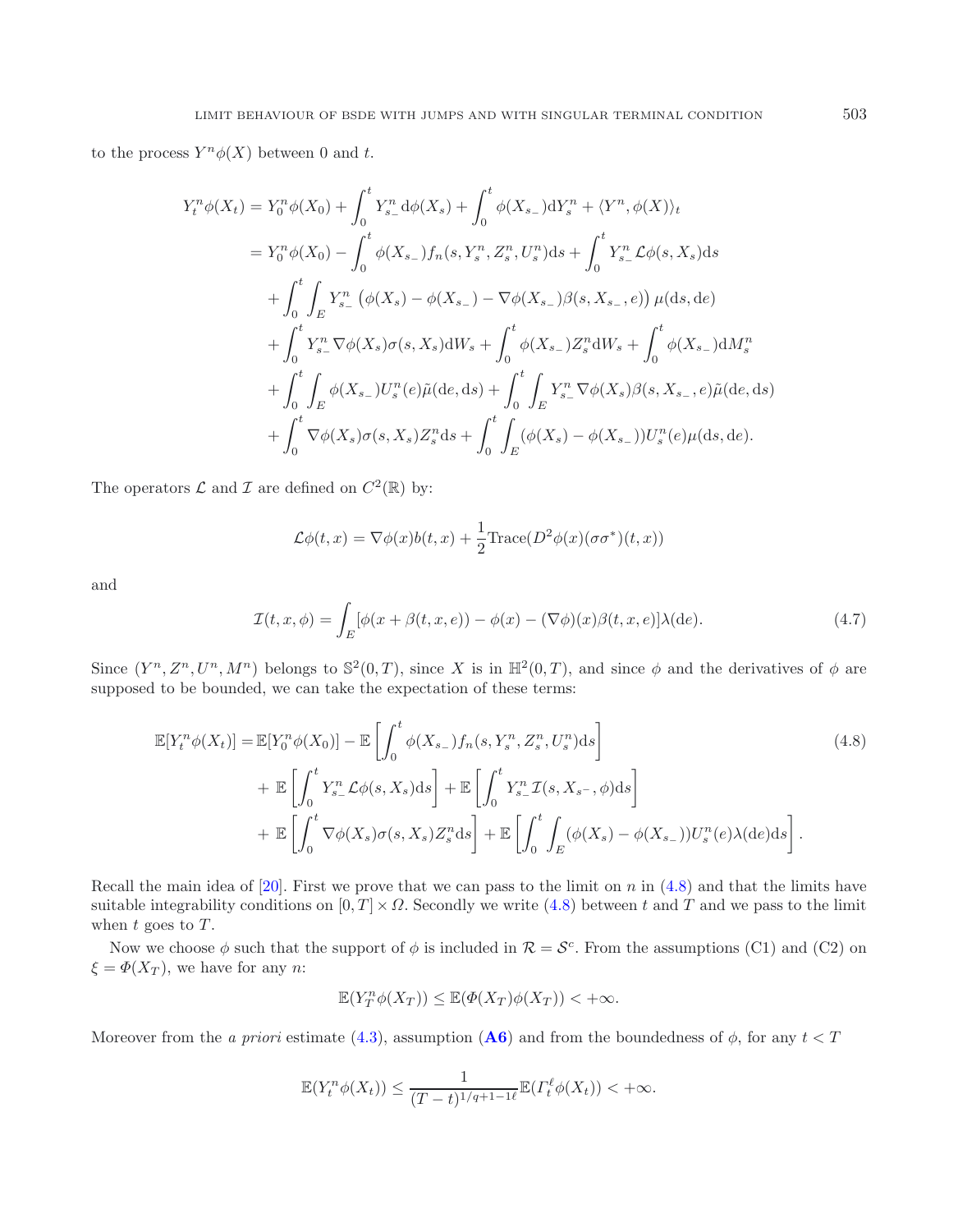to the process  $Y^n\phi(X)$  between 0 and t.

$$
Y_{t}^{n}\phi(X_{t}) = Y_{0}^{n}\phi(X_{0}) + \int_{0}^{t} Y_{s-}^{n} d\phi(X_{s}) + \int_{0}^{t} \phi(X_{s-}) dY_{s}^{n} + \langle Y^{n}, \phi(X) \rangle_{t}
$$
  
\n
$$
= Y_{0}^{n}\phi(X_{0}) - \int_{0}^{t} \phi(X_{s-}) f_{n}(s, Y_{s}^{n}, Z_{s}^{n}, U_{s}^{n}) ds + \int_{0}^{t} Y_{s-}^{n} \mathcal{L}\phi(s, X_{s}) ds
$$
  
\n
$$
+ \int_{0}^{t} \int_{E} Y_{s-}^{n} (\phi(X_{s}) - \phi(X_{s-}) - \nabla\phi(X_{s-})\beta(s, X_{s-}, e)) \mu(ds, de)
$$
  
\n
$$
+ \int_{0}^{t} Y_{s-}^{n} \nabla\phi(X_{s}) \sigma(s, X_{s}) dW_{s} + \int_{0}^{t} \phi(X_{s-}) Z_{s}^{n} dW_{s} + \int_{0}^{t} \phi(X_{s-}) dM_{s}^{n}
$$
  
\n
$$
+ \int_{0}^{t} \int_{E} \phi(X_{s-}) U_{s}^{n}(e) \tilde{\mu}(de, ds) + \int_{0}^{t} \int_{E} Y_{s-}^{n} \nabla\phi(X_{s})\beta(s, X_{s-}, e) \tilde{\mu}(de, ds)
$$
  
\n
$$
+ \int_{0}^{t} \nabla\phi(X_{s}) \sigma(s, X_{s}) Z_{s}^{n} ds + \int_{0}^{t} \int_{E} (\phi(X_{s}) - \phi(X_{s-})) U_{s}^{n}(e) \mu(ds, de).
$$

The operators  $\mathcal L$  and  $\mathcal I$  are defined on  $C^2(\mathbb R)$  by:

<span id="page-23-0"></span>
$$
\mathcal{L}\phi(t,x) = \nabla\phi(x)b(t,x) + \frac{1}{2}\text{Trace}(D^2\phi(x)(\sigma\sigma^*)(t,x))
$$

and

$$
\mathcal{I}(t, x, \phi) = \int_{E} [\phi(x + \beta(t, x, e)) - \phi(x) - (\nabla \phi)(x)\beta(t, x, e)]\lambda(de).
$$
\n(4.7)

Since  $(Y^n, Z^n, U^n, M^n)$  belongs to  $\mathbb{S}^2(0,T)$ , since X is in  $\mathbb{H}^2(0,T)$ , and since  $\phi$  and the derivatives of  $\phi$  are supposed to be bounded, we can take the expectation of these terms:

$$
\mathbb{E}[Y_t^n \phi(X_t)] = \mathbb{E}[Y_0^n \phi(X_0)] - \mathbb{E}\left[\int_0^t \phi(X_{s-})f_n(s, Y_s^n, Z_s^n, U_s^n)ds\right]
$$
  
+ 
$$
\mathbb{E}\left[\int_0^t Y_{s-}^n \mathcal{L}\phi(s, X_s)ds\right] + \mathbb{E}\left[\int_0^t Y_{s-}^n \mathcal{I}(s, X_{s-}, \phi)ds\right]
$$
  
+ 
$$
\mathbb{E}\left[\int_0^t \nabla \phi(X_s)\sigma(s, X_s)Z_s^n ds\right] + \mathbb{E}\left[\int_0^t \int_E (\phi(X_s) - \phi(X_{s-}))U_s^n(e)\lambda(de)ds\right].
$$
 (4.8)

Recall the main idea of [\[20](#page-29-6)]. First we prove that we can pass to the limit on n in  $(4.8)$  and that the limits have suitable integrability conditions on  $[0, T] \times \Omega$ . Secondly we write [\(4.8\)](#page-23-0) between t and T and we pass to the limit when  $t$  goes to  $T$ .

Now we choose  $\phi$  such that the support of  $\phi$  is included in  $\mathcal{R} = \mathcal{S}^c$ . From the assumptions (C1) and (C2) on  $\xi = \Phi(X_T)$ , we have for any n:

$$
\mathbb{E}(Y_T^n\phi(X_T))\leq \mathbb{E}(\Phi(X_T)\phi(X_T))<+\infty.
$$

Moreover from the *a priori* estimate [\(4.3\)](#page-18-1), assumption (**[A6](#page-5-0)**) and from the boundedness of  $\phi$ , for any  $t < T$ 

$$
\mathbb{E}(Y_t^n\phi(X_t)) \leq \frac{1}{(T-t)^{1/q+1-1\ell}} \mathbb{E}(T_t^{\ell}\phi(X_t)) < +\infty.
$$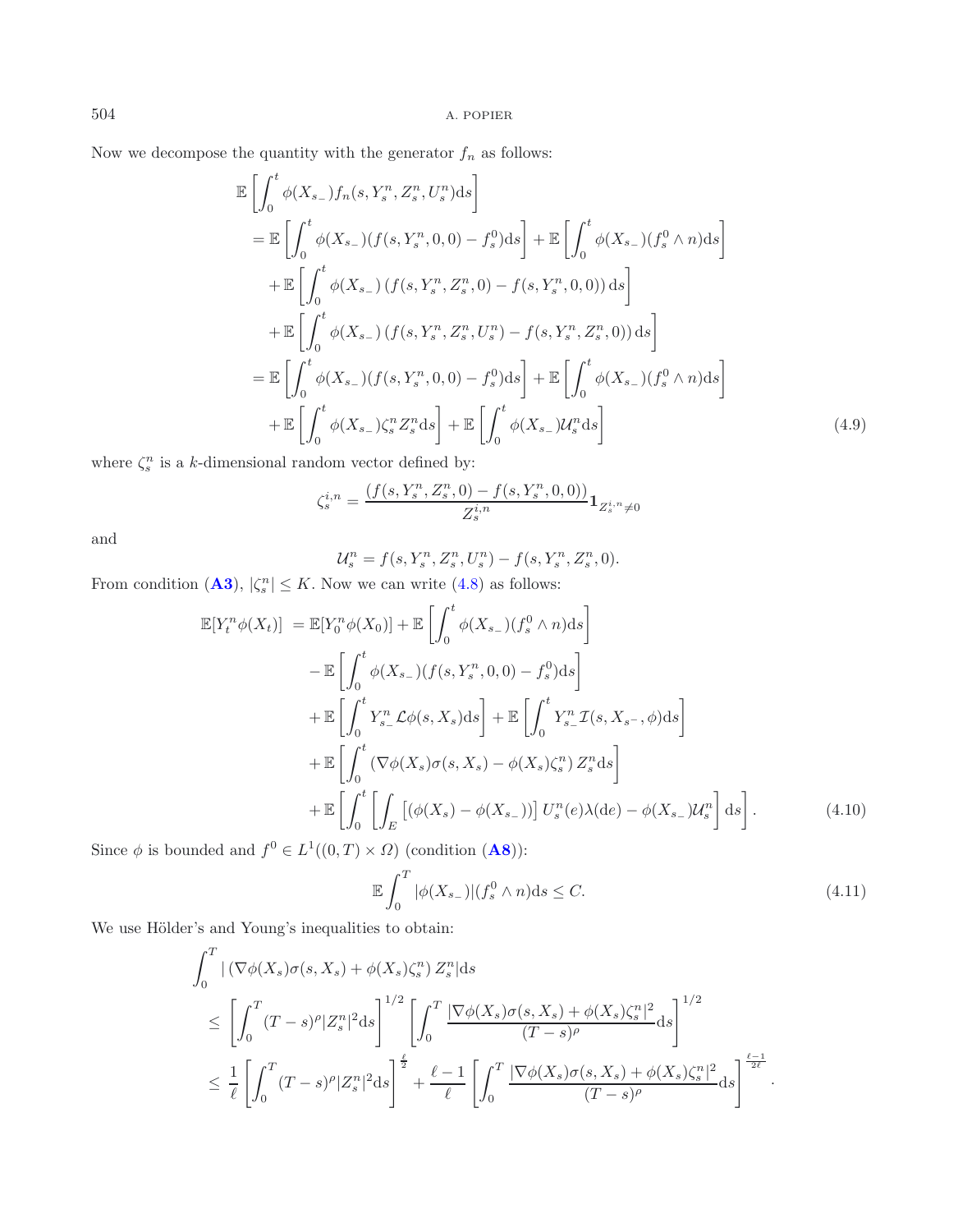Now we decompose the quantity with the generator  $f_n$  as follows:

$$
\mathbb{E}\left[\int_{0}^{t}\phi(X_{s-})f_{n}(s,Y_{s}^{n},Z_{s}^{n},U_{s}^{n})\mathrm{d}s\right]
$$
\n
$$
= \mathbb{E}\left[\int_{0}^{t}\phi(X_{s-})(f(s,Y_{s}^{n},0,0)-f_{s}^{0})\mathrm{d}s\right]+\mathbb{E}\left[\int_{0}^{t}\phi(X_{s-})(f_{s}^{0}\wedge n)\mathrm{d}s\right]
$$
\n
$$
+ \mathbb{E}\left[\int_{0}^{t}\phi(X_{s-})(f(s,Y_{s}^{n},Z_{s}^{n},0)-f(s,Y_{s}^{n},0,0))\mathrm{d}s\right]
$$
\n
$$
+ \mathbb{E}\left[\int_{0}^{t}\phi(X_{s-})(f(s,Y_{s}^{n},Z_{s}^{n},U_{s}^{n})-f(s,Y_{s}^{n},Z_{s}^{n},0))\mathrm{d}s\right]
$$
\n
$$
= \mathbb{E}\left[\int_{0}^{t}\phi(X_{s-})(f(s,Y_{s}^{n},0,0)-f_{s}^{0})\mathrm{d}s\right]+\mathbb{E}\left[\int_{0}^{t}\phi(X_{s-})(f_{s}^{0}\wedge n)\mathrm{d}s\right]
$$
\n
$$
+ \mathbb{E}\left[\int_{0}^{t}\phi(X_{s-})\zeta_{s}^{n}Z_{s}^{n}\mathrm{d}s\right]+\mathbb{E}\left[\int_{0}^{t}\phi(X_{s-})U_{s}^{n}\mathrm{d}s\right]
$$
\n(4.9)

where  $\zeta_s^n$  is a k-dimensional random vector defined by:

$$
\zeta_s^{i,n} = \frac{\left(f(s,Y_s^n,Z_s^n,0) - f(s,Y_s^n,0,0)\right)}{Z_s^{i,n}}\mathbf{1}_{Z_s^{i,n}\neq 0}
$$

and

<span id="page-24-1"></span>
$$
\mathcal{U}_s^n = f(s, Y_s^n, Z_s^n, U_s^n) - f(s, Y_s^n, Z_s^n, 0).
$$

<span id="page-24-0"></span>From condition  $(A3)$  $(A3)$  $(A3)$ ,  $|\zeta_s^n| \leq K$ . Now we can write  $(4.8)$  as follows:

$$
\mathbb{E}[Y_t^n \phi(X_t)] = \mathbb{E}[Y_0^n \phi(X_0)] + \mathbb{E}\left[\int_0^t \phi(X_{s-})(f_s^0 \wedge n)ds\right]
$$
  
\n
$$
-\mathbb{E}\left[\int_0^t \phi(X_{s-})(f(s, Y_s^n, 0, 0) - f_s^0)ds\right]
$$
  
\n
$$
+\mathbb{E}\left[\int_0^t Y_{s-}^n \mathcal{L}\phi(s, X_s)ds\right] + \mathbb{E}\left[\int_0^t Y_{s-}^n \mathcal{I}(s, X_{s-}, \phi)ds\right]
$$
  
\n
$$
+\mathbb{E}\left[\int_0^t \left(\nabla\phi(X_s)\sigma(s, X_s) - \phi(X_s)\zeta_s^n\right)Z_s^n ds\right]
$$
  
\n
$$
+\mathbb{E}\left[\int_0^t \left[\int_E \left[\left(\phi(X_s) - \phi(X_{s-})\right)\right]U_s^n(e)\lambda(de) - \phi(X_{s-})U_s^n\right]ds\right].
$$
\n(4.10)

Since  $\phi$  is bounded and  $f^0 \in L^1((0,T) \times \Omega)$  (condition  $(\mathbf{A8})$  $(\mathbf{A8})$  $(\mathbf{A8})$ ):

$$
\mathbb{E}\int_{0}^{T}|\phi(X_{s-})|(f_{s}^{0}\wedge n)ds\leq C.\tag{4.11}
$$

We use Hölder's and Young's inequalities to obtain:

$$
\int_0^T |\left(\nabla\phi(X_s)\sigma(s,X_s) + \phi(X_s)\zeta_s^n\right) Z_s^n|ds
$$
\n
$$
\leq \left[\int_0^T (T-s)^{\rho} |Z_s^n|^2 ds\right]^{1/2} \left[\int_0^T \frac{|\nabla\phi(X_s)\sigma(s,X_s) + \phi(X_s)\zeta_s^n|^2}{(T-s)^{\rho}} ds\right]^{1/2}
$$
\n
$$
\leq \frac{1}{\ell} \left[\int_0^T (T-s)^{\rho} |Z_s^n|^2 ds\right]^{\frac{\ell}{2}} + \frac{\ell-1}{\ell} \left[\int_0^T \frac{|\nabla\phi(X_s)\sigma(s,X_s) + \phi(X_s)\zeta_s^n|^2}{(T-s)^{\rho}} ds\right]^{\frac{\ell-1}{2\ell}}.
$$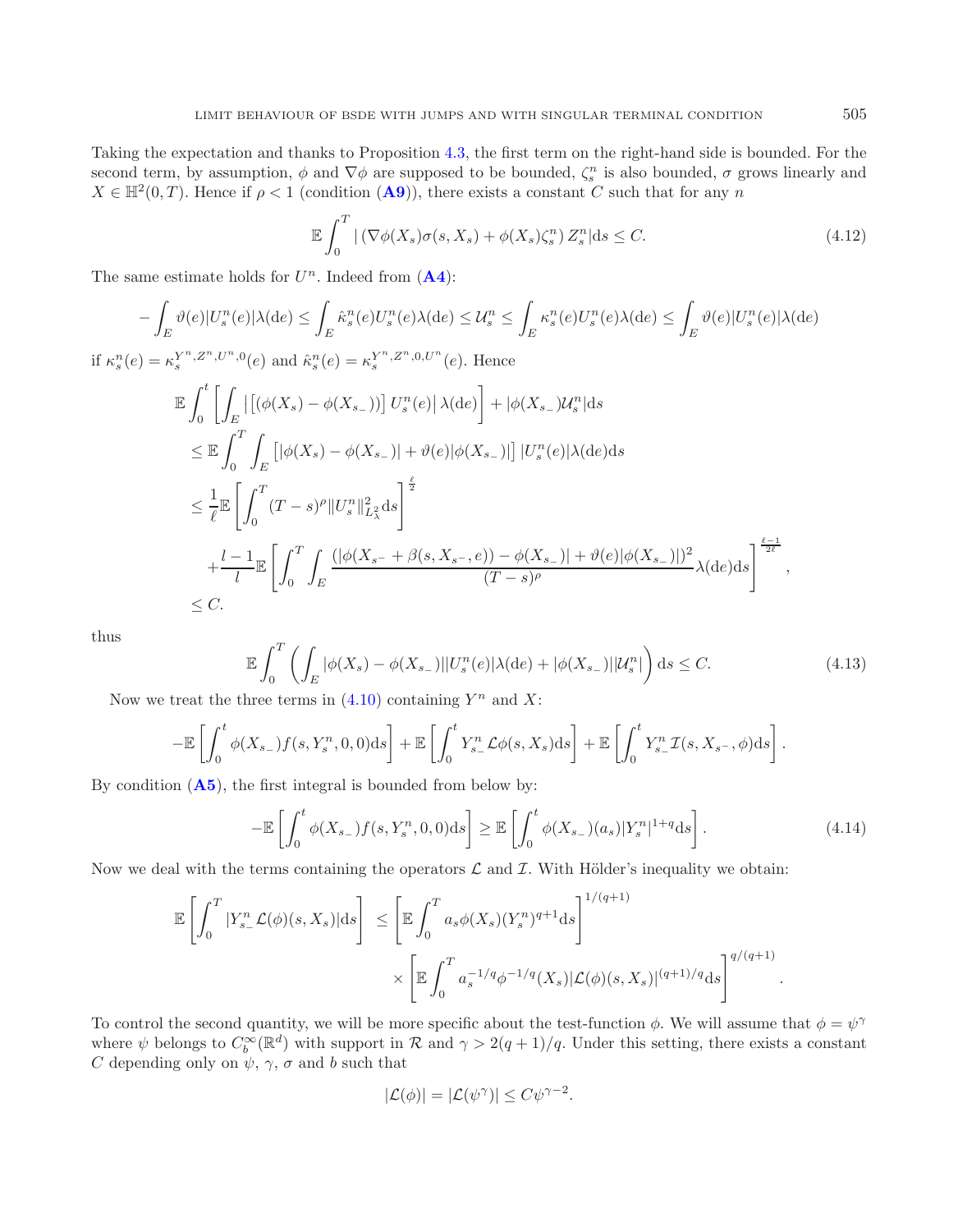Taking the expectation and thanks to Proposition [4.3,](#page-17-1) the first term on the right-hand side is bounded. For the second term, by assumption,  $\phi$  and  $\nabla \phi$  are supposed to be bounded,  $\zeta_s^n$  is also bounded,  $\sigma$  grows linearly and  $X \in \mathbb{H}^2(0,T)$ . Hence if  $\rho < 1$  (condition  $(\mathbf{A9})$  $(\mathbf{A9})$  $(\mathbf{A9})$ ), there exists a constant C such that for any n

$$
\mathbb{E}\int_{0}^{T} |\left(\nabla\phi(X_{s})\sigma(s,X_{s}) + \phi(X_{s})\zeta_{s}^{n}\right)Z_{s}^{n}|ds \leq C.
$$
\n(4.12)

The same estimate holds for  $U^n$ . Indeed from  $(A4)$  $(A4)$  $(A4)$ :

<span id="page-25-0"></span>
$$
-\int_{E} \vartheta(e)|U_{s}^{n}(e)|\lambda(de) \leq \int_{E} \hat{\kappa}_{s}^{n}(e)U_{s}^{n}(e)\lambda(de) \leq U_{s}^{n} \leq \int_{E} \kappa_{s}^{n}(e)U_{s}^{n}(e)\lambda(de) \leq \int_{E} \vartheta(e)|U_{s}^{n}(e)|\lambda(de)
$$
  
\nif  $\kappa_{s}^{n}(e) = \kappa_{s}^{Y^{n},Z^{n},U^{n},0}(e)$  and  $\hat{\kappa}_{s}^{n}(e) = \kappa_{s}^{Y^{n},Z^{n},0,U^{n}}(e)$ . Hence  
\n
$$
\mathbb{E} \int_{0}^{t} \left[ \int_{E} |[(\phi(X_{s}) - \phi(X_{s_{-}}))] U_{s}^{n}(e)|\lambda(de) \right] + |\phi(X_{s_{-}})U_{s}^{n}|ds
$$
\n
$$
\leq \mathbb{E} \int_{0}^{T} \int_{E} [|\phi(X_{s}) - \phi(X_{s_{-}})| + \vartheta(e)|\phi(X_{s_{-}})||] U_{s}^{n}(e)|\lambda(de)ds
$$
\n
$$
\leq \frac{1}{\ell} \mathbb{E} \left[ \int_{0}^{T} (T - s)^{\rho} ||U_{s}^{n}||_{L_{\lambda}^{2}}^{2} ds \right]^{\frac{\ell}{2}}
$$
\n
$$
+ \frac{l - 1}{l} \mathbb{E} \left[ \int_{0}^{T} \int_{E} \frac{(|\phi(X_{s_{-}} + \beta(s,X_{s_{-}},e)) - \phi(X_{s_{-}})| + \vartheta(e)|\phi(X_{s_{-}})|)^{2}}{(T - s)^{\rho}} \lambda(de)ds \right]^{\frac{\ell - 1}{2\ell}},
$$

thus

$$
\mathbb{E}\int_0^T \left(\int_E |\phi(X_s) - \phi(X_{s_-})| |U_s^n(e)| \lambda(de) + |\phi(X_{s_-})| |U_s^n|\right) ds \le C. \tag{4.13}
$$

Now we treat the three terms in  $(4.10)$  containing  $Y^n$  and X:

E

 $\theta$ 

 $\leq C$ .

$$
-\mathbb{E}\left[\int_0^t \phi(X_{s_-})f(s,Y_s^n,0,0)\mathrm{d}s\right]+\mathbb{E}\left[\int_0^t Y_{s_-}^n \mathcal{L}\phi(s,X_s)\mathrm{d}s\right]+\mathbb{E}\left[\int_0^t Y_{s_-}^n \mathcal{I}(s,X_{s^-},\phi)\mathrm{d}s\right].
$$

By condition (**[A5](#page-5-0)**), the first integral is bounded from below by:

$$
-\mathbb{E}\left[\int_0^t \phi(X_{s-})f(s,Y_s^n,0,0)\mathrm{d}s\right] \ge \mathbb{E}\left[\int_0^t \phi(X_{s-})(a_s)|Y_s^n|^{1+q}\mathrm{d}s\right].\tag{4.14}
$$

Now we deal with the terms containing the operators  $\mathcal L$  and  $\mathcal I$ . With Hölder's inequality we obtain:

$$
\mathbb{E}\left[\int_0^T |Y_{s-}^n \mathcal{L}(\phi)(s,X_s)|ds\right] \le \left[\mathbb{E}\int_0^T a_s \phi(X_s)(Y_s^n)^{q+1}ds\right]^{1/(q+1)}\times \left[\mathbb{E}\int_0^T a_s^{-1/q} \phi^{-1/q}(X_s)|\mathcal{L}(\phi)(s,X_s)|^{(q+1)/q}ds\right]^{q/(q+1)}
$$

To control the second quantity, we will be more specific about the test-function  $\phi$ . We will assume that  $\phi = \psi^{\gamma}$ where  $\psi$  belongs to  $C_b^{\infty}(\mathbb{R}^d)$  with support in  $\mathcal R$  and  $\gamma > 2(q+1)/q$ . Under this setting, there exists a constant C depending only on  $\psi$ ,  $\gamma$ ,  $\sigma$  and b such that

$$
|\mathcal{L}(\phi)| = |\mathcal{L}(\psi^{\gamma})| \le C\psi^{\gamma - 2}.
$$

.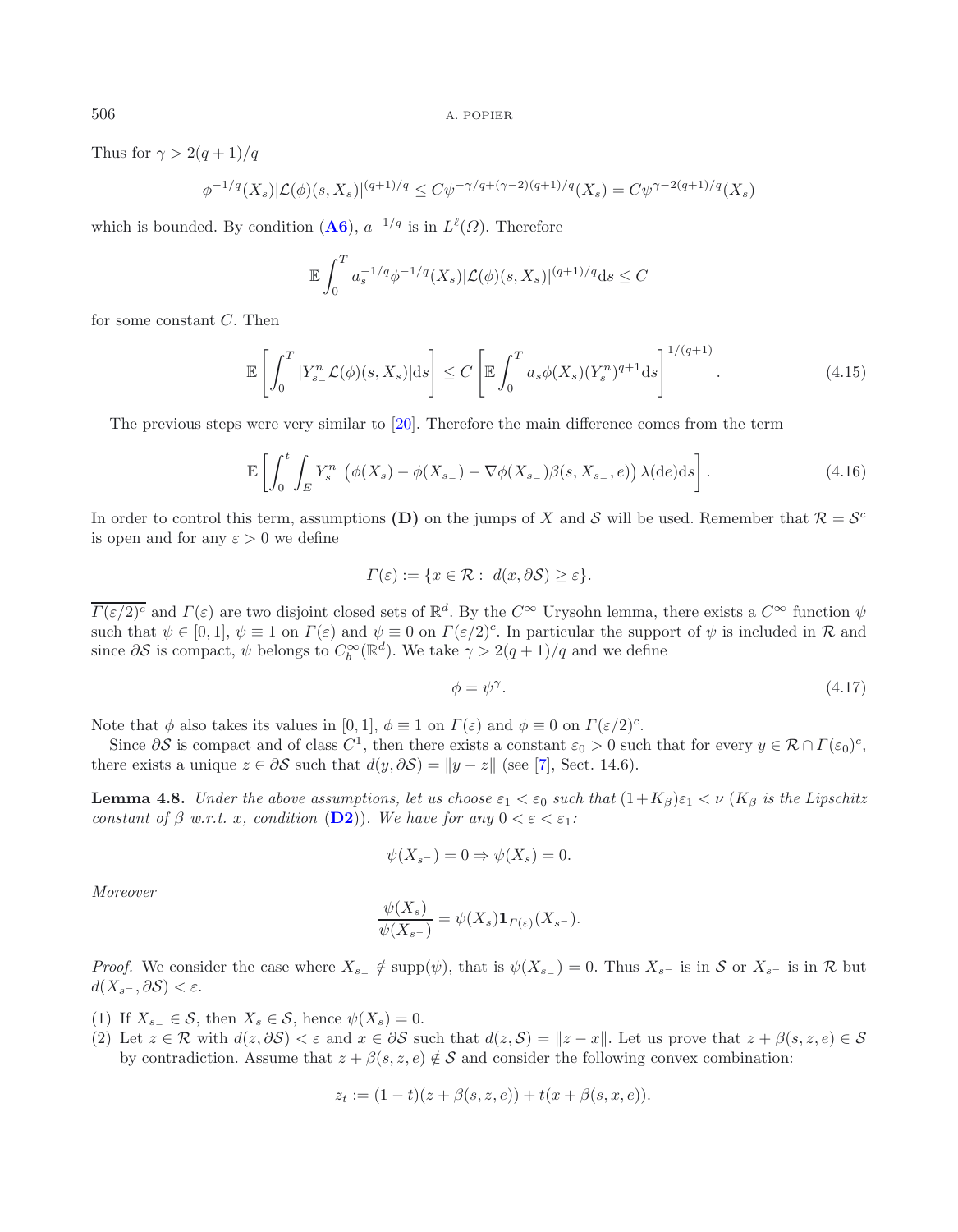Thus for  $\gamma > 2(q+1)/q$ 

$$
\phi^{-1/q}(X_s)|\mathcal{L}(\phi)(s,X_s)|^{(q+1)/q} \le C\psi^{-\gamma/q+(\gamma-2)(q+1)/q}(X_s) = C\psi^{\gamma-2(q+1)/q}(X_s)
$$

which is bounded. By condition  $(**A6**)$  $(**A6**)$  $(**A6**)$ ,  $a^{-1/q}$  is in  $L^{\ell}(\Omega)$ . Therefore

<span id="page-26-0"></span>
$$
\mathbb{E} \int_0^T a_s^{-1/q} \phi^{-1/q}(X_s) |\mathcal{L}(\phi)(s, X_s)|^{(q+1)/q} ds \le C
$$

for some constant C. Then

$$
\mathbb{E}\left[\int_0^T |Y_{s-}^n \mathcal{L}(\phi)(s,X_s)|\mathrm{d}s\right] \le C \left[\mathbb{E}\int_0^T a_s \phi(X_s)(Y_s^n)^{q+1} \mathrm{d}s\right]^{1/(q+1)}.\tag{4.15}
$$

<span id="page-26-2"></span>The previous steps were very similar to [\[20\]](#page-29-6). Therefore the main difference comes from the term

$$
\mathbb{E}\left[\int_0^t \int_E Y^n_{s_-} \left(\phi(X_s) - \phi(X_{s_-}) - \nabla \phi(X_{s_-})\beta(s, X_{s_-}, e)\right) \lambda(\mathrm{d}e) \mathrm{d}s\right].\tag{4.16}
$$

In order to control this term, assumptions **(D)** on the jumps of X and S will be used. Remember that  $\mathcal{R} = \mathcal{S}^c$ is open and for any  $\varepsilon > 0$  we define

<span id="page-26-1"></span>
$$
\Gamma(\varepsilon) := \{ x \in \mathcal{R} : d(x, \partial \mathcal{S}) \ge \varepsilon \}.
$$

 $\overline{\Gamma(\varepsilon/2)^c}$  and  $\Gamma(\varepsilon)$  are two disjoint closed sets of  $\mathbb{R}^d$ . By the  $C^{\infty}$  Urysohn lemma, there exists a  $C^{\infty}$  function  $\psi$ such that  $\psi \in [0,1], \psi \equiv 1$  on  $\Gamma(\varepsilon)$  and  $\psi \equiv 0$  on  $\Gamma(\varepsilon/2)^c$ . In particular the support of  $\psi$  is included in  $\mathcal R$  and since  $\partial S$  is compact,  $\psi$  belongs to  $C_b^{\infty}(\mathbb{R}^d)$ . We take  $\gamma > 2(q+1)/q$  and we define

$$
\phi = \psi^{\gamma}.\tag{4.17}
$$

Note that  $\phi$  also takes its values in [0, 1],  $\phi \equiv 1$  on  $\Gamma(\varepsilon)$  and  $\phi \equiv 0$  on  $\Gamma(\varepsilon/2)^c$ .

Since  $\partial S$  is compact and of class  $C^1$ , then there exists a constant  $\varepsilon_0 > 0$  such that for every  $y \in \mathcal{R} \cap \Gamma(\varepsilon_0)^c$ , there exists a unique  $z \in \partial S$  such that  $d(y, \partial S) = ||y - z||$  (see [\[7\]](#page-29-22), Sect. 14.6).

**Lemma 4.8.** *Under the above assumptions, let us choose*  $\varepsilon_1 < \varepsilon_0$  *such that*  $(1+K_\beta)\varepsilon_1 < \nu$  ( $K_\beta$  *is the Lipschitz constant of*  $\beta$  *w.r.t. x, condition* (**[D2](#page-18-1)**)). We have for any  $0 < \varepsilon < \varepsilon_1$ :

$$
\psi(X_{s-}) = 0 \Rightarrow \psi(X_s) = 0.
$$

*Moreover*

$$
\frac{\psi(X_s)}{\psi(X_{s^-})} = \psi(X_s) \mathbf{1}_{\Gamma(\varepsilon)}(X_{s^-}).
$$

*Proof.* We consider the case where  $X_{s-} \notin \text{supp}(\psi)$ , that is  $\psi(X_{s-}) = 0$ . Thus  $X_{s-}$  is in S or  $X_{s-}$  is in R but  $d(X_{s^-}, \partial S) < \varepsilon$ .

(1) If  $X_{s-} \in \mathcal{S}$ , then  $X_s \in \mathcal{S}$ , hence  $\psi(X_s) = 0$ .

(2) Let  $z \in \mathcal{R}$  with  $d(z, \partial \mathcal{S}) < \varepsilon$  and  $x \in \partial \mathcal{S}$  such that  $d(z, \mathcal{S}) = ||z - x||$ . Let us prove that  $z + \beta(s, z, e) \in \mathcal{S}$ by contradiction. Assume that  $z + \beta(s, z, e) \notin S$  and consider the following convex combination:

$$
z_t := (1-t)(z + \beta(s, z, e)) + t(x + \beta(s, x, e)).
$$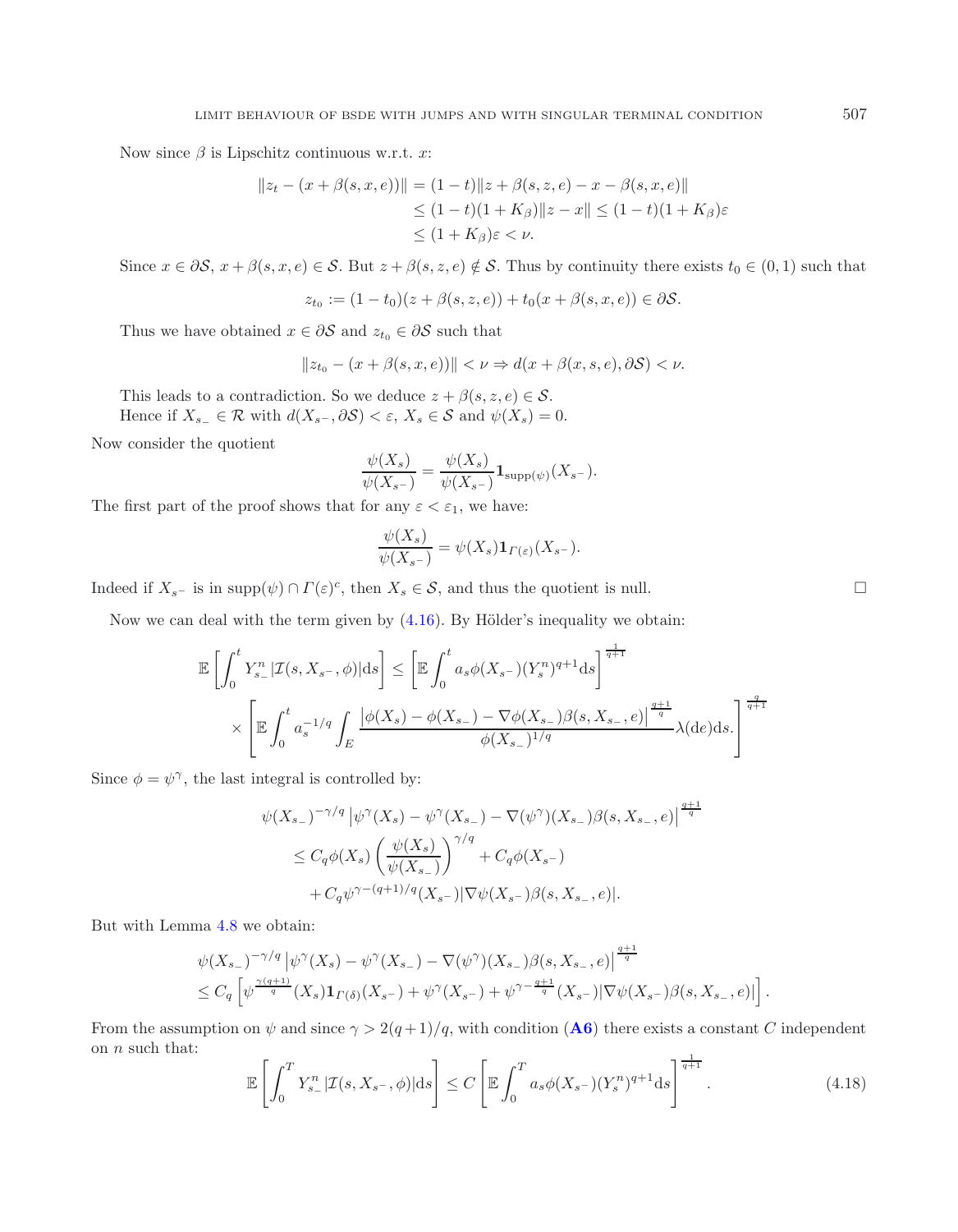Now since  $\beta$  is Lipschitz continuous w.r.t. x:

$$
||z_t - (x + \beta(s, x, e))|| = (1 - t)||z + \beta(s, z, e) - x - \beta(s, x, e)||
$$
  
\n
$$
\leq (1 - t)(1 + K_{\beta}) ||z - x|| \leq (1 - t)(1 + K_{\beta})\varepsilon
$$
  
\n
$$
\leq (1 + K_{\beta})\varepsilon < \nu.
$$

Since  $x \in \partial S$ ,  $x + \beta(s, x, e) \in S$ . But  $z + \beta(s, z, e) \notin S$ . Thus by continuity there exists  $t_0 \in (0, 1)$  such that

$$
z_{t_0} := (1 - t_0)(z + \beta(s, z, e)) + t_0(x + \beta(s, x, e)) \in \partial S.
$$

Thus we have obtained  $x\in \partial \mathcal{S}$  and  $z_{t_0}\in \partial \mathcal{S}$  such that

$$
||z_{t_0} - (x + \beta(s, x, e))|| < \nu \Rightarrow d(x + \beta(x, s, e), \partial S) < \nu.
$$

This leads to a contradiction. So we deduce  $z + \beta(s, z, e) \in \mathcal{S}$ .

Hence if  $X_{s-} \in \mathcal{R}$  with  $d(X_{s-}, \partial S) < \varepsilon$ ,  $X_s \in \mathcal{S}$  and  $\psi(X_s) = 0$ .

Now consider the quotient

$$
\frac{\psi(X_s)}{\psi(X_{s^-})} = \frac{\psi(X_s)}{\psi(X_{s^-})} \mathbf{1}_{\text{supp}(\psi)}(X_{s^-}).
$$

The first part of the proof shows that for any  $\varepsilon < \varepsilon_1$ , we have:

$$
\frac{\psi(X_s)}{\psi(X_{s^-})} = \psi(X_s) \mathbf{1}_{\Gamma(\varepsilon)}(X_{s^-}).
$$

Indeed if  $X_{s^-}$  is in supp $(\psi) \cap \Gamma(\varepsilon)^c$ , then  $X_s \in \mathcal{S}$ , and thus the quotient is null.

Now we can deal with the term given by  $(4.16)$ . By Hölder's inequality we obtain:

$$
\mathbb{E}\left[\int_{0}^{t} Y_{s-}^{n} |\mathcal{I}(s, X_{s-}, \phi)| ds\right] \leq \left[\mathbb{E}\int_{0}^{t} a_{s} \phi(X_{s-})(Y_{s}^{n})^{q+1} ds\right]^{\frac{1}{q+1}} \times \left[\mathbb{E}\int_{0}^{t} a_{s}^{-1/q} \int_{E} \frac{|\phi(X_{s}) - \phi(X_{s-}) - \nabla \phi(X_{s-})\beta(s, X_{s-}, e)|^{\frac{q+1}{q}}}{\phi(X_{s-})^{1/q}} \lambda(de) ds.\right]^{\frac{q}{q+1}}
$$

<span id="page-27-0"></span>Since  $\phi = \psi^{\gamma}$ , the last integral is controlled by:

$$
\psi(X_{s-})^{-\gamma/q} |\psi^{\gamma}(X_s) - \psi^{\gamma}(X_{s-}) - \nabla(\psi^{\gamma})(X_{s-})\beta(s, X_{s-}, e)|^{\frac{q+1}{q}}
$$
  
\n
$$
\leq C_q \phi(X_s) \left(\frac{\psi(X_s)}{\psi(X_{s-})}\right)^{\gamma/q} + C_q \phi(X_{s-})
$$
  
\n
$$
+ C_q \psi^{\gamma - (q+1)/q}(X_{s-}) |\nabla \psi(X_{s-})\beta(s, X_{s-}, e)|.
$$

But with Lemma [4.8](#page-26-1) we obtain:

$$
\begin{split} &\psi(X_{s-})^{-\gamma/q}\left|\psi^{\gamma}(X_s)-\psi^{\gamma}(X_{s-})-\nabla(\psi^{\gamma})(X_{s-})\beta(s,X_{s-},e)\right|^{\frac{q+1}{q}}\\ &\leq C_q\left[\psi^{\frac{\gamma(q+1)}{q}}(X_s)\mathbf{1}_{\Gamma(\delta)}(X_{s-})+\psi^{\gamma}(X_{s-})+\psi^{\gamma-\frac{q+1}{q}}(X_{s-})|\nabla\psi(X_{s-})\beta(s,X_{s-},e)|\right]. \end{split}
$$

From the assumption on  $\psi$  and since  $\gamma > 2(q+1)/q$ , with condition ([A6](#page-5-0)) there exists a constant C independent on  $n$  such that: 1

$$
\mathbb{E}\left[\int_0^T Y^n_{s-}|\mathcal{I}(s,X_{s-},\phi)|\mathrm{d}s\right] \le C\left[\mathbb{E}\int_0^T a_s \phi(X_{s-})(Y^n_{s-})^q\mathrm{d}s\right]^{\frac{1}{q+1}}.\tag{4.18}
$$

 $\Box$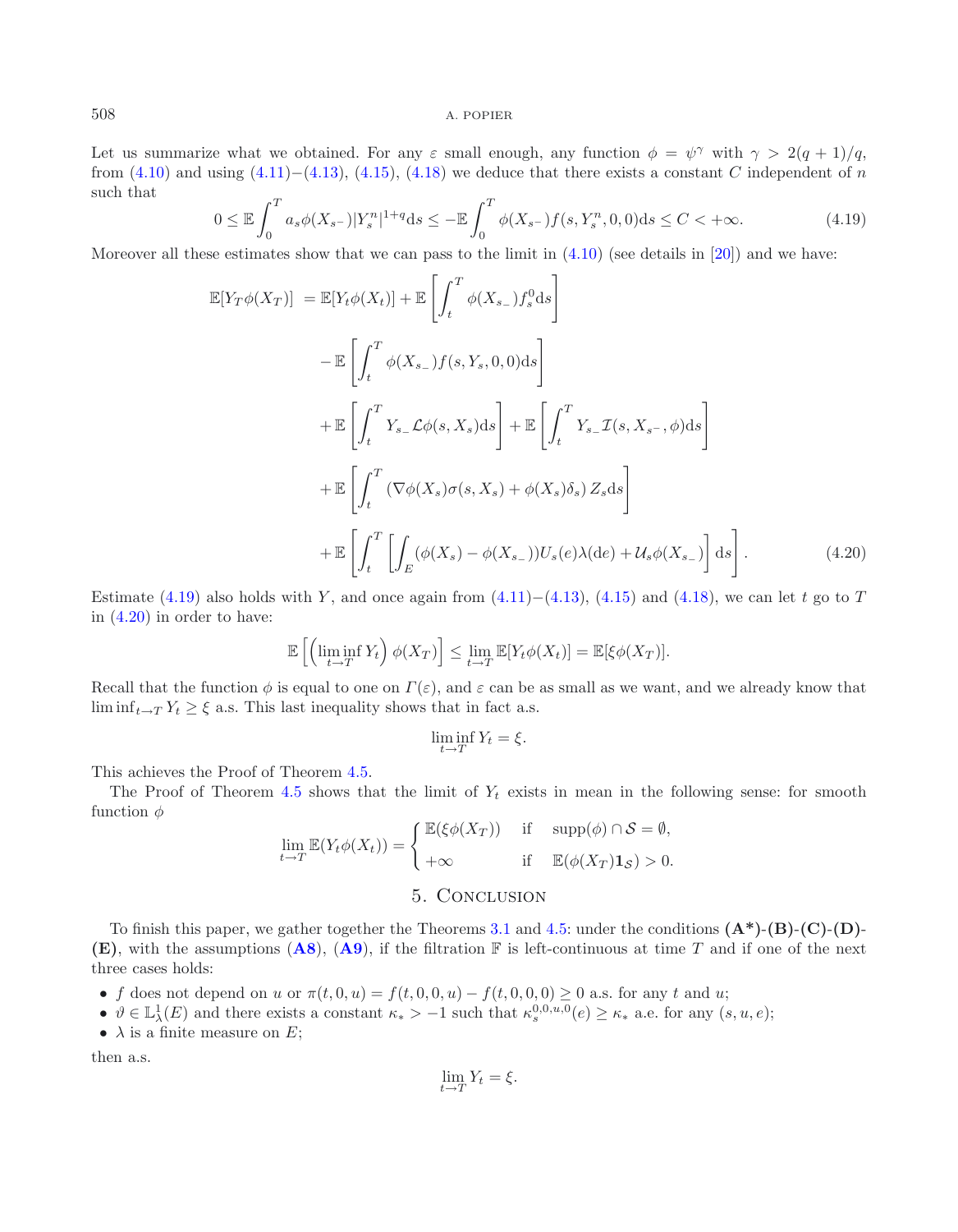Let us summarize what we obtained. For any  $\varepsilon$  small enough, any function  $\phi = \psi^{\gamma}$  with  $\gamma > 2(q+1)/q$ , from  $(4.10)$  and using  $(4.11)–(4.13)$  $(4.11)–(4.13)$  $(4.11)–(4.13)$ ,  $(4.15)$ ,  $(4.18)$  we deduce that there exists a constant C independent of n such that

$$
0 \le \mathbb{E} \int_0^T a_s \phi(X_{s-}) |Y_s^n|^{1+q} ds \le -\mathbb{E} \int_0^T \phi(X_{s-}) f(s, Y_s^n, 0, 0) ds \le C < +\infty.
$$
 (4.19)

<span id="page-28-1"></span>Moreover all these estimates show that we can pass to the limit in  $(4.10)$  (see details in [\[20](#page-29-6)]) and we have:

$$
\mathbb{E}[Y_T\phi(X_T)] = \mathbb{E}[Y_t\phi(X_t)] + \mathbb{E}\left[\int_t^T \phi(X_{s-})f_s^0 ds\right]
$$
  
\n
$$
- \mathbb{E}\left[\int_t^T \phi(X_{s-})f(s,Y_s,0,0)ds\right]
$$
  
\n
$$
+ \mathbb{E}\left[\int_t^T Y_{s-}\mathcal{L}\phi(s,X_s)ds\right] + \mathbb{E}\left[\int_t^T Y_{s-}\mathcal{I}(s,X_{s-},\phi)ds\right]
$$
  
\n
$$
+ \mathbb{E}\left[\int_t^T (\nabla\phi(X_s)\sigma(s,X_s) + \phi(X_s)\delta_s)Z_s ds\right]
$$
  
\n
$$
+ \mathbb{E}\left[\int_t^T \left[\int_E (\phi(X_s) - \phi(X_{s-}))U_s(e)\lambda(de) + \mathcal{U}_s\phi(X_{s-})\right]ds\right].
$$
\n(4.20)

Estimate [\(4.19\)](#page-28-0) also holds with Y, and once again from [\(4.11\)](#page-24-1)−[\(4.13\)](#page-25-0), [\(4.15\)](#page-26-2) and [\(4.18\)](#page-27-0), we can let t go to T in [\(4.20\)](#page-28-1) in order to have:

$$
\mathbb{E}\left[\left(\liminf_{t\to T} Y_t\right)\phi(X_T)\right] \leq \lim_{t\to T} \mathbb{E}[Y_t\phi(X_t)] = \mathbb{E}[\xi\phi(X_T)].
$$

Recall that the function  $\phi$  is equal to one on  $\Gamma(\varepsilon)$ , and  $\varepsilon$  can be as small as we want, and we already know that  $\liminf_{t\to T} Y_t \geq \xi$  a.s. This last inequality shows that in fact a.s.

$$
\liminf_{t \to T} Y_t = \xi.
$$

This achieves the Proof of Theorem [4.5.](#page-18-0)

The Proof of Theorem [4.5](#page-18-0) shows that the limit of  $Y_t$  exists in mean in the following sense: for smooth function  $\phi$ 

$$
\lim_{t \to T} \mathbb{E}(Y_t \phi(X_t)) = \begin{cases} \mathbb{E}(\xi \phi(X_T)) & \text{if } \operatorname{supp}(\phi) \cap \mathcal{S} = \emptyset, \\ +\infty & \text{if } \mathbb{E}(\phi(X_T) \mathbf{1}_{\mathcal{S}}) > 0. \end{cases}
$$

# 5. Conclusion

To finish this paper, we gather together the Theorems [3.1](#page-10-0) and [4.5:](#page-18-0) under the conditions **(A\*)**-**(B)**-**(C)**-**(D)**- **(E)**, with the assumptions (**[A8](#page-16-0)**), (**[A9](#page-17-0)**), if the filtration F is left-continuous at time T and if one of the next three cases holds:

- f does not depend on u or  $\pi(t, 0, u) = f(t, 0, 0, u) f(t, 0, 0, 0) \geq 0$  a.s. for any t and u;
- $\vartheta \in \mathbb{L}^1_\lambda(E)$  and there exists a constant  $\kappa_* > -1$  such that  $\kappa_s^{0,0,u,0}(e) \geq \kappa_*$  a.e. for any  $(s, u, e);$
- $\lambda$  is a finite measure on E;

then a.s.

$$
\lim_{t \to T} Y_t = \xi.
$$

<span id="page-28-0"></span>